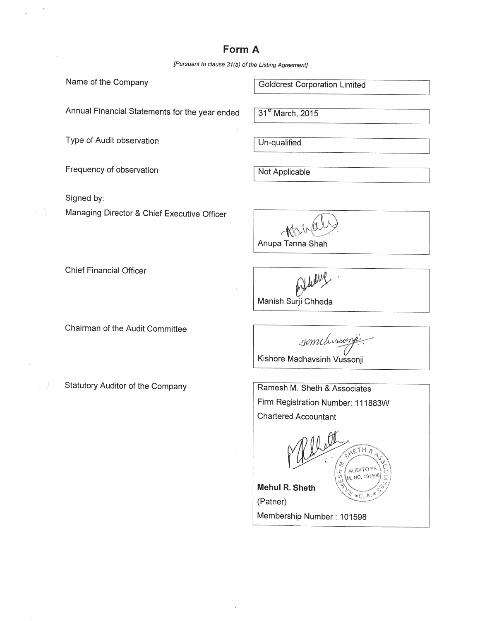### Form A

[Pursuant to clause 31(a) of the Listing Agreement]

Name of the Company

Annual Financial Statements for the year ended

Type of Audit observation

Frequency of observation

Signed by:

Managing Director & Chief Executive Officer

**Goldcrest Corporation Limited** 

31<sup>st</sup> March, 2015

Un-qualified

Not Applicable

Anupa Tanna Shah

**Chief Financial Officer** 

Manish Surji Chheda

Chairman of the Audit Committee

Statutory Auditor of the Company

Ramesh M. Sheth & Associates Firm Registration Number: 111883W

Kishore Madhavsinh Vussonji

symelussorje

**Chartered Accountant** 

**JETH &** AUDITORS M. NO. 101598

Mehul R. Sheth ፠፫ Α (Patner) Membership Number: 101598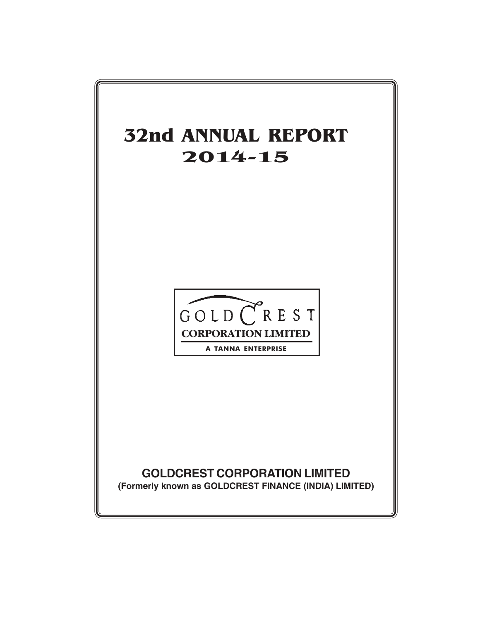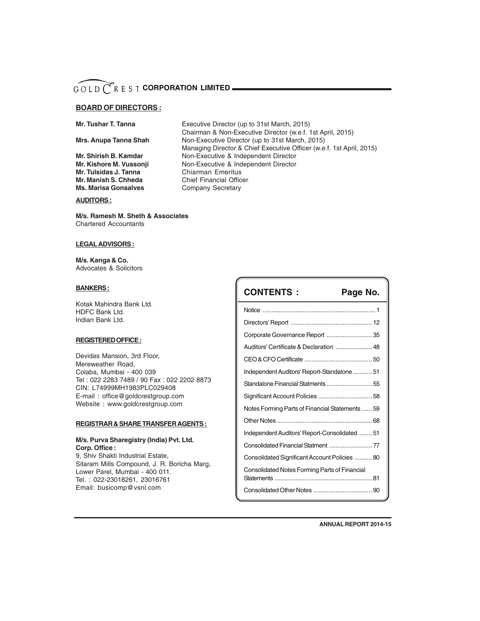

#### **BOARD OF DIRECTORS :**

**Mr. Manish S. Chheda Ms. Marisa Gonsalves Company Secretary** 

**Mr. Tushar T. Tanna** Executive Director (up to 31st March, 2015) Chairman & Non-Executive Director (w.e.f. 1st April, 2015) **Mrs. Anupa Tanna Shah** Non-Executive Director (up to 31st March, 2015) Managing Director & Chief Executive Officer (w.e.f. 1st April, 2015) **Mr. Shirish B. Kamdar Non-Executive & Independent Director Mr. Kishore M. Vussonji Non-Executive & Independent Director Mr. Kishore M. Vussonji** Non-Executive & Independent Director<br>**Mr. Tulsidas J. Tanna Non-Emeritus** Chiarman Emeritus **Chiarman Emeritus<br>Chief Financial Officer** 

#### **AUDITORS :**

**M/s. Ramesh M. Sheth & Associates** Chartered Accountants

#### **LEGAL ADVISORS :**

**M/s. Kanga & Co.** Advocates & Solicitors

#### **BANKERS :**

Kotak Mahindra Bank Ltd. HDFC Bank Ltd. Indian Bank Ltd.

#### **REGISTERED OFFICE :**

Devidas Mansion, 3rd Floor, Mereweather Road, Colaba, Mumbai - 400 039 Tel : 022 2283 7489 / 90 Fax : 022 2202 8873 CIN: L74999MH1983PLC029408 E-mail : office@goldcrestgroup.com Website : www.goldcrestgroup.com

#### **REGISTRAR & SHARE TRANSFER AGENTS :**

#### **M/s. Purva Sharegistry (India) Pvt. Ltd. Corp. Office :**

9, Shiv Shakti Industrial Estate, Sitaram Mills Compound, J. R. Boricha Marg, Lower Parel, Mumbai - 400 011. Tel. : 022-23018261, 23016761 Email: busicomp@vsnl.com

| <b>CONTENTS:</b>                                | Page No. |
|-------------------------------------------------|----------|
|                                                 |          |
|                                                 |          |
| Corporate Governance Report  35                 |          |
| Auditors' Certificate & Declaration  48         |          |
|                                                 |          |
| Independent Auditors' Report-Standalone  51     |          |
|                                                 |          |
|                                                 |          |
| Notes Forming Parts of Financial Statements  59 |          |
|                                                 |          |
| Independent Auditors' Report-Consolidated  51   |          |
| Consolidated Financial Statment  77             |          |
| Consolidated Significant Account Policies  80   |          |
| Consolidated Notes Forming Parts of Financial   |          |
|                                                 |          |

**ANNUAL REPORT 2014-15**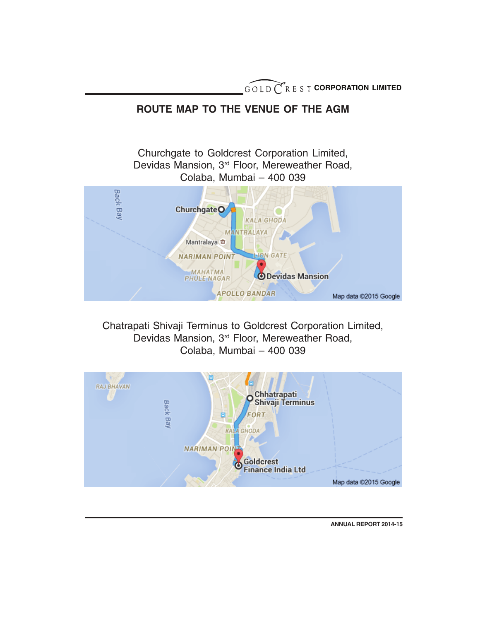

### **ROUTE MAP TO THE VENUE OF THE AGM**

Churchgate to Goldcrest Corporation Limited, Devidas Mansion, 3rd Floor, Mereweather Road, Colaba, Mumbai – 400 039



Chatrapati Shivaji Terminus to Goldcrest Corporation Limited, Devidas Mansion, 3rd Floor, Mereweather Road, Colaba, Mumbai – 400 039



**ANNUAL REPORT 2014-15**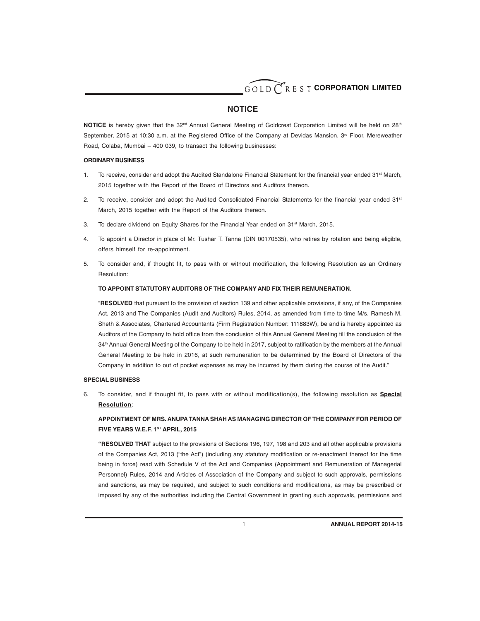#### **NOTICE**

NOTICE is hereby given that the 32<sup>nd</sup> Annual General Meeting of Goldcrest Corporation Limited will be held on 28<sup>th</sup> September, 2015 at 10:30 a.m. at the Registered Office of the Company at Devidas Mansion, 3<sup>rd</sup> Floor, Mereweather Road, Colaba, Mumbai – 400 039, to transact the following businesses:

#### **ORDINARY BUSINESS**

- 1. To receive, consider and adopt the Audited Standalone Financial Statement for the financial year ended 31<sup>st</sup> March, 2015 together with the Report of the Board of Directors and Auditors thereon.
- 2. To receive, consider and adopt the Audited Consolidated Financial Statements for the financial year ended 31<sup>st</sup> March, 2015 together with the Report of the Auditors thereon.
- 3. To declare dividend on Equity Shares for the Financial Year ended on 31<sup>st</sup> March, 2015.
- 4. To appoint a Director in place of Mr. Tushar T. Tanna (DIN 00170535), who retires by rotation and being eligible, offers himself for re-appointment.
- 5. To consider and, if thought fit, to pass with or without modification, the following Resolution as an Ordinary Resolution:

#### **TO APPOINT STATUTORY AUDITORS OF THE COMPANY AND FIX THEIR REMUNERATION**.

"**RESOLVED** that pursuant to the provision of section 139 and other applicable provisions, if any, of the Companies Act, 2013 and The Companies (Audit and Auditors) Rules, 2014, as amended from time to time M/s. Ramesh M. Sheth & Associates, Chartered Accountants (Firm Registration Number: 111883W), be and is hereby appointed as Auditors of the Company to hold office from the conclusion of this Annual General Meeting till the conclusion of the 34<sup>th</sup> Annual General Meeting of the Company to be held in 2017, subject to ratification by the members at the Annual General Meeting to be held in 2016, at such remuneration to be determined by the Board of Directors of the Company in addition to out of pocket expenses as may be incurred by them during the course of the Audit."

#### **SPECIAL BUSINESS**

6. To consider, and if thought fit, to pass with or without modification(s), the following resolution as **Special Resolution**:

#### **APPOINTMENT OF MRS. ANUPA TANNA SHAH AS MANAGING DIRECTOR OF THE COMPANY FOR PERIOD OF FIVE YEARS W.E.F. 1ST APRIL, 2015**

**"RESOLVED THAT** subject to the provisions of Sections 196, 197, 198 and 203 and all other applicable provisions of the Companies Act, 2013 ("the Act") (including any statutory modification or re-enactment thereof for the time being in force) read with Schedule V of the Act and Companies (Appointment and Remuneration of Managerial Personnel) Rules, 2014 and Articles of Association of the Company and subject to such approvals, permissions and sanctions, as may be required, and subject to such conditions and modifications, as may be prescribed or imposed by any of the authorities including the Central Government in granting such approvals, permissions and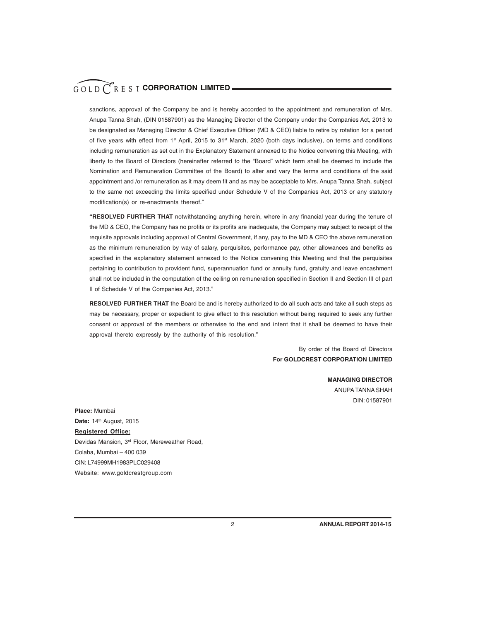sanctions, approval of the Company be and is hereby accorded to the appointment and remuneration of Mrs. Anupa Tanna Shah, (DIN 01587901) as the Managing Director of the Company under the Companies Act, 2013 to be designated as Managing Director & Chief Executive Officer (MD & CEO) liable to retire by rotation for a period of five years with effect from 1<sup>st</sup> April, 2015 to 31<sup>st</sup> March, 2020 (both days inclusive), on terms and conditions including remuneration as set out in the Explanatory Statement annexed to the Notice convening this Meeting, with liberty to the Board of Directors (hereinafter referred to the "Board" which term shall be deemed to include the Nomination and Remuneration Committee of the Board) to alter and vary the terms and conditions of the said appointment and /or remuneration as it may deem fit and as may be acceptable to Mrs. Anupa Tanna Shah, subject to the same not exceeding the limits specified under Schedule V of the Companies Act, 2013 or any statutory modification(s) or re-enactments thereof."

**"RESOLVED FURTHER THAT** notwithstanding anything herein, where in any financial year during the tenure of the MD & CEO, the Company has no profits or its profits are inadequate, the Company may subject to receipt of the requisite approvals including approval of Central Government, if any, pay to the MD & CEO the above remuneration as the minimum remuneration by way of salary, perquisites, performance pay, other allowances and benefits as specified in the explanatory statement annexed to the Notice convening this Meeting and that the perquisites pertaining to contribution to provident fund, superannuation fund or annuity fund, gratuity and leave encashment shall not be included in the computation of the ceiling on remuneration specified in Section II and Section III of part II of Schedule V of the Companies Act, 2013."

**RESOLVED FURTHER THAT** the Board be and is hereby authorized to do all such acts and take all such steps as may be necessary, proper or expedient to give effect to this resolution without being required to seek any further consent or approval of the members or otherwise to the end and intent that it shall be deemed to have their approval thereto expressly by the authority of this resolution."

> By order of the Board of Directors **For GOLDCREST CORPORATION LIMITED**

> > **MANAGING DIRECTOR** ANUPA TANNA SHAH DIN: 01587901

**Place:** Mumbai Date: 14<sup>th</sup> August, 2015 **Registered Office:** Devidas Mansion, 3rd Floor, Mereweather Road, Colaba, Mumbai – 400 039 CIN: L74999MH1983PLC029408 Website: www.goldcrestgroup.com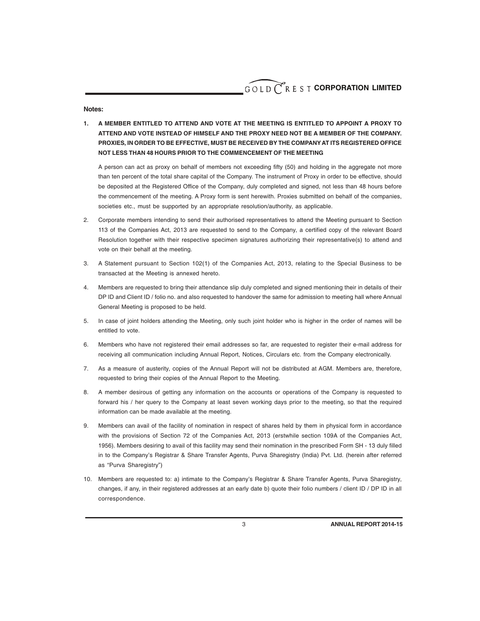**Notes:**

**1. A MEMBER ENTITLED TO ATTEND AND VOTE AT THE MEETING IS ENTITLED TO APPOINT A PROXY TO ATTEND AND VOTE INSTEAD OF HIMSELF AND THE PROXY NEED NOT BE A MEMBER OF THE COMPANY. PROXIES, IN ORDER TO BE EFFECTIVE, MUST BE RECEIVED BY THE COMPANY AT ITS REGISTERED OFFICE NOT LESS THAN 48 HOURS PRIOR TO THE COMMENCEMENT OF THE MEETING**

A person can act as proxy on behalf of members not exceeding fifty (50) and holding in the aggregate not more than ten percent of the total share capital of the Company. The instrument of Proxy in order to be effective, should be deposited at the Registered Office of the Company, duly completed and signed, not less than 48 hours before the commencement of the meeting. A Proxy form is sent herewith. Proxies submitted on behalf of the companies, societies etc., must be supported by an appropriate resolution/authority, as applicable.

- 2. Corporate members intending to send their authorised representatives to attend the Meeting pursuant to Section 113 of the Companies Act, 2013 are requested to send to the Company, a certified copy of the relevant Board Resolution together with their respective specimen signatures authorizing their representative(s) to attend and vote on their behalf at the meeting.
- 3. A Statement pursuant to Section 102(1) of the Companies Act, 2013, relating to the Special Business to be transacted at the Meeting is annexed hereto.
- 4. Members are requested to bring their attendance slip duly completed and signed mentioning their in details of their DP ID and Client ID / folio no. and also requested to handover the same for admission to meeting hall where Annual General Meeting is proposed to be held.
- 5. In case of joint holders attending the Meeting, only such joint holder who is higher in the order of names will be entitled to vote.
- 6. Members who have not registered their email addresses so far, are requested to register their e-mail address for receiving all communication including Annual Report, Notices, Circulars etc. from the Company electronically.
- 7. As a measure of austerity, copies of the Annual Report will not be distributed at AGM. Members are, therefore, requested to bring their copies of the Annual Report to the Meeting.
- 8. A member desirous of getting any information on the accounts or operations of the Company is requested to forward his / her query to the Company at least seven working days prior to the meeting, so that the required information can be made available at the meeting.
- 9. Members can avail of the facility of nomination in respect of shares held by them in physical form in accordance with the provisions of Section 72 of the Companies Act, 2013 (erstwhile section 109A of the Companies Act, 1956). Members desiring to avail of this facility may send their nomination in the prescribed Form SH - 13 duly filled in to the Company's Registrar & Share Transfer Agents, Purva Sharegistry (India) Pvt. Ltd. (herein after referred as "Purva Sharegistry")
- 10. Members are requested to: a) intimate to the Company's Registrar & Share Transfer Agents, Purva Sharegistry, changes, if any, in their registered addresses at an early date b) quote their folio numbers / client ID / DP ID in all correspondence.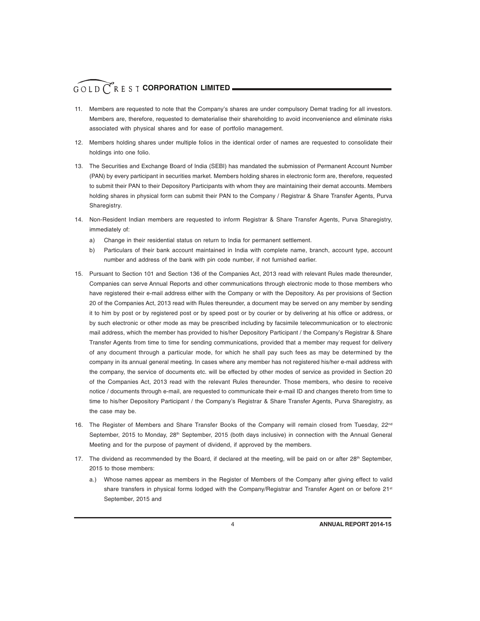- 11. Members are requested to note that the Company's shares are under compulsory Demat trading for all investors. Members are, therefore, requested to dematerialise their shareholding to avoid inconvenience and eliminate risks associated with physical shares and for ease of portfolio management.
- 12. Members holding shares under multiple folios in the identical order of names are requested to consolidate their holdings into one folio.
- 13. The Securities and Exchange Board of India (SEBI) has mandated the submission of Permanent Account Number (PAN) by every participant in securities market. Members holding shares in electronic form are, therefore, requested to submit their PAN to their Depository Participants with whom they are maintaining their demat accounts. Members holding shares in physical form can submit their PAN to the Company / Registrar & Share Transfer Agents, Purva Sharegistry.
- 14. Non-Resident Indian members are requested to inform Registrar & Share Transfer Agents, Purva Sharegistry, immediately of:
	- a) Change in their residential status on return to India for permanent settlement.
	- b) Particulars of their bank account maintained in India with complete name, branch, account type, account number and address of the bank with pin code number, if not furnished earlier.
- 15. Pursuant to Section 101 and Section 136 of the Companies Act, 2013 read with relevant Rules made thereunder, Companies can serve Annual Reports and other communications through electronic mode to those members who have registered their e-mail address either with the Company or with the Depository. As per provisions of Section 20 of the Companies Act, 2013 read with Rules thereunder, a document may be served on any member by sending it to him by post or by registered post or by speed post or by courier or by delivering at his office or address, or by such electronic or other mode as may be prescribed including by facsimile telecommunication or to electronic mail address, which the member has provided to his/her Depository Participant / the Company's Registrar & Share Transfer Agents from time to time for sending communications, provided that a member may request for delivery of any document through a particular mode, for which he shall pay such fees as may be determined by the company in its annual general meeting. In cases where any member has not registered his/her e-mail address with the company, the service of documents etc. will be effected by other modes of service as provided in Section 20 of the Companies Act, 2013 read with the relevant Rules thereunder. Those members, who desire to receive notice / documents through e-mail, are requested to communicate their e-mail ID and changes thereto from time to time to his/her Depository Participant / the Company's Registrar & Share Transfer Agents, Purva Sharegistry, as the case may be.
- 16. The Register of Members and Share Transfer Books of the Company will remain closed from Tuesday, 22<sup>nd</sup> September, 2015 to Monday, 28<sup>th</sup> September, 2015 (both days inclusive) in connection with the Annual General Meeting and for the purpose of payment of dividend, if approved by the members.
- 17. The dividend as recommended by the Board, if declared at the meeting, will be paid on or after 28<sup>th</sup> September, 2015 to those members:
	- a.) Whose names appear as members in the Register of Members of the Company after giving effect to valid share transfers in physical forms lodged with the Company/Registrar and Transfer Agent on or before 21<sup>st</sup> September, 2015 and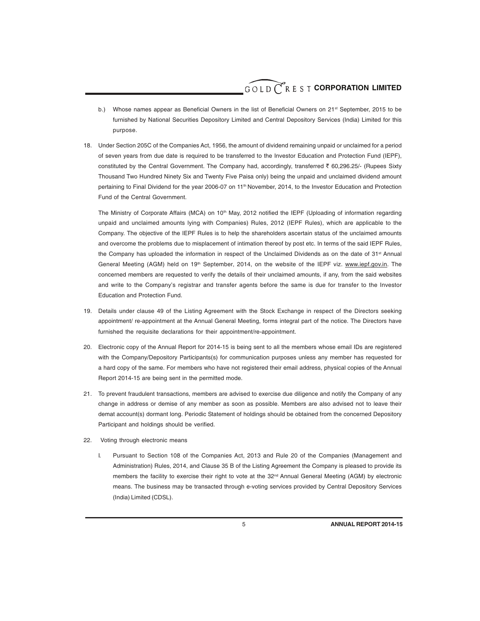- b.) Whose names appear as Beneficial Owners in the list of Beneficial Owners on 21<sup>st</sup> September, 2015 to be furnished by National Securities Depository Limited and Central Depository Services (India) Limited for this purpose.
- 18. Under Section 205C of the Companies Act, 1956, the amount of dividend remaining unpaid or unclaimed for a period of seven years from due date is required to be transferred to the Investor Education and Protection Fund (IEPF), constituted by the Central Government. The Company had, accordingly, transferred ₹ 60,296.25/- (Rupees Sixty Thousand Two Hundred Ninety Six and Twenty Five Paisa only) being the unpaid and unclaimed dividend amount pertaining to Final Dividend for the year 2006-07 on 11<sup>th</sup> November, 2014, to the Investor Education and Protection Fund of the Central Government.

The Ministry of Corporate Affairs (MCA) on 10<sup>th</sup> May, 2012 notified the IEPF (Uploading of information regarding unpaid and unclaimed amounts lying with Companies) Rules, 2012 (IEPF Rules), which are applicable to the Company. The objective of the IEPF Rules is to help the shareholders ascertain status of the unclaimed amounts and overcome the problems due to misplacement of intimation thereof by post etc. In terms of the said IEPF Rules, the Company has uploaded the information in respect of the Unclaimed Dividends as on the date of 31<sup>st</sup> Annual General Meeting (AGM) held on 19<sup>th</sup> September, 2014, on the website of the IEPF viz. www.iepf.gov.in. The concerned members are requested to verify the details of their unclaimed amounts, if any, from the said websites and write to the Company's registrar and transfer agents before the same is due for transfer to the Investor Education and Protection Fund.

- 19. Details under clause 49 of the Listing Agreement with the Stock Exchange in respect of the Directors seeking appointment/ re-appointment at the Annual General Meeting, forms integral part of the notice. The Directors have furnished the requisite declarations for their appointment/re-appointment.
- 20. Electronic copy of the Annual Report for 2014-15 is being sent to all the members whose email IDs are registered with the Company/Depository Participants(s) for communication purposes unless any member has requested for a hard copy of the same. For members who have not registered their email address, physical copies of the Annual Report 2014-15 are being sent in the permitted mode.
- 21. To prevent fraudulent transactions, members are advised to exercise due diligence and notify the Company of any change in address or demise of any member as soon as possible. Members are also advised not to leave their demat account(s) dormant long. Periodic Statement of holdings should be obtained from the concerned Depository Participant and holdings should be verified.
- 22. Voting through electronic means
	- I. Pursuant to Section 108 of the Companies Act, 2013 and Rule 20 of the Companies (Management and Administration) Rules, 2014, and Clause 35 B of the Listing Agreement the Company is pleased to provide its members the facility to exercise their right to vote at the 32<sup>nd</sup> Annual General Meeting (AGM) by electronic means. The business may be transacted through e-voting services provided by Central Depository Services (India) Limited (CDSL).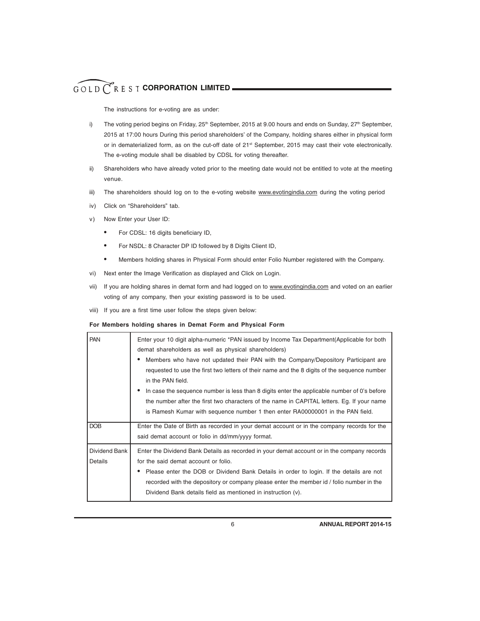The instructions for e-voting are as under:

- i) The voting period begins on Friday,  $25<sup>th</sup>$  September, 2015 at 9.00 hours and ends on Sunday,  $27<sup>th</sup>$  September, 2015 at 17:00 hours During this period shareholders' of the Company, holding shares either in physical form or in dematerialized form, as on the cut-off date of 21<sup>st</sup> September, 2015 may cast their vote electronically. The e-voting module shall be disabled by CDSL for voting thereafter.
- ii) Shareholders who have already voted prior to the meeting date would not be entitled to vote at the meeting venue.
- iii) The shareholders should log on to the e-voting website www.evotingindia.com during the voting period
- iv) Click on "Shareholders" tab.
- v) Now Enter your User ID:
	- For CDSL: 16 digits beneficiary ID,
	- For NSDL: 8 Character DP ID followed by 8 Digits Client ID,
	- Members holding shares in Physical Form should enter Folio Number registered with the Company.
- vi) Next enter the Image Verification as displayed and Click on Login.
- vii) If you are holding shares in demat form and had logged on to www.evotingindia.com and voted on an earlier voting of any company, then your existing password is to be used.
- viii) If you are a first time user follow the steps given below:

#### **For Members holding shares in Demat Form and Physical Form**

| <b>PAN</b>                      | Enter your 10 digit alpha-numeric *PAN issued by Income Tax Department (Applicable for both<br>demat shareholders as well as physical shareholders)<br>Members who have not updated their PAN with the Company/Depository Participant are<br>requested to use the first two letters of their name and the 8 digits of the sequence number<br>in the PAN field.<br>In case the sequence number is less than 8 digits enter the applicable number of 0's before<br>the number after the first two characters of the name in CAPITAL letters. Eg. If your name<br>is Ramesh Kumar with sequence number 1 then enter RA00000001 in the PAN field. |
|---------------------------------|-----------------------------------------------------------------------------------------------------------------------------------------------------------------------------------------------------------------------------------------------------------------------------------------------------------------------------------------------------------------------------------------------------------------------------------------------------------------------------------------------------------------------------------------------------------------------------------------------------------------------------------------------|
| <b>DOB</b>                      | Enter the Date of Birth as recorded in your demat account or in the company records for the<br>said demat account or folio in dd/mm/yyyy format.                                                                                                                                                                                                                                                                                                                                                                                                                                                                                              |
| Dividend Bank<br><b>Details</b> | Enter the Dividend Bank Details as recorded in your demat account or in the company records<br>for the said demat account or folio.<br>Please enter the DOB or Dividend Bank Details in order to login. If the details are not<br>recorded with the depository or company please enter the member id / folio number in the<br>Dividend Bank details field as mentioned in instruction (v).                                                                                                                                                                                                                                                    |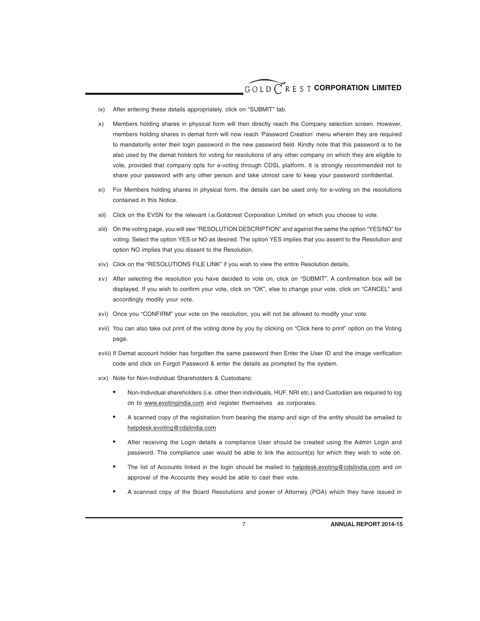- ix) After entering these details appropriately, click on "SUBMIT" tab.
- x) Members holding shares in physical form will then directly reach the Company selection screen. However, members holding shares in demat form will now reach 'Password Creation' menu wherein they are required to mandatorily enter their login password in the new password field. Kindly note that this password is to be also used by the demat holders for voting for resolutions of any other company on which they are eligible to vote, provided that company opts for e-voting through CDSL platform. It is strongly recommended not to share your password with any other person and take utmost care to keep your password confidential.
- xi) For Members holding shares in physical form, the details can be used only for e-voting on the resolutions contained in this Notice.
- xii) Click on the EVSN for the relevant i.e.Goldcrest Corporation Limited on which you choose to vote.
- xiii) On the voting page, you will see "RESOLUTION DESCRIPTION" and against the same the option "YES/NO" for voting. Select the option YES or NO as desired. The option YES implies that you assent to the Resolution and option NO implies that you dissent to the Resolution.
- xiv) Click on the "RESOLUTIONS FILE LINK" if you wish to view the entire Resolution details.
- xv) After selecting the resolution you have decided to vote on, click on "SUBMIT". A confirmation box will be displayed. If you wish to confirm your vote, click on "OK", else to change your vote, click on "CANCEL" and accordingly modify your vote.
- xvi) Once you "CONFIRM" your vote on the resolution, you will not be allowed to modify your vote.
- xvii) You can also take out print of the voting done by you by clicking on "Click here to print" option on the Voting page.
- xviii) If Demat account holder has forgotten the same password then Enter the User ID and the image verification code and click on Forgot Password & enter the details as prompted by the system.
- xix) Note for Non-Individual Shareholders & Custodians:
	- Non-Individual shareholders (i.e. other then individuals, HUF, NRI etc.) and Custodian are required to log on to www.evotingindia.com and register themselves as corporates.
	- A scanned copy of the registration from bearing the stamp and sign of the entity should be emailed to helpdesk.evoting@cdslindia.com
	- After receiving the Login details a compliance User should be created using the Admin Login and password. The compliance user would be able to link the account(s) for which they wish to vote on.
	- The list of Accounts linked in the login should be mailed to helpdesk.evoting@cdslindia.com and on approval of the Accounts they would be able to cast their vote.
	- A scanned copy of the Board Resolutions and power of Attorney (POA) which they have issued in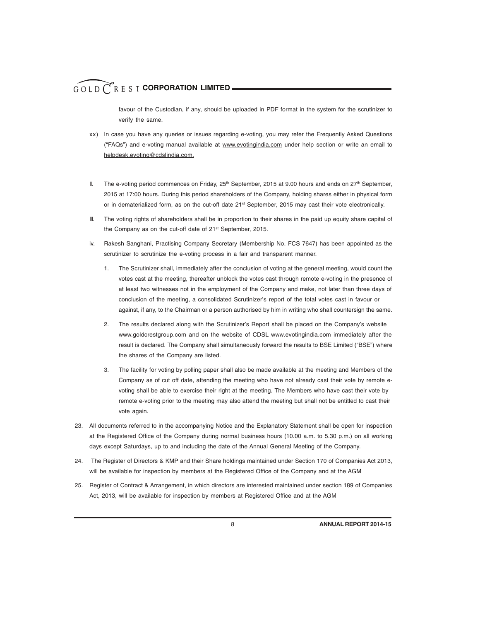favour of the Custodian, if any, should be uploaded in PDF format in the system for the scrutinizer to verify the same.

- xx) In case you have any queries or issues regarding e-voting, you may refer the Frequently Asked Questions ("FAQs") and e-voting manual available at www.evotingindia.com under help section or write an email to helpdesk.evoting@cdslindia.com.
- II. The e-voting period commences on Friday, 25<sup>th</sup> September, 2015 at 9.00 hours and ends on 27<sup>th</sup> September, 2015 at 17:00 hours. During this period shareholders of the Company, holding shares either in physical form or in dematerialized form, as on the cut-off date 21<sup>st</sup> September, 2015 may cast their vote electronically.
- The voting rights of shareholders shall be in proportion to their shares in the paid up equity share capital of the Company as on the cut-off date of 21<sup>st</sup> September, 2015.
- iv. Rakesh Sanghani, Practising Company Secretary (Membership No. FCS 7647) has been appointed as the scrutinizer to scrutinize the e-voting process in a fair and transparent manner.
	- 1. The Scrutinizer shall, immediately after the conclusion of voting at the general meeting, would count the votes cast at the meeting, thereafter unblock the votes cast through remote e-voting in the presence of at least two witnesses not in the employment of the Company and make, not later than three days of conclusion of the meeting, a consolidated Scrutinizer's report of the total votes cast in favour or against, if any, to the Chairman or a person authorised by him in writing who shall countersign the same.
	- 2. The results declared along with the Scrutinizer's Report shall be placed on the Company's website www.goldcrestgroup.com and on the website of CDSL www.evotingindia.com immediately after the result is declared. The Company shall simultaneously forward the results to BSE Limited ("BSE") where the shares of the Company are listed.
	- 3. The facility for voting by polling paper shall also be made available at the meeting and Members of the Company as of cut off date, attending the meeting who have not already cast their vote by remote evoting shall be able to exercise their right at the meeting. The Members who have cast their vote by remote e-voting prior to the meeting may also attend the meeting but shall not be entitled to cast their vote again.
- 23. All documents referred to in the accompanying Notice and the Explanatory Statement shall be open for inspection at the Registered Office of the Company during normal business hours (10.00 a.m. to 5.30 p.m.) on all working days except Saturdays, up to and including the date of the Annual General Meeting of the Company.
- 24. The Register of Directors & KMP and their Share holdings maintained under Section 170 of Companies Act 2013, will be available for inspection by members at the Registered Office of the Company and at the AGM
- 25. Register of Contract & Arrangement, in which directors are interested maintained under section 189 of Companies Act, 2013, will be available for inspection by members at Registered Office and at the AGM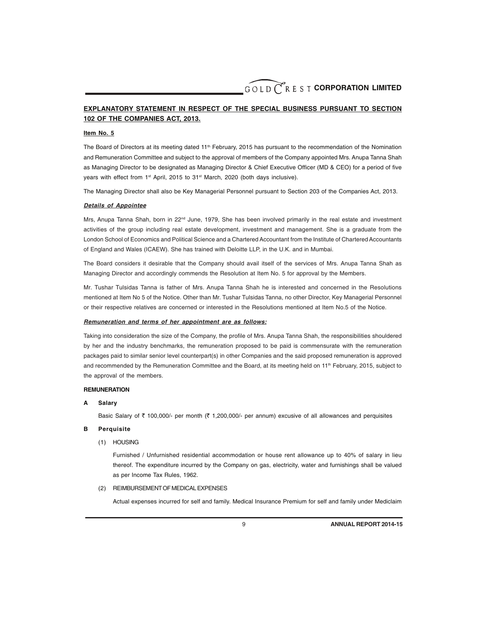#### **EXPLANATORY STATEMENT IN RESPECT OF THE SPECIAL BUSINESS PURSUANT TO SECTION 102 OF THE COMPANIES ACT, 2013.**

#### **Item No. 5**

The Board of Directors at its meeting dated 11<sup>th</sup> February, 2015 has pursuant to the recommendation of the Nomination and Remuneration Committee and subject to the approval of members of the Company appointed Mrs. Anupa Tanna Shah as Managing Director to be designated as Managing Director & Chief Executive Officer (MD & CEO) for a period of five years with effect from 1<sup>st</sup> April, 2015 to 31<sup>st</sup> March, 2020 (both days inclusive).

The Managing Director shall also be Key Managerial Personnel pursuant to Section 203 of the Companies Act, 2013.

#### **Details of Appointee**

Mrs, Anupa Tanna Shah, born in 22<sup>nd</sup> June, 1979, She has been involved primarily in the real estate and investment activities of the group including real estate development, investment and management. She is a graduate from the London School of Economics and Political Science and a Chartered Accountant from the Institute of Chartered Accountants of England and Wales (ICAEW). She has trained with Deloitte LLP, in the U.K. and in Mumbai.

The Board considers it desirable that the Company should avail itself of the services of Mrs. Anupa Tanna Shah as Managing Director and accordingly commends the Resolution at Item No. 5 for approval by the Members.

Mr. Tushar Tulsidas Tanna is father of Mrs. Anupa Tanna Shah he is interested and concerned in the Resolutions mentioned at Item No 5 of the Notice. Other than Mr. Tushar Tulsidas Tanna, no other Director, Key Managerial Personnel or their respective relatives are concerned or interested in the Resolutions mentioned at Item No.5 of the Notice.

#### **Remuneration and terms of her appointment are as follows:**

Taking into consideration the size of the Company, the profile of Mrs. Anupa Tanna Shah, the responsibilities shouldered by her and the industry benchmarks, the remuneration proposed to be paid is commensurate with the remuneration packages paid to similar senior level counterpart(s) in other Companies and the said proposed remuneration is approved and recommended by the Remuneration Committee and the Board, at its meeting held on 11<sup>th</sup> February, 2015, subject to the approval of the members.

#### **REMUNERATION**

#### **A Salary**

Basic Salary of  $\bar{z}$  100,000/- per month ( $\bar{z}$  1,200,000/- per annum) excusive of all allowances and perquisites

#### **B Perquisite**

(1) HOUSING

Furnished / Unfurnished residential accommodation or house rent allowance up to 40% of salary in lieu thereof. The expenditure incurred by the Company on gas, electricity, water and furnishings shall be valued as per Income Tax Rules, 1962.

#### (2) REIMBURSEMENT OF MEDICAL EXPENSES

Actual expenses incurred for self and family. Medical Insurance Premium for self and family under Mediclaim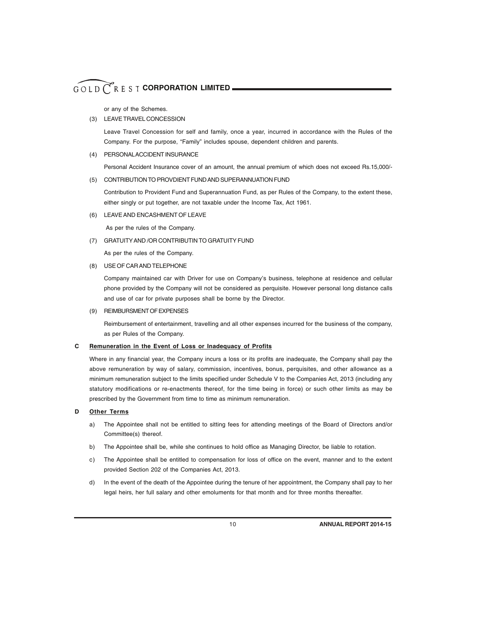or any of the Schemes.

#### (3) LEAVE TRAVEL CONCESSION

Leave Travel Concession for self and family, once a year, incurred in accordance with the Rules of the Company. For the purpose, "Family" includes spouse, dependent children and parents.

(4) PERSONAL ACCIDENT INSURANCE

Personal Accident Insurance cover of an amount, the annual premium of which does not exceed Rs.15,000/-

(5) CONTRIBUTION TO PROVDIENT FUND AND SUPERANNUATION FUND

Contribution to Provident Fund and Superannuation Fund, as per Rules of the Company, to the extent these, either singly or put together, are not taxable under the Income Tax, Act 1961.

(6) LEAVE AND ENCASHMENT OF LEAVE

As per the rules of the Company.

(7) GRATUITY AND /OR CONTRIBUTIN TO GRATUITY FUND

As per the rules of the Company.

(8) USE OF CAR AND TELEPHONE

Company maintained car with Driver for use on Company's business, telephone at residence and cellular phone provided by the Company will not be considered as perquisite. However personal long distance calls and use of car for private purposes shall be borne by the Director.

(9) REIMBURSMENT OF EXPENSES

Reimbursement of entertainment, travelling and all other expenses incurred for the business of the company, as per Rules of the Company.

#### **C Remuneration in the Event of Loss or Inadequacy of Profits**

Where in any financial year, the Company incurs a loss or its profits are inadequate, the Company shall pay the above remuneration by way of salary, commission, incentives, bonus, perquisites, and other allowance as a minimum remuneration subject to the limits specified under Schedule V to the Companies Act, 2013 (including any statutory modifications or re-enactments thereof, for the time being in force) or such other limits as may be prescribed by the Government from time to time as minimum remuneration.

#### **D Other Terms**

- a) The Appointee shall not be entitled to sitting fees for attending meetings of the Board of Directors and/or Committee(s) thereof.
- b) The Appointee shall be, while she continues to hold office as Managing Director, be liable to rotation.
- c) The Appointee shall be entitled to compensation for loss of office on the event, manner and to the extent provided Section 202 of the Companies Act, 2013.
- d) In the event of the death of the Appointee during the tenure of her appointment, the Company shall pay to her legal heirs, her full salary and other emoluments for that month and for three months thereafter.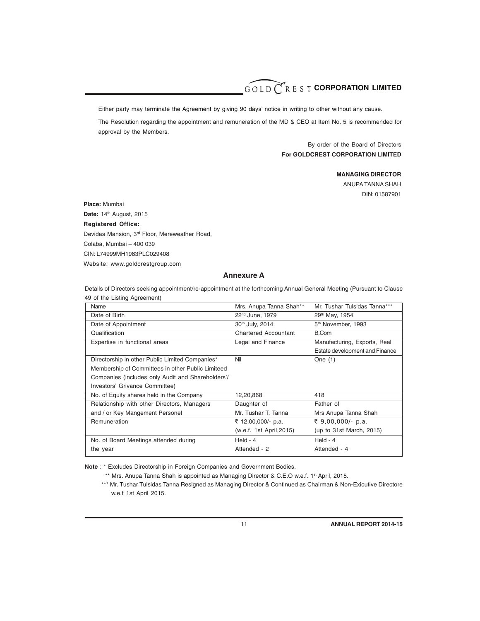Either party may terminate the Agreement by giving 90 days' notice in writing to other without any cause.

The Resolution regarding the appointment and remuneration of the MD & CEO at Item No. 5 is recommended for approval by the Members.

> By order of the Board of Directors **For GOLDCREST CORPORATION LIMITED**

> > **MANAGING DIRECTOR**

ANUPA TANNA SHAH DIN: 01587901

**Place:** Mumbai

Date: 14<sup>th</sup> August, 2015 **Registered Office:** Devidas Mansion, 3rd Floor, Mereweather Road, Colaba, Mumbai – 400 039 CIN: L74999MH1983PLC029408 Website: www.goldcrestgroup.com

#### **Annexure A**

Details of Directors seeking appointment/re-appointment at the forthcoming Annual General Meeting (Pursuant to Clause 49 of the Listing Agreement)

| Name                                              | Mrs. Anupa Tanna Shah**     | Mr. Tushar Tulsidas Tanna***          |
|---------------------------------------------------|-----------------------------|---------------------------------------|
| Date of Birth                                     | 22 <sup>nd</sup> June, 1979 | 29th May, 1954                        |
| Date of Appointment                               | 30 <sup>th</sup> July, 2014 | 5 <sup>th</sup> November, 1993        |
| Qualification                                     | <b>Chartered Accountant</b> | <b>B.Com</b>                          |
| Expertise in functional areas                     | Legal and Finance           | Manufacturing, Exports, Real          |
|                                                   |                             | <b>Estate development and Finance</b> |
| Directorship in other Public Limited Companies*   | Nil                         | One $(1)$                             |
| Membership of Committees in other Public Limiteed |                             |                                       |
| Companies (includes only Audit and Shareholders'/ |                             |                                       |
| Investors' Grivance Committee)                    |                             |                                       |
| No. of Equity shares held in the Company          | 12,20,868                   | 418                                   |
| Relationship with other Directors, Managers       | Daughter of                 | Father of                             |
| and / or Key Mangement Personel                   | Mr. Tushar T. Tanna         | Mrs Anupa Tanna Shah                  |
| Remuneration                                      | ₹ 12,00,000/- p.a.          | ₹ 9,00,000/- p.a.                     |
|                                                   | (w.e.f. 1st April, 2015)    | (up to 31st March, 2015)              |
| No. of Board Meetings attended during             | $Held - 4$                  | $Held - 4$                            |
| the year                                          | Attended - 2                | Attended - 4                          |

**Note** : \* Excludes Directorship in Foreign Companies and Government Bodies.

\*\* Mrs. Anupa Tanna Shah is appointed as Managing Director & C.E.O w.e.f. 1<sup>st</sup> April, 2015.

 \*\*\* Mr. Tushar Tulsidas Tanna Resigned as Managing Director & Continued as Chairman & Non-Exicutive Directore w.e.f 1st April 2015.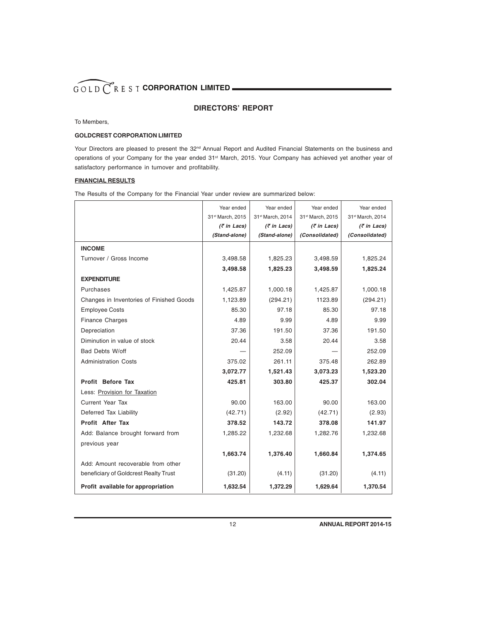

#### **DIRECTORS' REPORT**

To Members,

#### **GOLDCREST CORPORATION LIMITED**

Your Directors are pleased to present the 32<sup>nd</sup> Annual Report and Audited Financial Statements on the business and operations of your Company for the year ended 31<sup>st</sup> March, 2015. Your Company has achieved yet another year of satisfactory performance in turnover and profitability.

#### **FINANCIAL RESULTS**

The Results of the Company for the Financial Year under review are summarized below:

|                                          | Year ended       | Year ended       | Year ended                   | Year ended          |
|------------------------------------------|------------------|------------------|------------------------------|---------------------|
|                                          | 31st March, 2015 | 31st March, 2014 | 31 <sup>st</sup> March, 2015 | 31st March, 2014    |
|                                          | $($ ₹ in Lacs)   | $($ ₹ in Lacs)   | $($ ₹ in Lacs)               | $(\bar{z}$ in Lacs) |
|                                          | (Stand-alone)    | (Stand-alone)    | (Consolidated)               | (Consolidated)      |
| <b>INCOME</b>                            |                  |                  |                              |                     |
| Turnover / Gross Income                  | 3,498.58         | 1,825.23         | 3,498.59                     | 1,825.24            |
|                                          | 3,498.58         | 1,825.23         | 3,498.59                     | 1,825.24            |
| <b>EXPENDITURE</b>                       |                  |                  |                              |                     |
| Purchases                                | 1,425.87         | 1,000.18         | 1,425.87                     | 1,000.18            |
| Changes in Inventories of Finished Goods | 1,123.89         | (294.21)         | 1123.89                      | (294.21)            |
| <b>Employee Costs</b>                    | 85.30            | 97.18            | 85.30                        | 97.18               |
| Finance Charges                          | 4.89             | 9.99             | 4.89                         | 9.99                |
| Depreciation                             | 37.36            | 191.50           | 37.36                        | 191.50              |
| Diminution in value of stock             | 20.44            | 3.58             | 20.44                        | 3.58                |
| Bad Debts W/off                          |                  | 252.09           |                              | 252.09              |
| <b>Administration Costs</b>              | 375.02           | 261.11           | 375.48                       | 262.89              |
|                                          | 3,072.77         | 1,521.43         | 3,073.23                     | 1,523.20            |
| Profit Before Tax                        | 425.81           | 303.80           | 425.37                       | 302.04              |
| Less: Provision for Taxation             |                  |                  |                              |                     |
| Current Year Tax                         | 90.00            | 163.00           | 90.00                        | 163.00              |
| Deferred Tax Liability                   | (42.71)          | (2.92)           | (42.71)                      | (2.93)              |
| Profit After Tax                         | 378.52           | 143.72           | 378.08                       | 141.97              |
| Add: Balance brought forward from        | 1,285.22         | 1,232.68         | 1,282.76                     | 1,232.68            |
| previous year                            |                  |                  |                              |                     |
|                                          | 1,663.74         | 1,376.40         | 1,660.84                     | 1,374.65            |
| Add: Amount recoverable from other       |                  |                  |                              |                     |
| beneficiary of Goldcrest Realty Trust    | (31.20)          | (4.11)           | (31.20)                      | (4.11)              |
| Profit available for appropriation       | 1,632.54         | 1,372.29         | 1,629.64                     | 1,370.54            |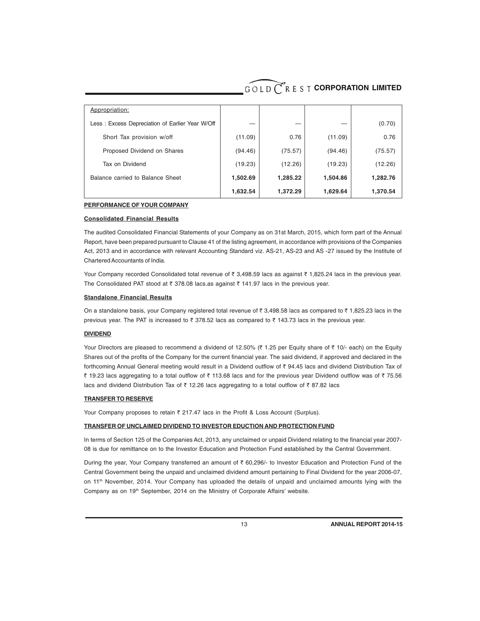| Appropriation:                                  |          |          |          |          |
|-------------------------------------------------|----------|----------|----------|----------|
| Less: Excess Depreciation of Earlier Year W/Off |          |          |          | (0.70)   |
| Short Tax provision w/off                       | (11.09)  | 0.76     | (11.09)  | 0.76     |
| Proposed Dividend on Shares                     | (94.46)  | (75.57)  | (94.46)  | (75.57)  |
| Tax on Dividend                                 | (19.23)  | (12.26)  | (19.23)  | (12.26)  |
| Balance carried to Balance Sheet                | 1,502.69 | 1,285.22 | 1,504.86 | 1,282.76 |
|                                                 | 1,632.54 | 1,372.29 | 1,629.64 | 1,370.54 |

#### **PERFORMANCE OF YOUR COMPANY**

#### **Consolidated Financial Results**

The audited Consolidated Financial Statements of your Company as on 31st March, 2015, which form part of the Annual Report, have been prepared pursuant to Clause 41 of the listing agreement, in accordance with provisions of the Companies Act, 2013 and in accordance with relevant Accounting Standard viz. AS-21, AS-23 and AS -27 issued by the Institute of Chartered Accountants of India.

Your Company recorded Consolidated total revenue of ₹ 3,498.59 lacs as against ₹ 1,825.24 lacs in the previous year. The Consolidated PAT stood at  $\bar{\tau}$  378.08 lacs.as against  $\bar{\tau}$  141.97 lacs in the previous year.

#### **Standalone Financial Results**

On a standalone basis, your Company registered total revenue of  $\bar{\tau}$  3,498.58 lacs as compared to  $\bar{\tau}$  1,825.23 lacs in the previous year. The PAT is increased to  $\bar{\tau}$  378.52 lacs as compared to  $\bar{\tau}$  143.73 lacs in the previous year.

#### **DIVIDEND**

Your Directors are pleased to recommend a dividend of 12.50% (₹ 1.25 per Equity share of ₹ 10/- each) on the Equity Shares out of the profits of the Company for the current financial year. The said dividend, if approved and declared in the forthcoming Annual General meeting would result in a Dividend outflow of  $\overline{\epsilon}$  94.45 lacs and dividend Distribution Tax of ₹ 19.23 lacs aggregating to a total outflow of ₹ 113.68 lacs and for the previous year Dividend outflow was of ₹ 75.56 lacs and dividend Distribution Tax of  $\bar{\tau}$  12.26 lacs aggregating to a total outflow of  $\bar{\tau}$  87.82 lacs

#### **TRANSFER TO RESERVE**

Your Company proposes to retain ₹ 217.47 lacs in the Profit & Loss Account (Surplus).

#### **TRANSFER OF UNCLAIMED DIVIDEND TO INVESTOR EDUCTION AND PROTECTION FUND**

In terms of Section 125 of the Companies Act, 2013, any unclaimed or unpaid Dividend relating to the financial year 2007- 08 is due for remittance on to the Investor Education and Protection Fund established by the Central Government.

During the year, Your Company transferred an amount of ₹ 60,296/- to Investor Education and Protection Fund of the Central Government being the unpaid and unclaimed dividend amount pertaining to Final Dividend for the year 2006-07, on 11<sup>th</sup> November, 2014. Your Company has uploaded the details of unpaid and unclaimed amounts lying with the Company as on 19<sup>th</sup> September, 2014 on the Ministry of Corporate Affairs' website.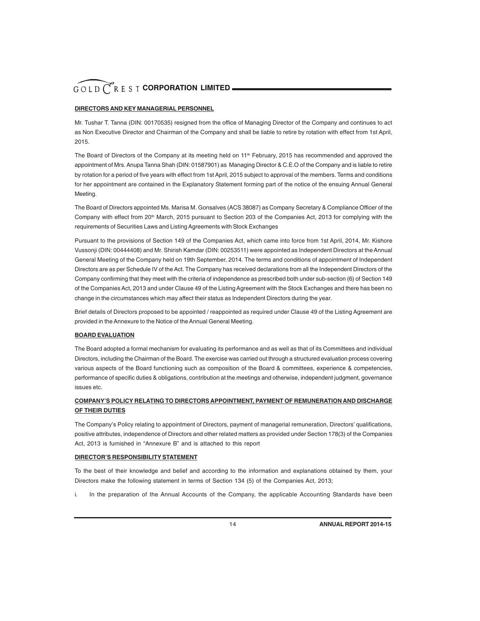#### **DIRECTORS AND KEY MANAGERIAL PERSONNEL**

Mr. Tushar T. Tanna (DIN: 00170535) resigned from the office of Managing Director of the Company and continues to act as Non Executive Director and Chairman of the Company and shall be liable to retire by rotation with effect from 1st April, 2015.

The Board of Directors of the Company at its meeting held on 11<sup>th</sup> February, 2015 has recommended and approved the appointment of Mrs. Anupa Tanna Shah (DIN: 01587901) as Managing Director & C.E.O of the Company and is liable to retire by rotation for a period of five years with effect from 1st April, 2015 subject to approval of the members. Terms and conditions for her appointment are contained in the Explanatory Statement forming part of the notice of the ensuing Annual General Meeting.

The Board of Directors appointed Ms. Marisa M. Gonsalves (ACS 38087) as Company Secretary & Compliance Officer of the Company with effect from 20<sup>th</sup> March, 2015 pursuant to Section 203 of the Companies Act, 2013 for complying with the requirements of Securities Laws and Listing Agreements with Stock Exchanges

Pursuant to the provisions of Section 149 of the Companies Act, which came into force from 1st April, 2014, Mr. Kishore Vussonji (DIN: 00444408) and Mr. Shirish Kamdar (DIN: 00253511) were appointed as Independent Directors at the Annual General Meeting of the Company held on 19th September, 2014. The terms and conditions of appointment of Independent Directors are as per Schedule IV of the Act. The Company has received declarations from all the Independent Directors of the Company confirming that they meet with the criteria of independence as prescribed both under sub-section (6) of Section 149 of the Companies Act, 2013 and under Clause 49 of the Listing Agreement with the Stock Exchanges and there has been no change in the circumstances which may affect their status as Independent Directors during the year.

Brief details of Directors proposed to be appointed / reappointed as required under Clause 49 of the Listing Agreement are provided in the Annexure to the Notice of the Annual General Meeting.

#### **BOARD EVALUATION**

The Board adopted a formal mechanism for evaluating its performance and as well as that of its Committees and individual Directors, including the Chairman of the Board. The exercise was carried out through a structured evaluation process covering various aspects of the Board functioning such as composition of the Board & committees, experience & competencies, performance of specific duties & obligations, contribution at the meetings and otherwise, independent judgment, governance issues etc.

#### **COMPANY'S POLICY RELATING TO DIRECTORS APPOINTMENT, PAYMENT OF REMUNERATION AND DISCHARGE OF THEIR DUTIES**

The Company's Policy relating to appointment of Directors, payment of managerial remuneration, Directors' qualifications, positive attributes, independence of Directors and other related matters as provided under Section 178(3) of the Companies Act, 2013 is furnished in "Annexure B" and is attached to this report

#### **DIRECTOR'S RESPONSIBILITY STATEMENT**

To the best of their knowledge and belief and according to the information and explanations obtained by them, your Directors make the following statement in terms of Section 134 (5) of the Companies Act, 2013;

In the preparation of the Annual Accounts of the Company, the applicable Accounting Standards have been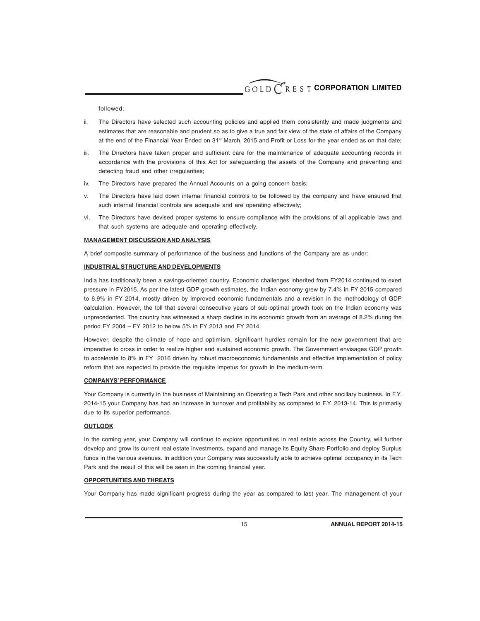followed;

- ii. The Directors have selected such accounting policies and applied them consistently and made judgments and estimates that are reasonable and prudent so as to give a true and fair view of the state of affairs of the Company at the end of the Financial Year Ended on 31<sup>st</sup> March, 2015 and Profit or Loss for the year ended as on that date;
- iii. The Directors have taken proper and sufficient care for the maintenance of adequate accounting records in accordance with the provisions of this Act for safeguarding the assets of the Company and preventing and detecting fraud and other irregularities;
- iv. The Directors have prepared the Annual Accounts on a going concern basis;
- v. The Directors have laid down internal financial controls to be followed by the company and have ensured that such internal financial controls are adequate and are operating effectively;
- vi. The Directors have devised proper systems to ensure compliance with the provisions of all applicable laws and that such systems are adequate and operating effectively.

#### **MANAGEMENT DISCUSSION AND ANALYSIS**

A brief composite summary of performance of the business and functions of the Company are as under:

#### **INDUSTRIAL STRUCTURE AND DEVELOPMENTS**

India has traditionally been a savings-oriented country. Economic challenges inherited from FY2014 continued to exert pressure in FY2015. As per the latest GDP growth estimates, the Indian economy grew by 7.4% in FY 2015 compared to 6.9% in FY 2014, mostly driven by improved economic fundamentals and a revision in the methodology of GDP calculation. However, the toll that several consecutive years of sub-optimal growth took on the Indian economy was unprecedented. The country has witnessed a sharp decline in its economic growth from an average of 8.2% during the period FY 2004 – FY 2012 to below 5% in FY 2013 and FY 2014.

However, despite the climate of hope and optimism, significant hurdles remain for the new government that are imperative to cross in order to realize higher and sustained economic growth. The Government envisages GDP growth to accelerate to 8% in FY 2016 driven by robust macroeconomic fundamentals and effective implementation of policy reform that are expected to provide the requisite impetus for growth in the medium-term.

#### **COMPANYS' PERFORMANCE**

Your Company is currently in the business of Maintaining an Operating a Tech Park and other ancillary business. In F.Y. 2014-15 your Company has had an increase in turnover and profitability as compared to F.Y. 2013-14. This is primarily due to its superior performance.

#### **OUTLOOK**

In the coming year, your Company will continue to explore opportunities in real estate across the Country, will further develop and grow its current real estate investments, expand and manage its Equity Share Portfolio and deploy Surplus funds in the various avenues. In addition your Company was successfully able to achieve optimal occupancy in its Tech Park and the result of this will be seen in the coming financial year.

#### **OPPORTUNITIES AND THREATS**

Your Company has made significant progress during the year as compared to last year. The management of your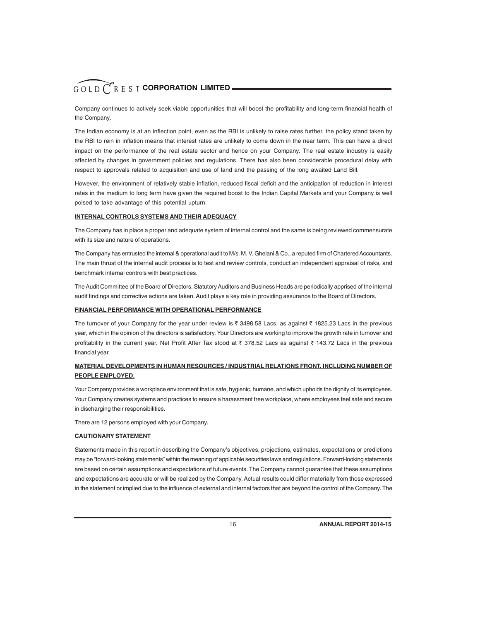Company continues to actively seek viable opportunities that will boost the profitability and long-term financial health of the Company.

The Indian economy is at an inflection point, even as the RBI is unlikely to raise rates further, the policy stand taken by the RBI to rein in inflation means that interest rates are unlikely to come down in the near term. This can have a direct impact on the performance of the real estate sector and hence on your Company. The real estate industry is easily affected by changes in government policies and regulations. There has also been considerable procedural delay with respect to approvals related to acquisition and use of land and the passing of the long awaited Land Bill.

However, the environment of relatively stable inflation, reduced fiscal deficit and the anticipation of reduction in interest rates in the medium to long term have given the required boost to the Indian Capital Markets and your Company is well poised to take advantage of this potential upturn.

#### **INTERNAL CONTROLS SYSTEMS AND THEIR ADEQUACY**

The Company has in place a proper and adequate system of internal control and the same is being reviewed commensurate with its size and nature of operations.

The Company has entrusted the internal & operational audit to M/s. M. V. Ghelani & Co., a reputed firm of Chartered Accountants. The main thrust of the internal audit process is to test and review controls, conduct an independent appraisal of risks, and benchmark internal controls with best practices.

The Audit Committee of the Board of Directors, Statutory Auditors and Business Heads are periodically apprised of the internal audit findings and corrective actions are taken. Audit plays a key role in providing assurance to the Board of Directors.

#### **FINANCIAL PERFORMANCE WITH OPERATIONAL PERFORMANCE**

The turnover of your Company for the year under review is  $\bar{\tau}$  3498.58 Lacs, as against  $\bar{\tau}$  1825.23 Lacs in the previous year, which in the opinion of the directors is satisfactory. Your Directors are working to improve the growth rate in turnover and profitability in the current year. Net Profit After Tax stood at ₹ 378.52 Lacs as against ₹ 143.72 Lacs in the previous financial year.

#### **MATERIAL DEVELOPMENTS IN HUMAN RESOURCES / INDUSTRIAL RELATIONS FRONT, INCLUDING NUMBER OF PEOPLE EMPLOYED.**

Your Company provides a workplace environment that is safe, hygienic, humane, and which upholds the dignity of its employees. Your Company creates systems and practices to ensure a harassment free workplace, where employees feel safe and secure in discharging their responsibilities.

There are 12 persons employed with your Company.

#### **CAUTIONARY STATEMENT**

Statements made in this report in describing the Company's objectives, projections, estimates, expectations or predictions may be "forward-looking statements" within the meaning of applicable securities laws and regulations. Forward-looking statements are based on certain assumptions and expectations of future events. The Company cannot guarantee that these assumptions and expectations are accurate or will be realized by the Company. Actual results could differ materially from those expressed in the statement or implied due to the influence of external and internal factors that are beyond the control of the Company. The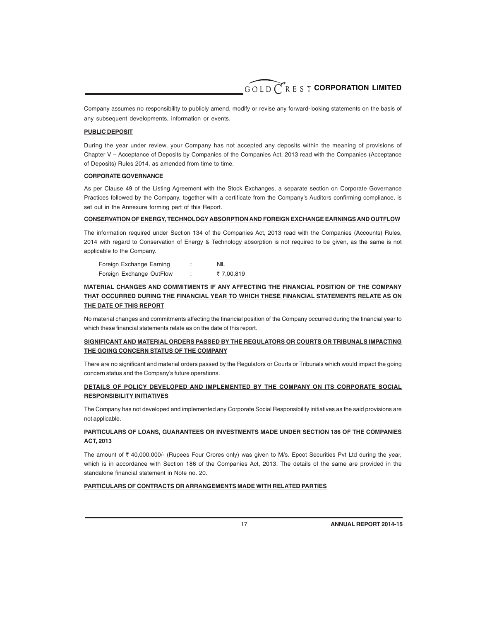Company assumes no responsibility to publicly amend, modify or revise any forward-looking statements on the basis of any subsequent developments, information or events.

#### **PUBLIC DEPOSIT**

During the year under review, your Company has not accepted any deposits within the meaning of provisions of Chapter V – Acceptance of Deposits by Companies of the Companies Act, 2013 read with the Companies (Acceptance of Deposits) Rules 2014, as amended from time to time.

#### **CORPORATE GOVERNANCE**

As per Clause 49 of the Listing Agreement with the Stock Exchanges, a separate section on Corporate Governance Practices followed by the Company, together with a certificate from the Company's Auditors confirming compliance, is set out in the Annexure forming part of this Report.

#### **CONSERVATION OF ENERGY, TECHNOLOGY ABSORPTION AND FOREIGN EXCHANGE EARNINGS AND OUTFLOW**

The information required under Section 134 of the Companies Act, 2013 read with the Companies (Accounts) Rules, 2014 with regard to Conservation of Energy & Technology absorption is not required to be given, as the same is not applicable to the Company.

| Foreign Exchange Earning | NIL       |
|--------------------------|-----------|
| Foreign Exchange OutFlow | ₹7,00,819 |

#### **MATERIAL CHANGES AND COMMITMENTS IF ANY AFFECTING THE FINANCIAL POSITION OF THE COMPANY THAT OCCURRED DURING THE FINANCIAL YEAR TO WHICH THESE FINANCIAL STATEMENTS RELATE AS ON THE DATE OF THIS REPORT**

No material changes and commitments affecting the financial position of the Company occurred during the financial year to which these financial statements relate as on the date of this report.

#### **SIGNIFICANT AND MATERIAL ORDERS PASSED BY THE REGULATORS OR COURTS OR TRIBUNALS IMPACTING THE GOING CONCERN STATUS OF THE COMPANY**

There are no significant and material orders passed by the Regulators or Courts or Tribunals which would impact the going concern status and the Company's future operations.

#### **DETAILS OF POLICY DEVELOPED AND IMPLEMENTED BY THE COMPANY ON ITS CORPORATE SOCIAL RESPONSIBILITY INITIATIVES**

The Company has not developed and implemented any Corporate Social Responsibility initiatives as the said provisions are not applicable.

#### **PARTICULARS OF LOANS, GUARANTEES OR INVESTMENTS MADE UNDER SECTION 186 OF THE COMPANIES ACT, 2013**

The amount of  $\bar{\tau}$  40,000,000/- (Rupees Four Crores only) was given to M/s. Epcot Securities Pvt Ltd during the year, which is in accordance with Section 186 of the Companies Act, 2013. The details of the same are provided in the standalone financial statement in Note no. 20.

#### **PARTICULARS OF CONTRACTS OR ARRANGEMENTS MADE WITH RELATED PARTIES**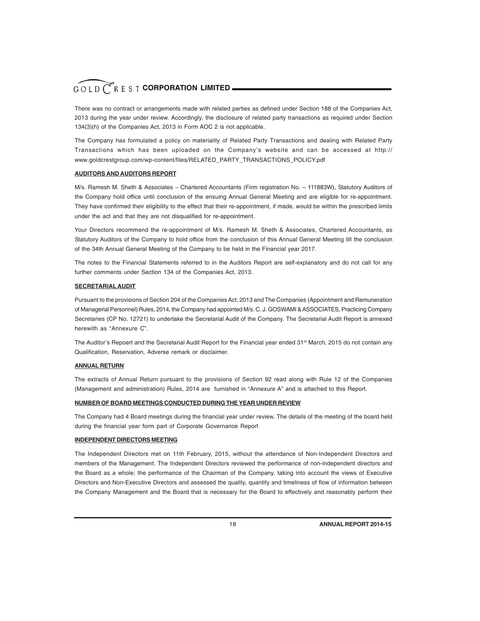There was no contract or arrangements made with related parties as defined under Section 188 of the Companies Act, 2013 during the year under review. Accordingly, the disclosure of related party transactions as required under Section 134(3)(h) of the Companies Act, 2013 in Form AOC 2 is not applicable.

The Company has formulated a policy on materiality of Related Party Transactions and dealing with Related Party Transactions which has been uploaded on the Company's website and can be accessed at http:// www.goldcrestgroup.com/wp-content/files/RELATED\_PARTY\_TRANSACTIONS\_POLICY.pdf

#### **AUDITORS AND AUDITORS REPORT**

M/s. Ramesh M. Sheth & Associates – Chartered Accountants (Firm registration No. – 111883W), Statutory Auditors of the Company hold office until conclusion of the ensuing Annual General Meeting and are eligible for re-appointment. They have confirmed their eligibility to the effect that their re-appointment, if made, would be within the prescribed limits under the act and that they are not disqualified for re-appointment.

Your Directors recommend the re-appointment of M/s. Ramesh M. Sheth & Associates, Chartered Accountants, as Statutory Auditors of the Company to hold office from the conclusion of this Annual General Meeting till the conclusion of the 34th Annual General Meeting of the Company to be held in the Financial year 2017.

The notes to the Financial Statements referred to in the Auditors Report are self-explanatory and do not call for any further comments under Section 134 of the Companies Act, 2013.

#### **SECRETARIAL AUDIT**

Pursuant to the provisions of Section 204 of the Companies Act, 2013 and The Companies (Appointment and Remuneration of Managerial Personnel) Rules, 2014, the Company had appointed M/s. C. J. GOSWAMI & ASSOCIATES, Practicing Company Secretaries (CP No. 12721) to undertake the Secretarial Audit of the Company. The Secretarial Audit Report is annexed herewith as "Annexure C".

The Auditor's Repoert and the Secretarial Audit Report for the Financial year ended 31<sup>st</sup> March, 2015 do not contain any Qualification, Reservation, Adverse remark or disclaimer.

#### **ANNUAL RETURN**

The extracts of Annual Return pursuant to the provisions of Section 92 read along with Rule 12 of the Companies (Management and administration) Rules, 2014 are furnished in "Annexure A" and is attached to this Report.

#### **NUMBER OF BOARD MEETINGS CONDUCTED DURING THE YEAR UNDER REVIEW**

The Company had 4 Board meetings during the financial year under review. The details of the meeting of the board held during the financial year form part of Corporate Governance Report

#### **INDEPENDENT DIRECTORS MEETING**

The Independent Directors met on 11th February, 2015, without the attendance of Non-Independent Directors and members of the Management. The Independent Directors reviewed the performance of non-independent directors and the Board as a whole; the performance of the Chairman of the Company, taking into account the views of Executive Directors and Non-Executive Directors and assessed the quality, quantity and timeliness of flow of information between the Company Management and the Board that is necessary for the Board to effectively and reasonably perform their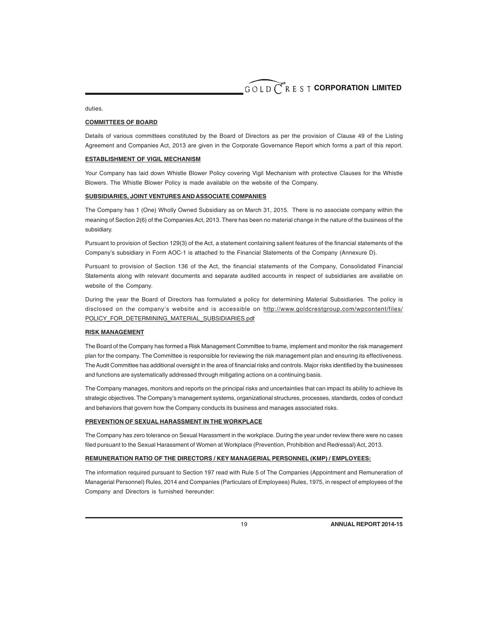duties.

#### **COMMITTEES OF BOARD**

Details of various committees constituted by the Board of Directors as per the provision of Clause 49 of the Listing Agreement and Companies Act, 2013 are given in the Corporate Governance Report which forms a part of this report.

#### **ESTABLISHMENT OF VIGIL MECHANISM**

Your Company has laid down Whistle Blower Policy covering Vigil Mechanism with protective Clauses for the Whistle Blowers. The Whistle Blower Policy is made available on the website of the Company.

#### **SUBSIDIARIES, JOINT VENTURES AND ASSOCIATE COMPANIES**

The Company has 1 (One) Wholly Owned Subsidiary as on March 31, 2015. There is no associate company within the meaning of Section 2(6) of the Companies Act, 2013. There has been no material change in the nature of the business of the subsidiary.

Pursuant to provision of Section 129(3) of the Act, a statement containing salient features of the financial statements of the Company's subsidiary in Form AOC-1 is attached to the Financial Statements of the Company (Annexure D).

Pursuant to provision of Section 136 of the Act, the financial statements of the Company, Consolidated Financial Statements along with relevant documents and separate audited accounts in respect of subsidiaries are available on website of the Company.

During the year the Board of Directors has formulated a policy for determining Material Subsidiaries. The policy is disclosed on the company's website and is accessible on http://www.goldcrestgroup.com/wpcontent/files/ POLICY\_FOR\_DETERMINING\_MATERIAL\_SUBSIDIARIES.pdf

#### **RISK MANAGEMENT**

The Board of the Company has formed a Risk Management Committee to frame, implement and monitor the risk management plan for the company. The Committee is responsible for reviewing the risk management plan and ensuring its effectiveness. The Audit Committee has additional oversight in the area of financial risks and controls. Major risks identified by the businesses and functions are systematically addressed through mitigating actions on a continuing basis.

The Company manages, monitors and reports on the principal risks and uncertainties that can impact its ability to achieve its strategic objectives. The Company's management systems, organizational structures, processes, standards, codes of conduct and behaviors that govern how the Company conducts its business and manages associated risks.

#### **PREVENTION OF SEXUAL HARASSMENT IN THE WORKPLACE**

The Company has zero tolerance on Sexual Harassment in the workplace. During the year under review there were no cases filed pursuant to the Sexual Harassment of Women at Workplace (Prevention, Prohibition and Redressal) Act, 2013.

#### **REMUNERATION RATIO OF THE DIRECTORS / KEY MANAGERIAL PERSONNEL (KMP) / EMPLOYEES:**

The information required pursuant to Section 197 read with Rule 5 of The Companies (Appointment and Remuneration of Managerial Personnel) Rules, 2014 and Companies (Particulars of Employees) Rules, 1975, in respect of employees of the Company and Directors is furnished hereunder: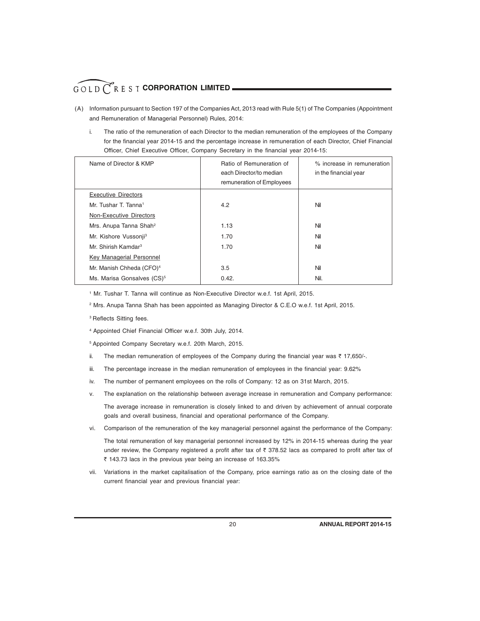- (A) Information pursuant to Section 197 of the Companies Act, 2013 read with Rule 5(1) of The Companies (Appointment and Remuneration of Managerial Personnel) Rules, 2014:
	- i. The ratio of the remuneration of each Director to the median remuneration of the employees of the Company for the financial year 2014-15 and the percentage increase in remuneration of each Director, Chief Financial Officer, Chief Executive Officer, Company Secretary in the financial year 2014-15:

| Name of Director & KMP                 | Ratio of Remuneration of<br>each Director/to median<br>remuneration of Employees | % increase in remuneration<br>in the financial year |  |
|----------------------------------------|----------------------------------------------------------------------------------|-----------------------------------------------------|--|
| <b>Executive Directors</b>             |                                                                                  |                                                     |  |
| Mr. Tushar T. Tanna <sup>1</sup>       | 4.2                                                                              | Nil                                                 |  |
| <b>Non-Executive Directors</b>         |                                                                                  |                                                     |  |
| Mrs. Anupa Tanna Shah <sup>2</sup>     | 1.13                                                                             | Nil                                                 |  |
| Mr. Kishore Vussonji <sup>3</sup>      | 1.70                                                                             | Nil                                                 |  |
| Mr. Shirish Kamdar <sup>3</sup>        | 1.70                                                                             | Nil                                                 |  |
| <b>Key Managerial Personnel</b>        |                                                                                  |                                                     |  |
| Mr. Manish Chheda (CFO) <sup>4</sup>   | 3.5                                                                              | Nil                                                 |  |
| Ms. Marisa Gonsalves (CS) <sup>5</sup> | 0.42.                                                                            | Nil.                                                |  |

1 Mr. Tushar T. Tanna will continue as Non-Executive Director w.e.f. 1st April, 2015.

2 Mrs. Anupa Tanna Shah has been appointed as Managing Director & C.E.O w.e.f. 1st April, 2015.

<sup>3</sup> Reflects Sitting fees.

4 Appointed Chief Financial Officer w.e.f. 30th July, 2014.

<sup>5</sup> Appointed Company Secretary w.e.f. 20th March, 2015.

- ii. The median remuneration of employees of the Company during the financial year was  $\bar{\tau}$  17,650/-.
- iii. The percentage increase in the median remuneration of employees in the financial year: 9.62%
- iv. The number of permanent employees on the rolls of Company: 12 as on 31st March, 2015.
- v. The explanation on the relationship between average increase in remuneration and Company performance: The average increase in remuneration is closely linked to and driven by achievement of annual corporate goals and overall business, financial and operational performance of the Company.
- vi. Comparison of the remuneration of the key managerial personnel against the performance of the Company: The total remuneration of key managerial personnel increased by 12% in 2014-15 whereas during the year under review, the Company registered a profit after tax of  $\bar{\tau}$  378.52 lacs as compared to profit after tax of ₹ 143.73 lacs in the previous year being an increase of 163.35%
- vii. Variations in the market capitalisation of the Company, price earnings ratio as on the closing date of the current financial year and previous financial year: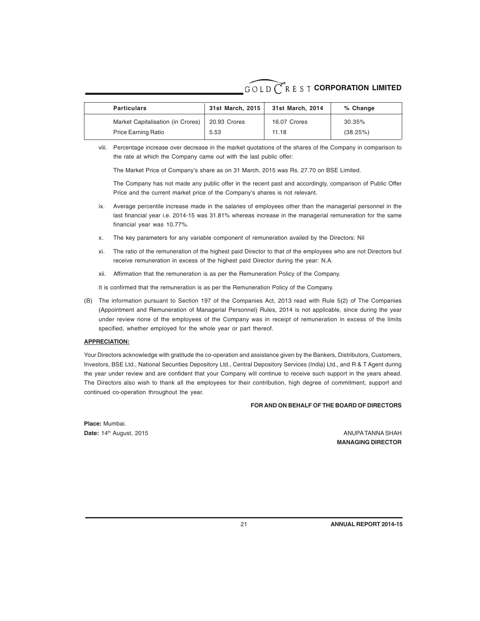| <b>Particulars</b>                | 31st March, 2015 | 31st March, 2014 | % Change |
|-----------------------------------|------------------|------------------|----------|
| Market Capitalisation (in Crores) | 20.93 Crores     | 16.07 Crores     | 30.35%   |
| Price Earning Ratio               | 5.53             | 11.18            | (38.25%) |

viii. Percentage increase over decrease in the market quotations of the shares of the Company in comparison to the rate at which the Company came out with the last public offer:

The Market Price of Company's share as on 31 March, 2015 was Rs. 27.70 on BSE Limited.

The Company has not made any public offer in the recent past and accordingly, comparison of Public Offer Price and the current market price of the Company's shares is not relevant.

- ix. Average percentile increase made in the salaries of employees other than the managerial personnel in the last financial year i.e. 2014-15 was 31.81% whereas increase in the managerial remuneration for the same financial year was 10.77%.
- x. The key parameters for any variable component of remuneration availed by the Directors: Nil
- xi. The ratio of the remuneration of the highest paid Director to that of the employees who are not Directors but receive remuneration in excess of the highest paid Director during the year: N.A.
- xii. Affirmation that the remuneration is as per the Remuneration Policy of the Company.

It is confirmed that the remuneration is as per the Remuneration Policy of the Company.

(B) The information pursuant to Section 197 of the Companies Act, 2013 read with Rule 5(2) of The Companies (Appointment and Remuneration of Managerial Personnel) Rules, 2014 is not applicable, since during the year under review none of the employees of the Company was in receipt of remuneration in excess of the limits specified, whether employed for the whole year or part thereof.

#### **APPRECIATION:**

Your Directors acknowledge with gratitude the co-operation and assistance given by the Bankers, Distributors, Customers, Investors, BSE Ltd., National Securities Depository Ltd., Central Depository Services (India) Ltd., and R & T Agent during the year under review and are confident that your Company will continue to receive such support in the years ahead. The Directors also wish to thank all the employees for their contribution, high degree of commitment, support and continued co-operation throughout the year.

#### **FOR AND ON BEHALF OF THE BOARD OF DIRECTORS**

**Place:** Mumbai. **Date:** 14<sup>th</sup> August, 2015 **ANUPA TANNA SHAH** 

**MANAGING DIRECTOR**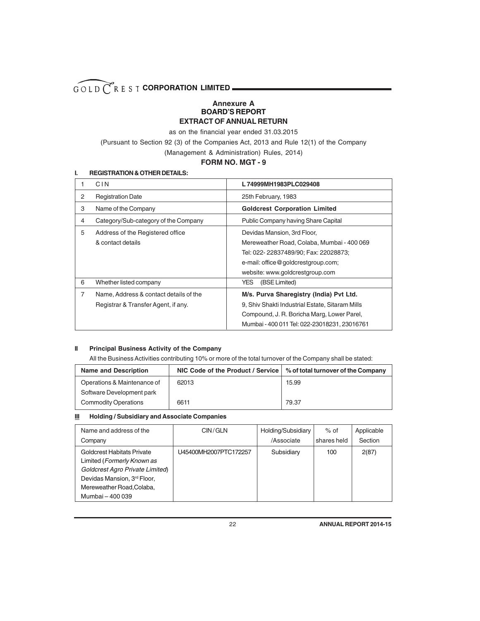

#### **EXTRACT OF ANNUAL RETURN BOARD'S REPORT Annexure A**

as on the financial year ended 31.03.2015

(Pursuant to Section 92 (3) of the Companies Act, 2013 and Rule 12(1) of the Company

(Management & Administration) Rules, 2014)

#### **FORM NO. MGT - 9**

#### **I. REGISTRATION & OTHER DETAILS:**

|   | CIN                                    | L74999MH1983PLC029408                           |
|---|----------------------------------------|-------------------------------------------------|
| 2 | <b>Registration Date</b>               | 25th February, 1983                             |
| 3 | Name of the Company                    | <b>Goldcrest Corporation Limited</b>            |
| 4 | Category/Sub-category of the Company   | Public Company having Share Capital             |
| 5 | Address of the Registered office       | Devidas Mansion, 3rd Floor,                     |
|   | & contact details                      | Mereweather Road, Colaba, Mumbai - 400 069      |
|   |                                        | Tel: 022- 22837489/90; Fax: 22028873;           |
|   |                                        | e-mail: office@goldcrestgroup.com;              |
|   |                                        | website: www.goldcrestgroup.com                 |
| 6 | Whether listed company                 | YES.<br>(BSE Limited)                           |
| 7 | Name, Address & contact details of the | M/s. Purva Sharegistry (India) Pvt Ltd.         |
|   | Registrar & Transfer Agent, if any.    | 9, Shiv Shakti Industrial Estate, Sitaram Mills |
|   |                                        | Compound, J. R. Boricha Marg, Lower Parel,      |
|   |                                        | Mumbai - 400 011 Tel: 022-23018231, 23016761    |

#### **II Principal Business Activity of the Company**

All the Business Activities contributing 10% or more of the total turnover of the Company shall be stated:

| <b>Name and Description</b> | NIC Code of the Product / Service $\mid \%$ of total turnover of the Company |       |
|-----------------------------|------------------------------------------------------------------------------|-------|
| Operations & Maintenance of | 62013                                                                        | 15.99 |
| Software Development park   |                                                                              |       |
| <b>Commodity Operations</b> | 6611                                                                         | 79.37 |

#### **III Holding / Subsidiary and Associate Companies**

| Name and address of the                                                                                                                                                     | CIN/GLN               | Holding/Subsidiary | $%$ of      | Applicable |
|-----------------------------------------------------------------------------------------------------------------------------------------------------------------------------|-----------------------|--------------------|-------------|------------|
| Company                                                                                                                                                                     |                       | /Associate         | shares held | Section    |
| Goldcrest Habitats Private<br>Limited (Formerly Known as<br>Goldcrest Agro Private Limited)<br>Devidas Mansion, 3rd Floor,<br>Mereweather Road, Colaba,<br>Mumbai - 400 039 | U45400MH2007PTC172257 | Subsidiary         | 100         | 2(87)      |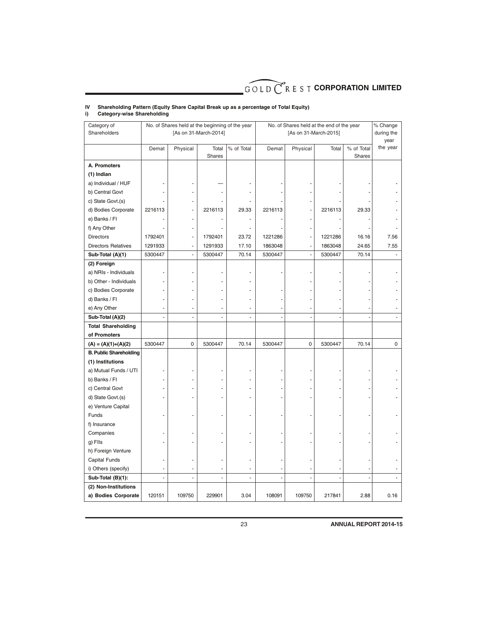#### **IV Shareholding Pattern (Equity Share Capital Break up as a percentage of Total Equity)**

#### **i) Category-wise Shareholding**

| Category of                   | No. of Shares held at the beginning of the year |                          | No. of Shares held at the end of the year |                |                          | % Change                 |         |                      |                          |
|-------------------------------|-------------------------------------------------|--------------------------|-------------------------------------------|----------------|--------------------------|--------------------------|---------|----------------------|--------------------------|
| Shareholders                  |                                                 |                          | [As on 31-March-2014]                     |                |                          | [As on 31-March-2015]    |         | during the<br>year   |                          |
|                               | Demat                                           | Physical                 | Total<br>Shares                           | % of Total     | Demat                    | Physical                 | Total   | % of Total<br>Shares | the year                 |
| A. Promoters                  |                                                 |                          |                                           |                |                          |                          |         |                      |                          |
| (1) Indian                    |                                                 |                          |                                           |                |                          |                          |         |                      |                          |
| a) Individual / HUF           |                                                 |                          |                                           |                |                          |                          |         |                      |                          |
| b) Central Govt               |                                                 |                          |                                           |                |                          |                          |         |                      |                          |
| c) State Govt.(s)             |                                                 |                          |                                           |                |                          |                          |         |                      |                          |
| d) Bodies Corporate           | 2216113                                         | ä,                       | 2216113                                   | 29.33          | 2216113                  |                          | 2216113 | 29.33                |                          |
| e) Banks / Fl                 |                                                 |                          |                                           |                |                          |                          |         |                      |                          |
| f) Any Other                  |                                                 |                          |                                           |                |                          |                          |         |                      |                          |
| <b>Directors</b>              | 1792401                                         |                          | 1792401                                   | 23.72          | 1221286                  |                          | 1221286 | 16.16                | 7.56                     |
| <b>Directors Relatives</b>    | 1291933                                         | $\overline{\phantom{a}}$ | 1291933                                   | 17.10          | 1863048                  | $\overline{a}$           | 1863048 | 24.65                | 7.55                     |
| Sub-Total (A)(1)              | 5300447                                         | $\overline{\phantom{a}}$ | 5300447                                   | 70.14          | 5300447                  | $\overline{\phantom{a}}$ | 5300447 | 70.14                |                          |
| (2) Foreign                   |                                                 |                          |                                           |                |                          |                          |         |                      |                          |
| a) NRIs - Individuals         |                                                 |                          |                                           |                |                          |                          |         |                      |                          |
| b) Other - Individuals        |                                                 |                          |                                           |                |                          |                          |         |                      |                          |
| c) Bodies Corporate           |                                                 |                          |                                           |                |                          |                          |         |                      |                          |
| d) Banks / FI                 |                                                 |                          |                                           |                |                          |                          |         |                      |                          |
| e) Any Other                  |                                                 |                          |                                           |                |                          |                          |         |                      |                          |
| Sub-Total (A)(2)              | $\overline{\phantom{a}}$                        | $\blacksquare$           | $\overline{a}$                            | $\overline{a}$ | $\overline{\phantom{a}}$ | ÷                        |         |                      | $\overline{\phantom{a}}$ |
| <b>Total Shareholding</b>     |                                                 |                          |                                           |                |                          |                          |         |                      |                          |
| of Promoters                  |                                                 |                          |                                           |                |                          |                          |         |                      |                          |
| $(A) = (A)(1)+(A)(2)$         | 5300447                                         | 0                        | 5300447                                   | 70.14          | 5300447                  | 0                        | 5300447 | 70.14                | 0                        |
| <b>B. Public Shareholding</b> |                                                 |                          |                                           |                |                          |                          |         |                      |                          |
| (1) Institutions              |                                                 |                          |                                           |                |                          |                          |         |                      |                          |
| a) Mutual Funds / UTI         |                                                 |                          |                                           |                |                          |                          |         |                      |                          |
| b) Banks / Fl                 |                                                 |                          |                                           |                |                          |                          |         |                      |                          |
| c) Central Govt               |                                                 |                          |                                           |                |                          |                          |         |                      |                          |
| d) State Govt.(s)             |                                                 |                          |                                           |                |                          |                          |         |                      |                          |
| e) Venture Capital            |                                                 |                          |                                           |                |                          |                          |         |                      |                          |
| Funds                         |                                                 |                          |                                           |                |                          |                          |         |                      |                          |
| f) Insurance                  |                                                 |                          |                                           |                |                          |                          |         |                      |                          |
| Companies                     |                                                 |                          |                                           |                |                          |                          |         |                      |                          |
| g) Fils                       |                                                 |                          |                                           |                |                          |                          |         |                      |                          |
| h) Foreign Venture            |                                                 |                          |                                           |                |                          |                          |         |                      |                          |
| Capital Funds                 |                                                 |                          |                                           |                |                          |                          |         |                      |                          |
| i) Others (specify)           |                                                 |                          |                                           |                |                          |                          |         |                      |                          |
| Sub-Total (B)(1):             | $\overline{a}$                                  | ÷,                       | ÷                                         | $\overline{a}$ | $\overline{a}$           |                          |         |                      |                          |
| (2) Non-Institutions          |                                                 |                          |                                           |                |                          |                          |         |                      |                          |
| a) Bodies Corporate           | 120151                                          | 109750                   | 229901                                    | 3.04           | 108091                   | 109750                   | 217841  | 2.88                 | 0.16                     |

23 **ANNUAL REPORT 2014-15**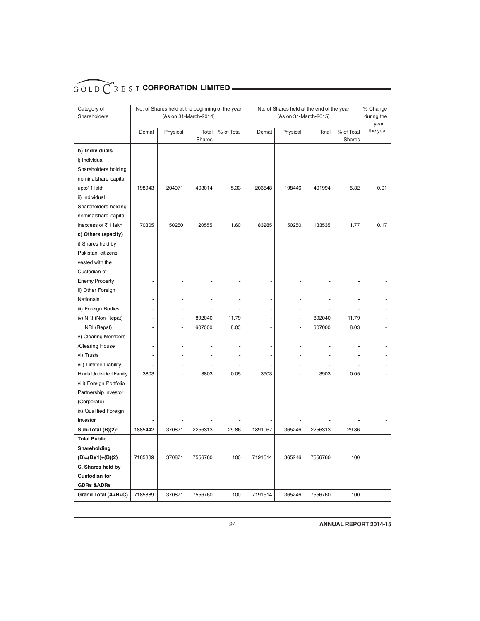|  |  |  |  | $\widetilde{\mathsf{GOL}}$ $\mathsf{D}$ $\widetilde{\mathsf{C}}$ $\mathsf{R}}$ $\mathsf{E}$ $\mathsf{S}$ $\mathsf{T}$ corporation limited |  |
|--|--|--|--|-------------------------------------------------------------------------------------------------------------------------------------------|--|

| Category of<br>Shareholders   | No. of Shares held at the beginning of the year<br>[As on 31-March-2014] |          |                        |            | No. of Shares held at the end of the year<br>[As on 31-March-2015] |          |         | % Change<br>during the<br>year |          |
|-------------------------------|--------------------------------------------------------------------------|----------|------------------------|------------|--------------------------------------------------------------------|----------|---------|--------------------------------|----------|
|                               | Demat                                                                    | Physical | Total<br><b>Shares</b> | % of Total | Demat                                                              | Physical | Total   | % of Total<br><b>Shares</b>    | the year |
| b) Individuals                |                                                                          |          |                        |            |                                                                    |          |         |                                |          |
| i) Individual                 |                                                                          |          |                        |            |                                                                    |          |         |                                |          |
| Shareholders holding          |                                                                          |          |                        |            |                                                                    |          |         |                                |          |
| nominalshare capital          |                                                                          |          |                        |            |                                                                    |          |         |                                |          |
| upto' 1 lakh                  | 198943                                                                   | 204071   | 403014                 | 5.33       | 203548                                                             | 198446   | 401994  | 5.32                           | 0.01     |
| ii) Individual                |                                                                          |          |                        |            |                                                                    |          |         |                                |          |
| Shareholders holding          |                                                                          |          |                        |            |                                                                    |          |         |                                |          |
| nominalshare capital          |                                                                          |          |                        |            |                                                                    |          |         |                                |          |
| inexcess of ₹1 lakh           | 70305                                                                    | 50250    | 120555                 | 1.60       | 83285                                                              | 50250    | 133535  | 1.77                           | 0.17     |
| c) Others (specify)           |                                                                          |          |                        |            |                                                                    |          |         |                                |          |
| i) Shares held by             |                                                                          |          |                        |            |                                                                    |          |         |                                |          |
| Pakistani citizens            |                                                                          |          |                        |            |                                                                    |          |         |                                |          |
| vested with the               |                                                                          |          |                        |            |                                                                    |          |         |                                |          |
| Custodian of                  |                                                                          |          |                        |            |                                                                    |          |         |                                |          |
| <b>Enemy Property</b>         |                                                                          |          |                        |            |                                                                    |          |         |                                |          |
| ii) Other Foreign             |                                                                          |          |                        |            |                                                                    |          |         |                                |          |
| Nationals                     |                                                                          |          |                        |            |                                                                    |          |         |                                |          |
| iii) Foreign Bodies           |                                                                          |          |                        |            |                                                                    |          |         |                                |          |
| iv) NRI (Non-Repat)           |                                                                          | ٠        | 892040                 | 11.79      |                                                                    |          | 892040  | 11.79                          |          |
| NRI (Repat)                   |                                                                          |          | 607000                 | 8.03       |                                                                    |          | 607000  | 8.03                           |          |
| v) Clearing Members           |                                                                          |          |                        |            |                                                                    |          |         |                                |          |
| /Clearing House               |                                                                          |          |                        |            |                                                                    |          |         |                                |          |
| vi) Trusts                    |                                                                          |          |                        |            |                                                                    |          |         |                                |          |
| vii) Limited Liability        |                                                                          |          |                        |            |                                                                    |          |         |                                |          |
| <b>Hindu Undivided Family</b> | 3803                                                                     |          | 3803                   | 0.05       | 3903                                                               |          | 3903    | 0.05                           |          |
| viii) Foreign Portfolio       |                                                                          |          |                        |            |                                                                    |          |         |                                |          |
| Partnership Investor          |                                                                          |          |                        |            |                                                                    |          |         |                                |          |
| (Corporate)                   |                                                                          |          |                        |            |                                                                    |          |         |                                |          |
| ix) Qualified Foreign         |                                                                          |          |                        |            |                                                                    |          |         |                                |          |
| Investor                      |                                                                          |          | ٠                      |            |                                                                    |          |         |                                |          |
| Sub-Total (B)(2):             | 1885442                                                                  | 370871   | 2256313                | 29.86      | 1891067                                                            | 365246   | 2256313 | 29.86                          |          |
| <b>Total Public</b>           |                                                                          |          |                        |            |                                                                    |          |         |                                |          |
| Shareholding                  |                                                                          |          |                        |            |                                                                    |          |         |                                |          |
| $(B)=(B)(1)+(B)(2)$           | 7185889                                                                  | 370871   | 7556760                | 100        | 7191514                                                            | 365246   | 7556760 | 100                            |          |
| C. Shares held by             |                                                                          |          |                        |            |                                                                    |          |         |                                |          |
| <b>Custodian for</b>          |                                                                          |          |                        |            |                                                                    |          |         |                                |          |
| <b>GDRs &amp;ADRs</b>         |                                                                          |          |                        |            |                                                                    |          |         |                                |          |
| Grand Total (A+B+C)           | 7185889                                                                  | 370871   | 7556760                | 100        | 7191514                                                            | 365246   | 7556760 | 100                            |          |

24 **ANNUAL REPORT 2014-15**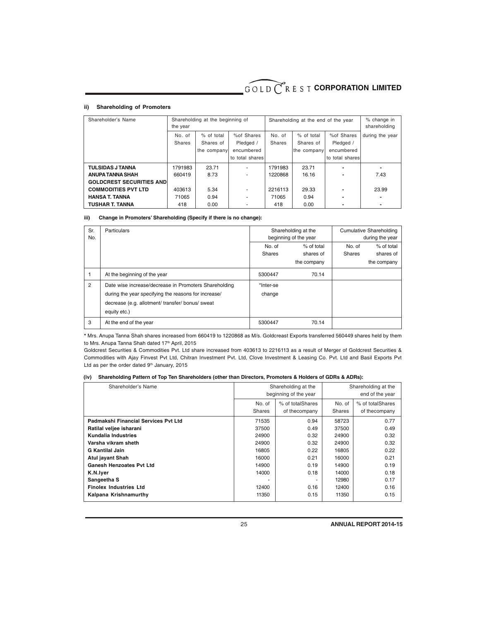#### **ii) Shareholding of Promoters**

| Shareholder's Name              | the year      | Shareholding at the beginning of |                 | Shareholding at the end of the year |              |                 | % change in<br>shareholding |
|---------------------------------|---------------|----------------------------------|-----------------|-------------------------------------|--------------|-----------------|-----------------------------|
|                                 | No. of        | % of total                       | %of Shares      | No. of                              | $%$ of total | %of Shares      | during the year             |
|                                 | <b>Shares</b> | Shares of                        | Pledged /       | Shares                              | Shares of    | Pledged /       |                             |
|                                 |               | the company                      | encumbered      |                                     | the company  | encumbered      |                             |
|                                 |               |                                  | to total shares |                                     |              | to total shares |                             |
| <b>TULSIDAS J TANNA</b>         | 1791983       | 23.71                            | ۰.              | 1791983                             | 23.71        |                 |                             |
| <b>ANUPA TANNA SHAH</b>         | 660419        | 8.73                             | ٠               | 1220868                             | 16.16        |                 | 7.43                        |
| <b>GOLDCREST SECURITIES AND</b> |               |                                  |                 |                                     |              |                 |                             |
| <b>COMMODITIES PVT LTD</b>      | 403613        | 5.34                             | ۰               | 2216113                             | 29.33        |                 | 23.99                       |
| <b>HANSA T. TANNA</b>           | 71065         | 0.94                             | ۰               | 71065                               | 0.94         |                 |                             |
| <b>TUSHAR T. TANNA</b>          | 418           | 0.00                             | ۰               | 418                                 | 0.00         |                 |                             |

#### **iii) Change in Promoters' Shareholding (Specify if there is no change):**

| Sr.<br>No.     | <b>Particulars</b>                                                                                                                                                                |                     | Shareholding at the<br>beginning of the year | <b>Cumulative Shareholding</b><br>during the year |                                        |  |
|----------------|-----------------------------------------------------------------------------------------------------------------------------------------------------------------------------------|---------------------|----------------------------------------------|---------------------------------------------------|----------------------------------------|--|
|                |                                                                                                                                                                                   | No. of<br>Shares    | % of total<br>shares of<br>the company       | No. of<br><b>Shares</b>                           | % of total<br>shares of<br>the company |  |
|                | At the beginning of the year                                                                                                                                                      | 5300447             | 70.14                                        |                                                   |                                        |  |
| $\overline{2}$ | Date wise increase/decrease in Promoters Shareholding<br>during the year specifying the reasons for increase/<br>decrease (e.g. allotment/ transfer/ bonus/ sweat<br>equity etc.) | *Inter-se<br>change |                                              |                                                   |                                        |  |
| 3              | At the end of the year                                                                                                                                                            | 5300447             | 70.14                                        |                                                   |                                        |  |

**\*** Mrs. Anupa Tanna Shah shares increased from 660419 to 1220868 as M/s. Goldcreast Exports transferred 560449 shares held by them to Mrs. Anupa Tanna Shah dated 17<sup>th</sup> April, 2015

Goldcrest Securities & Commodities Pvt. Ltd share increased from 403613 to 2216113 as a result of Merger of Goldcrest Securities & Commodities with Ajay Finvest Pvt Ltd, Chitran Investment Pvt. Ltd, Clove Investment & Leasing Co. Pvt. Ltd and Basil Exports Pvt Ltd as per the order dated 9<sup>th</sup> January, 2015

#### **(iv) Shareholding Pattern of Top Ten Shareholders (other than Directors, Promoters & Holders of GDRs & ADRs):**

| Shareholder's Name                   |                  | Shareholding at the<br>beginning of the year | Shareholding at the<br>end of the year |                                   |  |
|--------------------------------------|------------------|----------------------------------------------|----------------------------------------|-----------------------------------|--|
|                                      | No. of<br>Shares | % of totalShares<br>of thecompany            | No. of<br>Shares                       | % of totalShares<br>of thecompany |  |
| Padmakshi Financial Services Pvt Ltd | 71535            | 0.94                                         | 58723                                  | 0.77                              |  |
| Ratilal veljee isharani              | 37500            | 0.49                                         | 37500                                  | 0.49                              |  |
| Kundalia Industries                  | 24900            | 0.32                                         | 24900                                  | 0.32                              |  |
| Varsha vikram sheth                  | 24900            | 0.32                                         | 24900                                  | 0.32                              |  |
| <b>G Kantilal Jain</b>               | 16805            | 0.22                                         | 16805                                  | 0.22                              |  |
| <b>Atul jayant Shah</b>              | 16000            | 0.21                                         | 16000                                  | 0.21                              |  |
| <b>Ganesh Henzoates Pvt Ltd</b>      | 14900            | 0.19                                         | 14900                                  | 0.19                              |  |
| K.N.Iver                             | 14000            | 0.18                                         | 14000                                  | 0.18                              |  |
| Sangeetha S                          |                  |                                              | 12980                                  | 0.17                              |  |
| <b>Finolex Industries Ltd</b>        | 12400            | 0.16                                         | 12400                                  | 0.16                              |  |
| Kalpana Krishnamurthy                | 11350            | 0.15                                         | 11350                                  | 0.15                              |  |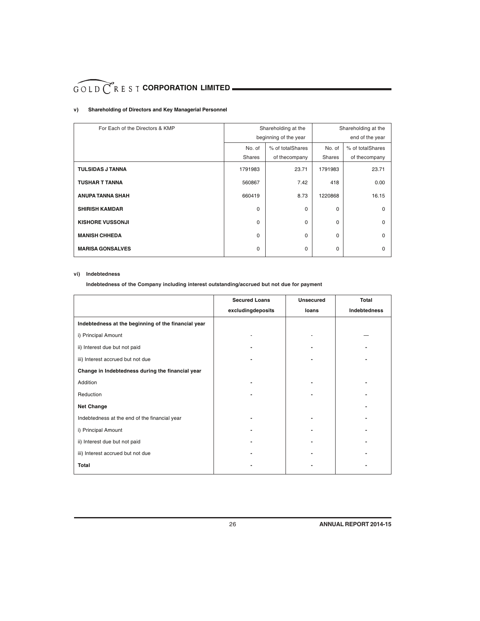#### **v) Shareholding of Directors and Key Managerial Personnel**

| For Each of the Directors & KMP | Shareholding at the |                       | Shareholding at the |                  |
|---------------------------------|---------------------|-----------------------|---------------------|------------------|
|                                 |                     | beginning of the year |                     | end of the year  |
|                                 | No. of              | % of totalShares      | No. of              | % of totalShares |
|                                 | Shares              | of thecompany         | Shares              | of thecompany    |
| <b>TULSIDAS J TANNA</b>         | 1791983             | 23.71                 | 1791983             | 23.71            |
| <b>TUSHAR T TANNA</b>           | 560867              | 7.42                  | 418                 | 0.00             |
| <b>ANUPA TANNA SHAH</b>         | 660419              | 8.73                  | 1220868             | 16.15            |
| <b>SHIRISH KAMDAR</b>           | $\Omega$            | $\Omega$              | 0                   | $\Omega$         |
| <b>KISHORE VUSSONJI</b>         | $\Omega$            | $\Omega$              | 0                   | $\Omega$         |
| <b>MANISH CHHEDA</b>            | $\Omega$            | $\Omega$              | 0                   | $\Omega$         |
| <b>MARISA GONSALVES</b>         | 0                   | $\Omega$              | 0                   | $\Omega$         |

#### **vi) Indebtedness**

**Indebtedness of the Company including interest outstanding/accrued but not due for payment**

|                                                     | <b>Secured Loans</b> | <b>Unsecured</b> | Total               |
|-----------------------------------------------------|----------------------|------------------|---------------------|
|                                                     | excludingdeposits    | loans            | <b>Indebtedness</b> |
| Indebtedness at the beginning of the financial year |                      |                  |                     |
| i) Principal Amount                                 |                      |                  |                     |
| ii) Interest due but not paid                       |                      |                  |                     |
| iii) Interest accrued but not due                   |                      |                  |                     |
| Change in Indebtedness during the financial year    |                      |                  |                     |
| Addition                                            |                      |                  |                     |
| Reduction                                           |                      |                  |                     |
| <b>Net Change</b>                                   |                      |                  |                     |
| Indebtedness at the end of the financial year       |                      |                  |                     |
| i) Principal Amount                                 |                      |                  |                     |
| ii) Interest due but not paid                       |                      |                  |                     |
| iii) Interest accrued but not due                   |                      |                  |                     |
| Total                                               |                      |                  |                     |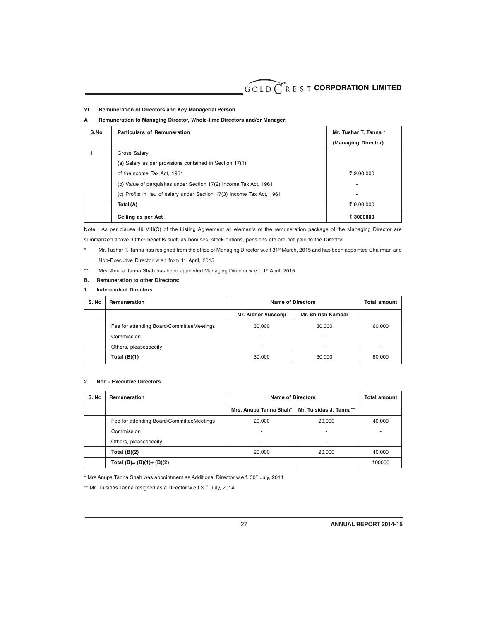#### **VI Remuneration of Directors and Key Managerial Person**

#### **A Remuneration to Managing Director, Whole-time Directors and/or Manager:**

| S.No | <b>Particulars of Remuneration</b>                                     | Mr. Tushar T. Tanna * |
|------|------------------------------------------------------------------------|-----------------------|
|      |                                                                        | (Managing Director)   |
|      | Gross Salary                                                           |                       |
|      | (a) Salary as per provisions contained in Section 17(1)                |                       |
|      | of the Income Tax Act, 1961                                            | ₹ 9,00,000            |
|      | (b) Value of perquisites under Section 17(2) Income Tax Act, 1961      | ٠                     |
|      | (c) Profits in lieu of salary under Section 17(3) Income Tax Act, 1961 | ٠                     |
|      | Total (A)                                                              | ₹ 9,00,000            |
|      | Ceiling as per Act                                                     | ₹ 3000000             |

Note : As per clause 49 VIII(C) of the Listing Agreement all elements of the remuneration package of the Managing Director are summarized above. Other benefits such as bonuses, stock options, pensions etc are not paid to the Director.

- \* Mr. Tushar T. Tanna has resigned from the office of Managing Director w.e.f 31<sup>st</sup> March, 2015 and has been appointed Chairman and Non-Executive Director w.e.f from 1st April, 2015
- \*\* Mrs. Anupa Tanna Shah has been appointed Managing Director w.e.f. 1<sup>st</sup> April, 2015

#### **B. Remuneration to other Directors:**

#### **1. Independent Directors**

| S. No | Remuneration                              | <b>Name of Directors</b> | <b>Total amount</b> |        |
|-------|-------------------------------------------|--------------------------|---------------------|--------|
|       |                                           | Mr. Kishor Vussonji      | Mr. Shirish Kamdar  |        |
|       | Fee for attending Board/CommitteeMeetings | 30,000                   | 30.000              | 60,000 |
|       | Commission                                |                          | ۰                   |        |
|       | Others, pleasespecify                     |                          | ۰                   |        |
|       | Total $(B)(1)$                            | 30,000                   | 30,000              | 60,000 |

#### **2. Non - Executive Directors**

| S. No | Remuneration                              | <b>Name of Directors</b> | <b>Total amount</b>     |        |
|-------|-------------------------------------------|--------------------------|-------------------------|--------|
|       |                                           | Mrs. Anupa Tanna Shah*   | Mr. Tulsidas J. Tanna** |        |
|       | Fee for attending Board/CommitteeMeetings | 20,000                   | 20,000                  | 40,000 |
|       | Commission                                |                          |                         |        |
|       | Others, pleasespecify                     |                          |                         |        |
|       | Total (B)(2)                              | 20,000                   | 20,000                  | 40,000 |
|       | Total $(B)=(B)(1)+(B)(2)$                 |                          |                         | 100000 |

\* Mrs Anupa Tanna Shah was appointment as Additional Director w.e.f. 30<sup>th</sup> July, 2014

\*\* Mr. Tulsidas Tanna resigned as a Director w.e.f 30<sup>th</sup> July, 2014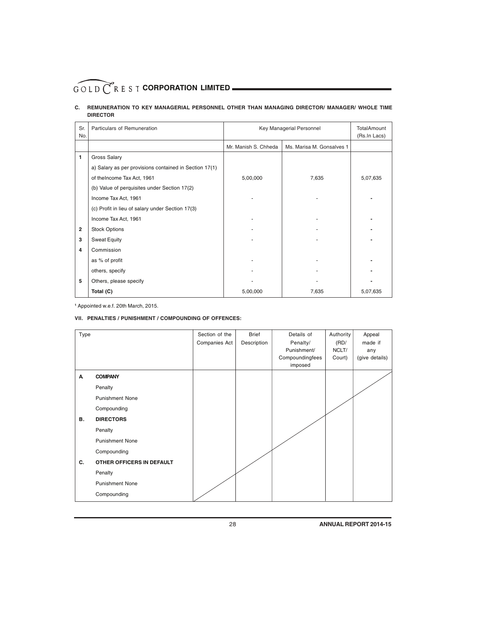#### **C. REMUNERATION TO KEY MANAGERIAL PERSONNEL OTHER THAN MANAGING DIRECTOR/ MANAGER/ WHOLE TIME DIRECTOR**

| Sr.<br>No.     | Particulars of Remuneration                            |                      | Key Managerial Personnel  | TotalAmount<br>(Rs.In Lacs) |
|----------------|--------------------------------------------------------|----------------------|---------------------------|-----------------------------|
|                |                                                        | Mr. Manish S. Chheda | Ms. Marisa M. Gonsalves 1 |                             |
| 1              | <b>Gross Salary</b>                                    |                      |                           |                             |
|                | a) Salary as per provisions contained in Section 17(1) |                      |                           |                             |
|                | of theIncome Tax Act, 1961                             | 5,00,000             | 7,635                     | 5,07,635                    |
|                | (b) Value of perquisites under Section 17(2)           |                      |                           |                             |
|                | Income Tax Act, 1961                                   |                      |                           |                             |
|                | (c) Profit in lieu of salary under Section 17(3)       |                      |                           |                             |
|                | Income Tax Act, 1961                                   |                      |                           |                             |
| $\overline{2}$ | <b>Stock Options</b>                                   |                      |                           |                             |
| 3              | <b>Sweat Equity</b>                                    |                      |                           |                             |
| 4              | Commission                                             |                      |                           |                             |
|                | as % of profit                                         |                      |                           |                             |
|                | others, specify                                        |                      |                           |                             |
| 5              | Others, please specify                                 |                      |                           |                             |
|                | Total (C)                                              | 5,00,000             | 7,635                     | 5,07,635                    |

**<sup>1</sup>** Appointed w.e.f. 20th March, 2015.

#### **VII. PENALTIES / PUNISHMENT / COMPOUNDING OF OFFENCES:**

| Type |                           | Section of the<br>Companies Act | <b>Brief</b><br>Description | Details of<br>Penalty/<br>Punishment/<br>Compoundingfees<br>imposed | Authority<br>(RD)<br>NCLT/<br>Court) | Appeal<br>made if<br>any<br>(give details) |
|------|---------------------------|---------------------------------|-----------------------------|---------------------------------------------------------------------|--------------------------------------|--------------------------------------------|
| A    | <b>COMPANY</b>            |                                 |                             |                                                                     |                                      |                                            |
|      | Penalty                   |                                 |                             |                                                                     |                                      |                                            |
|      | <b>Punishment None</b>    |                                 |                             |                                                                     |                                      |                                            |
|      | Compounding               |                                 |                             |                                                                     |                                      |                                            |
| В.   | <b>DIRECTORS</b>          |                                 |                             |                                                                     |                                      |                                            |
|      | Penalty                   |                                 |                             |                                                                     |                                      |                                            |
|      | <b>Punishment None</b>    |                                 |                             |                                                                     |                                      |                                            |
|      | Compounding               |                                 |                             |                                                                     |                                      |                                            |
| C.   | OTHER OFFICERS IN DEFAULT |                                 |                             |                                                                     |                                      |                                            |
|      | Penalty                   |                                 |                             |                                                                     |                                      |                                            |
|      | <b>Punishment None</b>    |                                 |                             |                                                                     |                                      |                                            |
|      | Compounding               |                                 |                             |                                                                     |                                      |                                            |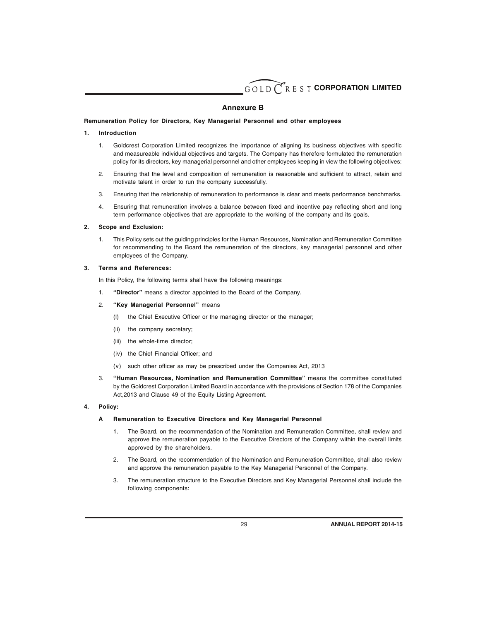

#### **Annexure B**

#### **Remuneration Policy for Directors, Key Managerial Personnel and other employees**

#### **1. Introduction**

- 1. Goldcrest Corporation Limited recognizes the importance of aligning its business objectives with specific and measureable individual objectives and targets. The Company has therefore formulated the remuneration policy for its directors, key managerial personnel and other employees keeping in view the following objectives:
- 2. Ensuring that the level and composition of remuneration is reasonable and sufficient to attract, retain and motivate talent in order to run the company successfully.
- 3. Ensuring that the relationship of remuneration to performance is clear and meets performance benchmarks.
- 4. Ensuring that remuneration involves a balance between fixed and incentive pay reflecting short and long term performance objectives that are appropriate to the working of the company and its goals.

#### **2. Scope and Exclusion:**

1. This Policy sets out the guiding principles for the Human Resources, Nomination and Remuneration Committee for recommending to the Board the remuneration of the directors, key managerial personnel and other employees of the Company.

#### **3. Terms and References:**

In this Policy, the following terms shall have the following meanings:

- 1. **"Director"** means a director appointed to the Board of the Company.
- 2. **"Key Managerial Personnel"** means
	- (I) the Chief Executive Officer or the managing director or the manager;
	- (ii) the company secretary;
	- (iii) the whole-time director;
	- (iv) the Chief Financial Officer; and
	- (v) such other officer as may be prescribed under the Companies Act, 2013
- 3. **"Human Resources, Nomination and Remuneration Committee"** means the committee constituted by the Goldcrest Corporation Limited Board in accordance with the provisions of Section 178 of the Companies Act,2013 and Clause 49 of the Equity Listing Agreement.

#### **4. Policy:**

- **A Remuneration to Executive Directors and Key Managerial Personnel**
	- 1. The Board, on the recommendation of the Nomination and Remuneration Committee, shall review and approve the remuneration payable to the Executive Directors of the Company within the overall limits approved by the shareholders.
	- 2. The Board, on the recommendation of the Nomination and Remuneration Committee, shall also review and approve the remuneration payable to the Key Managerial Personnel of the Company.
	- 3. The remuneration structure to the Executive Directors and Key Managerial Personnel shall include the following components: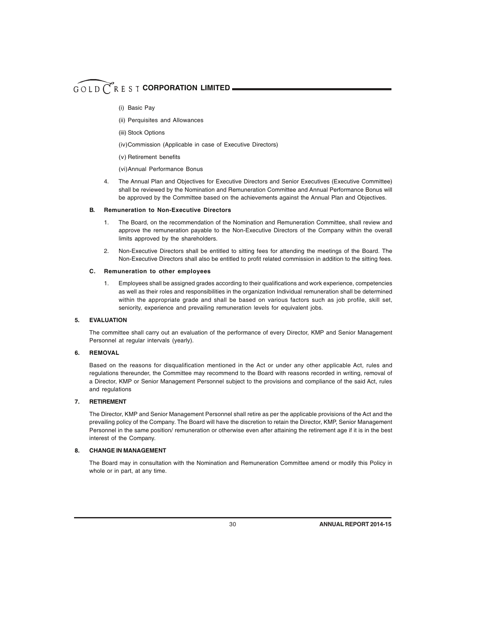- (i) Basic Pay
- (ii) Perquisites and Allowances
- (iii) Stock Options
- (iv)Commission (Applicable in case of Executive Directors)
- (v) Retirement benefits
- (vi)Annual Performance Bonus
- 4. The Annual Plan and Objectives for Executive Directors and Senior Executives (Executive Committee) shall be reviewed by the Nomination and Remuneration Committee and Annual Performance Bonus will be approved by the Committee based on the achievements against the Annual Plan and Objectives.

#### **B. Remuneration to Non-Executive Directors**

- 1. The Board, on the recommendation of the Nomination and Remuneration Committee, shall review and approve the remuneration payable to the Non-Executive Directors of the Company within the overall limits approved by the shareholders.
- 2. Non-Executive Directors shall be entitled to sitting fees for attending the meetings of the Board. The Non-Executive Directors shall also be entitled to profit related commission in addition to the sitting fees.

#### **C. Remuneration to other employees**

1. Employees shall be assigned grades according to their qualifications and work experience, competencies as well as their roles and responsibilities in the organization Individual remuneration shall be determined within the appropriate grade and shall be based on various factors such as job profile, skill set, seniority, experience and prevailing remuneration levels for equivalent jobs.

#### **5. EVALUATION**

The committee shall carry out an evaluation of the performance of every Director, KMP and Senior Management Personnel at regular intervals (yearly).

#### **6. REMOVAL**

Based on the reasons for disqualification mentioned in the Act or under any other applicable Act, rules and regulations thereunder, the Committee may recommend to the Board with reasons recorded in writing, removal of a Director, KMP or Senior Management Personnel subject to the provisions and compliance of the said Act, rules and regulations

#### **7. RETIREMENT**

The Director, KMP and Senior Management Personnel shall retire as per the applicable provisions of the Act and the prevailing policy of the Company. The Board will have the discretion to retain the Director, KMP, Senior Management Personnel in the same position/ remuneration or otherwise even after attaining the retirement age if it is in the best interest of the Company.

#### **8. CHANGE IN MANAGEMENT**

The Board may in consultation with the Nomination and Remuneration Committee amend or modify this Policy in whole or in part, at any time.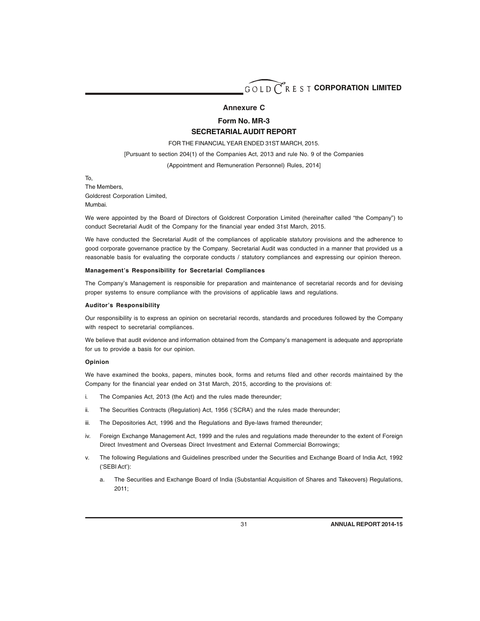

#### **Annexure C**

#### **Form No. MR-3**

#### **SECRETARIAL AUDIT REPORT**

FOR THE FINANCIAL YEAR ENDED 31ST MARCH, 2015.

[Pursuant to section 204(1) of the Companies Act, 2013 and rule No. 9 of the Companies

(Appointment and Remuneration Personnel) Rules, 2014]

To,

The Members, Goldcrest Corporation Limited, Mumbai.

We were appointed by the Board of Directors of Goldcrest Corporation Limited (hereinafter called "the Company") to conduct Secretarial Audit of the Company for the financial year ended 31st March, 2015.

We have conducted the Secretarial Audit of the compliances of applicable statutory provisions and the adherence to good corporate governance practice by the Company. Secretarial Audit was conducted in a manner that provided us a reasonable basis for evaluating the corporate conducts / statutory compliances and expressing our opinion thereon.

#### **Management's Responsibility for Secretarial Compliances**

The Company's Management is responsible for preparation and maintenance of secretarial records and for devising proper systems to ensure compliance with the provisions of applicable laws and regulations.

#### **Auditor's Responsibility**

Our responsibility is to express an opinion on secretarial records, standards and procedures followed by the Company with respect to secretarial compliances.

We believe that audit evidence and information obtained from the Company's management is adequate and appropriate for us to provide a basis for our opinion.

#### **Opinion**

We have examined the books, papers, minutes book, forms and returns filed and other records maintained by the Company for the financial year ended on 31st March, 2015, according to the provisions of:

- i. The Companies Act, 2013 (the Act) and the rules made thereunder;
- ii. The Securities Contracts (Regulation) Act, 1956 ('SCRA') and the rules made thereunder;
- iii. The Depositories Act, 1996 and the Regulations and Bye-laws framed thereunder;
- iv. Foreign Exchange Management Act, 1999 and the rules and regulations made thereunder to the extent of Foreign Direct Investment and Overseas Direct Investment and External Commercial Borrowings;
- v. The following Regulations and Guidelines prescribed under the Securities and Exchange Board of India Act, 1992 ('SEBI Act'):
	- a. The Securities and Exchange Board of India (Substantial Acquisition of Shares and Takeovers) Regulations, 2011;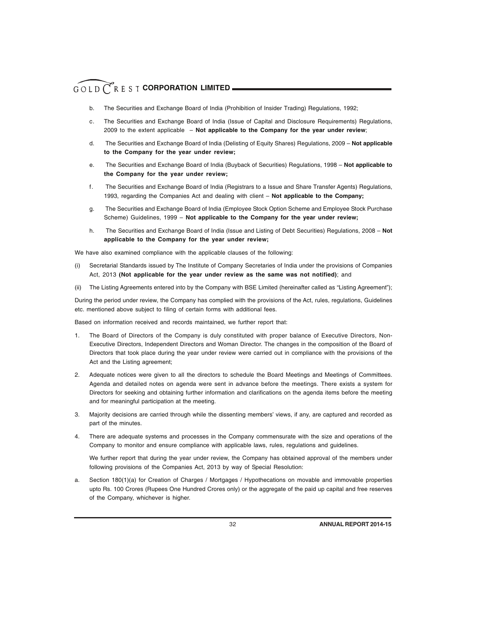- b. The Securities and Exchange Board of India (Prohibition of Insider Trading) Regulations, 1992;
- c. The Securities and Exchange Board of India (Issue of Capital and Disclosure Requirements) Regulations, 2009 to the extent applicable – **Not applicable to the Company for the year under review**;
- d. The Securities and Exchange Board of India (Delisting of Equity Shares) Regulations, 2009 **Not applicable to the Company for the year under review;**
- e. The Securities and Exchange Board of India (Buyback of Securities) Regulations, 1998 **Not applicable to the Company for the year under review;**
- f. The Securities and Exchange Board of India (Registrars to a Issue and Share Transfer Agents) Regulations, 1993, regarding the Companies Act and dealing with client – **Not applicable to the Company;**
- g. The Securities and Exchange Board of India (Employee Stock Option Scheme and Employee Stock Purchase Scheme) Guidelines, 1999 – **Not applicable to the Company for the year under review;**
- h. The Securities and Exchange Board of India (Issue and Listing of Debt Securities) Regulations, 2008 **Not applicable to the Company for the year under review;**

We have also examined compliance with the applicable clauses of the following:

- (i) Secretarial Standards issued by The Institute of Company Secretaries of India under the provisions of Companies Act, 2013 **(Not applicable for the year under review as the same was not notified)**; and
- The Listing Agreements entered into by the Company with BSE Limited (hereinafter called as "Listing Agreement");

During the period under review, the Company has complied with the provisions of the Act, rules, regulations, Guidelines etc. mentioned above subject to filing of certain forms with additional fees.

Based on information received and records maintained, we further report that:

- 1. The Board of Directors of the Company is duly constituted with proper balance of Executive Directors, Non-Executive Directors, Independent Directors and Woman Director. The changes in the composition of the Board of Directors that took place during the year under review were carried out in compliance with the provisions of the Act and the Listing agreement;
- 2. Adequate notices were given to all the directors to schedule the Board Meetings and Meetings of Committees. Agenda and detailed notes on agenda were sent in advance before the meetings. There exists a system for Directors for seeking and obtaining further information and clarifications on the agenda items before the meeting and for meaningful participation at the meeting.
- 3. Majority decisions are carried through while the dissenting members' views, if any, are captured and recorded as part of the minutes.
- 4. There are adequate systems and processes in the Company commensurate with the size and operations of the Company to monitor and ensure compliance with applicable laws, rules, regulations and guidelines.

We further report that during the year under review, the Company has obtained approval of the members under following provisions of the Companies Act, 2013 by way of Special Resolution:

a. Section 180(1)(a) for Creation of Charges / Mortgages / Hypothecations on movable and immovable properties upto Rs. 100 Crores (Rupees One Hundred Crores only) or the aggregate of the paid up capital and free reserves of the Company, whichever is higher.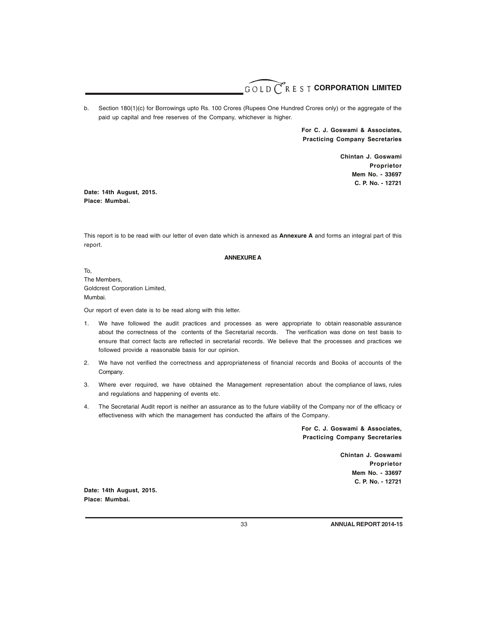b. Section 180(1)(c) for Borrowings upto Rs. 100 Crores (Rupees One Hundred Crores only) or the aggregate of the paid up capital and free reserves of the Company, whichever is higher.

> **For C. J. Goswami & Associates, Practicing Company Secretaries**

> > **Chintan J. Goswami Proprietor Mem No. - 33697 C. P. No. - 12721**

**Date: 14th August, 2015. Place: Mumbai.**

This report is to be read with our letter of even date which is annexed as **Annexure A** and forms an integral part of this report.

#### **ANNEXURE A**

To, The Members, Goldcrest Corporation Limited, Mumbai.

Our report of even date is to be read along with this letter.

- 1. We have followed the audit practices and processes as were appropriate to obtain reasonable assurance about the correctness of the contents of the Secretarial records. The verification was done on test basis to ensure that correct facts are reflected in secretarial records. We believe that the processes and practices we followed provide a reasonable basis for our opinion.
- 2. We have not verified the correctness and appropriateness of financial records and Books of accounts of the Company.
- 3. Where ever required, we have obtained the Management representation about the compliance of laws, rules and regulations and happening of events etc.
- 4. The Secretarial Audit report is neither an assurance as to the future viability of the Company nor of the efficacy or effectiveness with which the management has conducted the affairs of the Company.

**For C. J. Goswami & Associates, Practicing Company Secretaries**

> **Chintan J. Goswami Proprietor Mem No. - 33697 C. P. No. - 12721**

**Date: 14th August, 2015. Place: Mumbai.**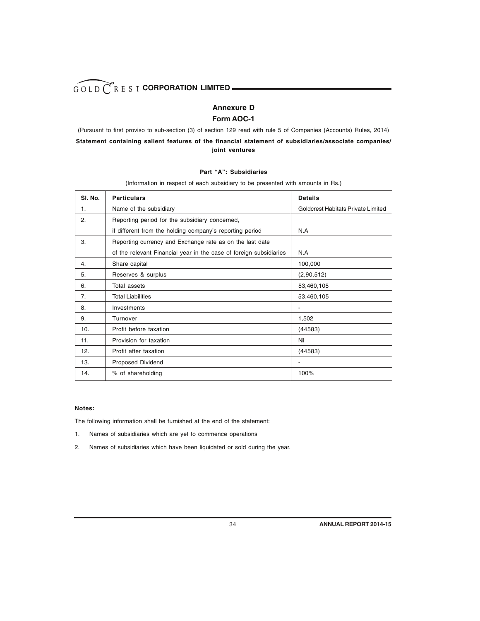### **Annexure D**

#### **Form AOC-1**

(Pursuant to first proviso to sub-section (3) of section 129 read with rule 5 of Companies (Accounts) Rules, 2014)

**Statement containing salient features of the financial statement of subsidiaries/associate companies/ joint ventures**

#### **Part "A": Subsidiaries**

(Information in respect of each subsidiary to be presented with amounts in Rs.)

| SI. No. | <b>Particulars</b>                                                 | <b>Details</b>                     |
|---------|--------------------------------------------------------------------|------------------------------------|
| 1.      | Name of the subsidiary                                             | Goldcrest Habitats Private Limited |
| 2.      | Reporting period for the subsidiary concerned,                     |                                    |
|         | if different from the holding company's reporting period           | N.A                                |
| 3.      | Reporting currency and Exchange rate as on the last date           |                                    |
|         | of the relevant Financial year in the case of foreign subsidiaries | N.A                                |
| 4.      | Share capital                                                      | 100,000                            |
| 5.      | Reserves & surplus                                                 | (2,90,512)                         |
| 6.      | Total assets                                                       | 53,460,105                         |
| 7.      | <b>Total Liabilities</b>                                           | 53,460,105                         |
| 8.      | Investments                                                        | $\overline{\phantom{a}}$           |
| 9.      | Turnover                                                           | 1,502                              |
| 10.     | Profit before taxation                                             | (44583)                            |
| 11.     | Provision for taxation                                             | Nil                                |
| 12.     | Profit after taxation                                              | (44583)                            |
| 13.     | Proposed Dividend                                                  |                                    |
| 14.     | % of shareholding                                                  | 100%                               |

#### **Notes:**

The following information shall be furnished at the end of the statement:

- 1. Names of subsidiaries which are yet to commence operations
- 2. Names of subsidiaries which have been liquidated or sold during the year.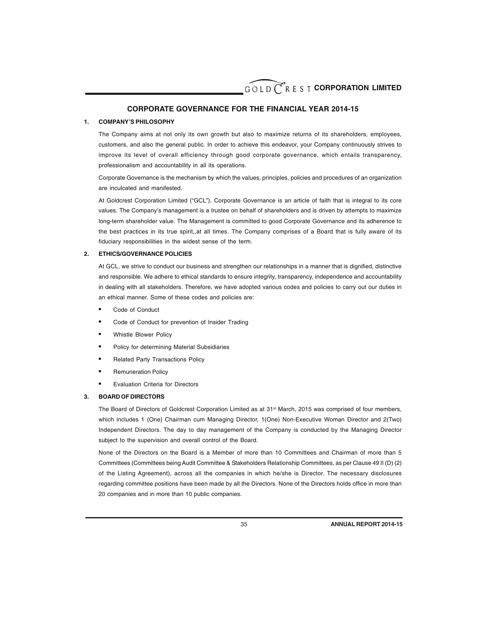#### **CORPORATE GOVERNANCE FOR THE FINANCIAL YEAR 2014-15**

#### **1. COMPANY'S PHILOSOPHY**

The Company aims at not only its own growth but also to maximize returns of its shareholders, employees, customers, and also the general public. In order to achieve this endeavor, your Company continuously strives to improve its level of overall efficiency through good corporate governance, which entails transparency, professionalism and accountability in all its operations.

Corporate Governance is the mechanism by which the values, principles, policies and procedures of an organization are inculcated and manifested.

At Goldcrest Corporation Limited ("GCL"), Corporate Governance is an article of faith that is integral to its core values. The Company's management is a trustee on behalf of shareholders and is driven by attempts to maximize long-term shareholder value. The Management is committed to good Corporate Governance and its adherence to the best practices in its true spirit,,at all times. The Company comprises of a Board that is fully aware of its fiduciary responsibilities in the widest sense of the term.

#### **2. ETHICS/GOVERNANCE POLICIES**

At GCL, we strive to conduct our business and strengthen our relationships in a manner that is dignified, distinctive and responsible. We adhere to ethical standards to ensure integrity, transparency, independence and accountability in dealing with all stakeholders. Therefore, we have adopted various codes and policies to carry out our duties in an ethical manner. Some of these codes and policies are:

- Code of Conduct
- Code of Conduct for prevention of Insider Trading
- Whistle Blower Policy
- Policy for determining Material Subsidiaries
- Related Party Transactions Policy
- Remuneration Policy
- Evaluation Criteria for Directors

#### **3. BOARD OF DIRECTORS**

The Board of Directors of Goldcrest Corporation Limited as at 31<sup>st</sup> March, 2015 was comprised of four members, which includes 1 (One) Chairman cum Managing Director, 1(One) Non-Executive Woman Director and 2(Two) Independent Directors. The day to day management of the Company is conducted by the Managing Director subject to the supervision and overall control of the Board.

None of the Directors on the Board is a Member of more than 10 Committees and Chairman of more than 5 Committees (Committees being Audit Committee & Stakeholders Relationship Committees, as per Clause 49 II (D) (2) of the Listing Agreement), across all the companies in which he/she is Director. The necessary disclosures regarding committee positions have been made by all the Directors. None of the Directors holds office in more than 20 companies and in more than 10 public companies.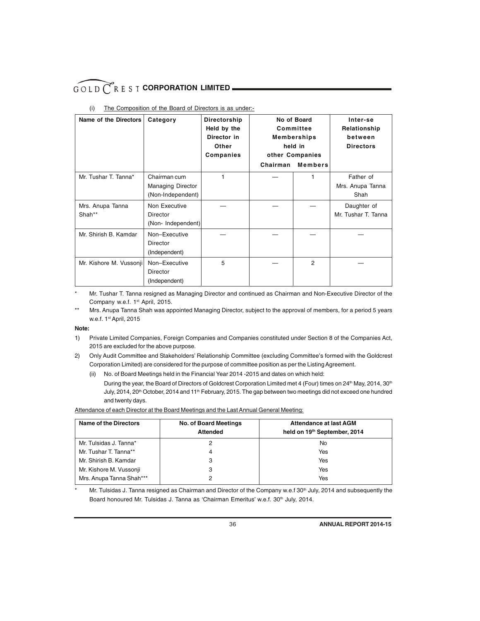| Name of the Directors      | Category                                                      | Directorship<br>Held by the<br>Director in<br>Other<br>Companies | No of Board<br>Committee<br><b>Memberships</b><br>held in<br>other Companies |                | Inter-se<br>Relationship<br>between<br><b>Directors</b> |
|----------------------------|---------------------------------------------------------------|------------------------------------------------------------------|------------------------------------------------------------------------------|----------------|---------------------------------------------------------|
|                            |                                                               |                                                                  | Chairman                                                                     | <b>Members</b> |                                                         |
| Mr. Tushar T. Tanna*       | Chairman cum<br><b>Managing Director</b><br>(Non-Independent) |                                                                  |                                                                              |                | Father of<br>Mrs. Anupa Tanna<br>Shah                   |
| Mrs. Anupa Tanna<br>Shah** | Non Executive<br><b>Director</b><br>(Non-Independent)         |                                                                  |                                                                              |                | Daughter of<br>Mr. Tushar T. Tanna                      |
| Mr. Shirish B. Kamdar      | Non-Executive<br><b>Director</b><br>(Independent)             |                                                                  |                                                                              |                |                                                         |
| Mr. Kishore M. Vussonji    | Non-Executive<br><b>Director</b><br>(Independent)             | 5                                                                |                                                                              | 2              |                                                         |

### (i) The Composition of the Board of Directors is as under:-

Mr. Tushar T. Tanna resigned as Managing Director and continued as Chairman and Non-Executive Director of the Company w.e.f. 1<sup>st</sup> April, 2015.

\*\* Mrs. Anupa Tanna Shah was appointed Managing Director, subject to the approval of members, for a period 5 years w.e.f. 1st April, 2015

#### **Note:**

- 1) Private Limited Companies, Foreign Companies and Companies constituted under Section 8 of the Companies Act, 2015 are excluded for the above purpose.
- 2) Only Audit Committee and Stakeholders' Relationship Committee (excluding Committee's formed with the Goldcrest Corporation Limited) are considered for the purpose of committee position as per the Listing Agreement.

(ii) No. of Board Meetings held in the Financial Year 2014 -2015 and dates on which held:

During the year, the Board of Directors of Goldcrest Corporation Limited met 4 (Four) times on 24<sup>th</sup> May, 2014, 30<sup>th</sup> July, 2014, 20<sup>th</sup> October, 2014 and 11<sup>th</sup> February, 2015. The gap between two meetings did not exceed one hundred and twenty days.

| Attendance of each Director at the Board Meetings and the Last Annual General Meeting: |
|----------------------------------------------------------------------------------------|
|----------------------------------------------------------------------------------------|

| Name of the Directors    | <b>No. of Board Meetings</b> | Attendance at last AGM                   |
|--------------------------|------------------------------|------------------------------------------|
|                          | <b>Attended</b>              | held on 19 <sup>th</sup> September, 2014 |
| Mr. Tulsidas J. Tanna*   |                              | No                                       |
| Mr. Tushar T. Tanna**    | 4                            | Yes                                      |
| Mr. Shirish B. Kamdar    | з                            | Yes                                      |
| Mr. Kishore M. Vussonji  | з                            | Yes                                      |
| Mrs. Anupa Tanna Shah*** |                              | Yes                                      |

Mr. Tulsidas J. Tanna resigned as Chairman and Director of the Company w.e.f 30<sup>th</sup> July, 2014 and subsequently the Board honoured Mr. Tulsidas J. Tanna as 'Chairman Emeritus' w.e.f. 30<sup>th</sup> July, 2014.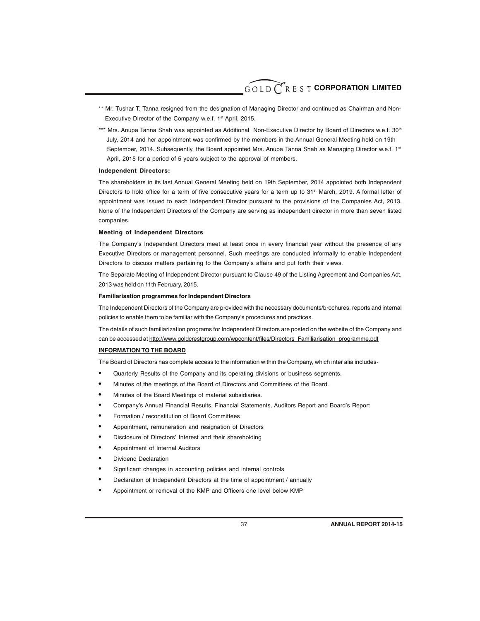- \*\* Mr. Tushar T. Tanna resigned from the designation of Managing Director and continued as Chairman and Non- Executive Director of the Company w.e.f. 1<sup>st</sup> April, 2015.
- \*\*\* Mrs. Anupa Tanna Shah was appointed as Additional Non-Executive Director by Board of Directors w.e.f. 30<sup>th</sup> July, 2014 and her appointment was confirmed by the members in the Annual General Meeting held on 19th September, 2014. Subsequently, the Board appointed Mrs. Anupa Tanna Shah as Managing Director w.e.f. 1<sup>st</sup> April, 2015 for a period of 5 years subject to the approval of members.

#### **Independent Directors:**

The shareholders in its last Annual General Meeting held on 19th September, 2014 appointed both Independent Directors to hold office for a term of five consecutive years for a term up to 31<sup>st</sup> March, 2019. A formal letter of appointment was issued to each Independent Director pursuant to the provisions of the Companies Act, 2013. None of the Independent Directors of the Company are serving as independent director in more than seven listed companies.

#### **Meeting of Independent Directors**

The Company's Independent Directors meet at least once in every financial year without the presence of any Executive Directors or management personnel. Such meetings are conducted informally to enable Independent Directors to discuss matters pertaining to the Company's affairs and put forth their views.

The Separate Meeting of Independent Director pursuant to Clause 49 of the Listing Agreement and Companies Act, 2013 was held on 11th February, 2015.

#### **Familiarisation programmes for Independent Directors**

The Independent Directors of the Company are provided with the necessary documents/brochures, reports and internal policies to enable them to be familiar with the Company's procedures and practices.

The details of such familiarization programs for Independent Directors are posted on the website of the Company and can be accessed at http://www.goldcrestgroup.com/wpcontent/files/Directors\_Familiarisation\_programme.pdf

#### **INFORMATION TO THE BOARD**

The Board of Directors has complete access to the information within the Company, which inter alia includes-

- Quarterly Results of the Company and its operating divisions or business segments.
- **•** Minutes of the meetings of the Board of Directors and Committees of the Board.
- **•** Minutes of the Board Meetings of material subsidiaries.
- Company's Annual Financial Results, Financial Statements, Auditors Report and Board's Report
- Formation / reconstitution of Board Committees
- Appointment, remuneration and resignation of Directors
- Disclosure of Directors' Interest and their shareholding
- Appointment of Internal Auditors
- Dividend Declaration
- Significant changes in accounting policies and internal controls
- Declaration of Independent Directors at the time of appointment / annually
- Appointment or removal of the KMP and Officers one level below KMP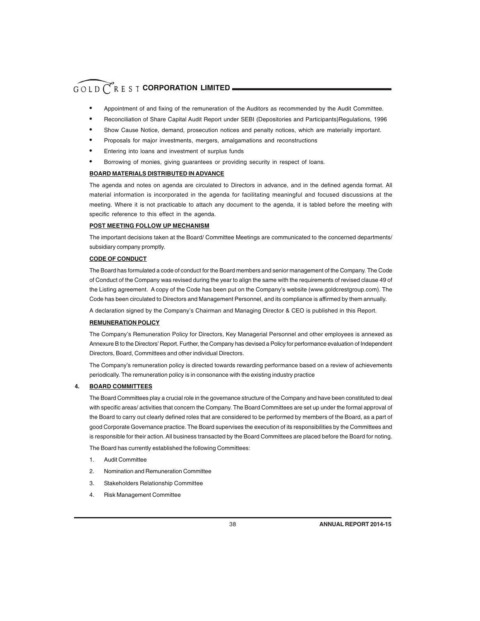- Appointment of and fixing of the remuneration of the Auditors as recommended by the Audit Committee.
- Reconciliation of Share Capital Audit Report under SEBI (Depositories and Participants)Regulations, 1996
- Show Cause Notice, demand, prosecution notices and penalty notices, which are materially important.
- Proposals for major investments, mergers, amalgamations and reconstructions
- Entering into loans and investment of surplus funds
- Borrowing of monies, giving guarantees or providing security in respect of loans.

#### **BOARD MATERIALS DISTRIBUTED IN ADVANCE**

The agenda and notes on agenda are circulated to Directors in advance, and in the defined agenda format. All material information is incorporated in the agenda for facilitating meaningful and focused discussions at the meeting. Where it is not practicable to attach any document to the agenda, it is tabled before the meeting with specific reference to this effect in the agenda.

#### **POST MEETING FOLLOW UP MECHANISM**

The important decisions taken at the Board/ Committee Meetings are communicated to the concerned departments/ subsidiary company promptly.

#### **CODE OF CONDUCT**

The Board has formulated a code of conduct for the Board members and senior management of the Company. The Code of Conduct of the Company was revised during the year to align the same with the requirements of revised clause 49 of the Listing agreement. A copy of the Code has been put on the Company's website (www.goldcrestgroup.com). The Code has been circulated to Directors and Management Personnel, and its compliance is affirmed by them annually.

A declaration signed by the Company's Chairman and Managing Director & CEO is published in this Report.

#### **REMUNERATION POLICY**

The Company's Remuneration Policy for Directors, Key Managerial Personnel and other employees is annexed as Annexure B to the Directors' Report. Further, the Company has devised a Policy for performance evaluation of Independent Directors, Board, Committees and other individual Directors.

The Company's remuneration policy is directed towards rewarding performance based on a review of achievements periodically. The remuneration policy is in consonance with the existing industry practice

#### **4. BOARD COMMITTEES**

The Board Committees play a crucial role in the governance structure of the Company and have been constituted to deal with specific areas/ activities that concern the Company. The Board Committees are set up under the formal approval of the Board to carry out clearly defined roles that are considered to be performed by members of the Board, as a part of good Corporate Governance practice. The Board supervises the execution of its responsibilities by the Committees and is responsible for their action. All business transacted by the Board Committees are placed before the Board for noting. The Board has currently established the following Committees:

- 1. Audit Committee
- 2. Nomination and Remuneration Committee
- 3. Stakeholders Relationship Committee
- 4. Risk Management Committee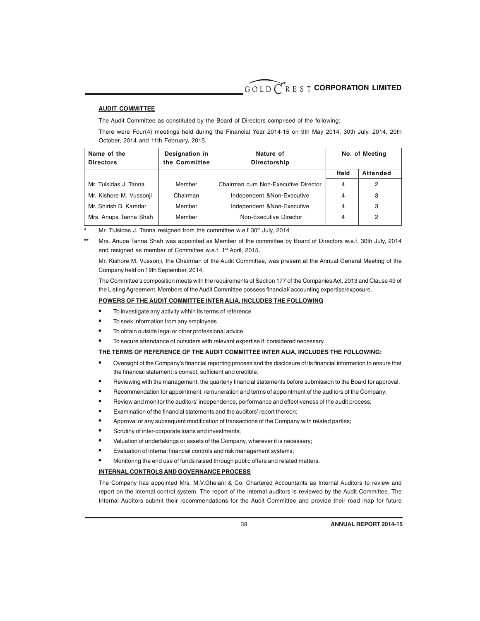#### **AUDIT COMMITTEE**

The Audit Committee as constituted by the Board of Directors comprised of the following:

There were Four(4) meetings held during the Financial Year 2014-15 on 9th May 2014, 30th July, 2014, 20th October, 2014 and 11th February, 2015.

| Name of the<br><b>Directors</b> | Designation in<br>the Committee | Nature of<br>Directorship           |      | No. of Meeting |
|---------------------------------|---------------------------------|-------------------------------------|------|----------------|
|                                 |                                 |                                     | Held | Attended       |
| Mr. Tulsidas J. Tanna           | Member                          | Chairman cum Non-Executive Director | 4    | 2              |
| Mr. Kishore M. Vussonji         | Chairman                        | Independent & Non-Executive         | 4    | 3              |
| Mr. Shirish B. Kamdar           | Member                          | Independent & Non-Executive         | 4    | 3              |
| Mrs. Anupa Tanna Shah           | Member                          | Non-Executive Director              | 4    | 2              |

- Mr. Tulsidas J. Tanna resigned from the committee w.e.f 30<sup>th</sup> July, 2014
- **\*\*** Mrs. Anupa Tanna Shah was appointed as Member of the committee by Board of Directors w.e.f. 30th July, 2014 and resigned as member of Committee w.e.f. 1<sup>st</sup> April, 2015.

Mr. Kishore M. Vussonji, the Chairman of the Audit Committee, was present at the Annual General Meeting of the Company held on 19th September, 2014.

The Committee's composition meets with the requirements of Section 177 of the Companies Act, 2013 and Clause 49 of the Listing Agreement. Members of the Audit Committee possess financial/ accounting expertise/exposure.

#### **POWERS OF THE AUDIT COMMITTEE INTER ALIA, INCLUDES THE FOLLOWING**

- **•** To investigate any activity within its terms of reference
- **•** To seek information from any employees
- **•** To obtain outside legal or other professional advice
- **•** To secure attendance of outsiders with relevant expertise if considered necessary.

#### **THE TERMS OF REFERENCE OF THE AUDIT COMMITTEE INTER ALIA, INCLUDES THE FOLLOWING:**

- **•** Oversight of the Company's financial reporting process and the disclosure of its financial information to ensure that the financial statement is correct, sufficient and credible.
- **•** Reviewing with the management, the quarterly financial statements before submission to the Board for approval.
- **•** Recommendation for appointment, remuneration and terms of appointment of the auditors of the Company;
- **•** Review and monitor the auditors' independence, performance and effectiveness of the audit process;
- **•** Examination of the financial statements and the auditors' report thereon;
- **•** Approval or any subsequent modification of transactions of the Company with related parties;
- **•** Scrutiny of inter-corporate loans and investments;
- **•** Valuation of undertakings or assets of the Company, wherever it is necessary;
- **•** Evaluation of internal financial controls and risk management systems;
- **•** Monitoring the end use of funds raised through public offers and related matters.

#### **INTERNAL CONTROLS AND GOVERNANCE PROCESS**

The Company has appointed M/s. M.V.Ghelani & Co. Chartered Accountants as Internal Auditors to review and report on the internal control system. The report of the internal auditors is reviewed by the Audit Committee. The Internal Auditors submit their recommendations for the Audit Committee and provide their road map for future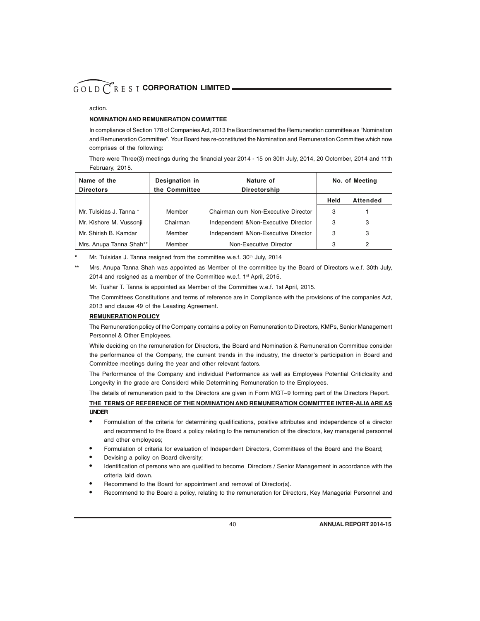#### action.

#### **NOMINATION AND REMUNERATION COMMITTEE**

In compliance of Section 178 of Companies Act, 2013 the Board renamed the Remuneration committee as "Nomination and Remuneration Committee". Your Board has re-constituted the Nomination and Remuneration Committee which now comprises of the following:

There were Three(3) meetings during the financial year 2014 - 15 on 30th July, 2014, 20 Octomber, 2014 and 11th February, 2015.

| Name of the<br><b>Directors</b> | Designation in<br>the Committee | Nature of<br>Directorship            |      | No. of Meeting  |
|---------------------------------|---------------------------------|--------------------------------------|------|-----------------|
|                                 |                                 |                                      | Held | <b>Attended</b> |
| Mr. Tulsidas J. Tanna *         | Member                          | Chairman cum Non-Executive Director  | 3    |                 |
| Mr. Kishore M. Vussonji         | Chairman                        | Independent & Non-Executive Director | 3    | 3               |
| Mr. Shirish B. Kamdar           | Member                          | Independent & Non-Executive Director | 3    | 3               |
| Mrs. Anupa Tanna Shah**         | Member                          | Non-Executive Director               | 3    | 2               |

Mr. Tulsidas J. Tanna resigned from the committee w.e.f. 30<sup>th</sup> July, 2014

**\*\*** Mrs. Anupa Tanna Shah was appointed as Member of the committee by the Board of Directors w.e.f. 30th July, 2014 and resigned as a member of the Committee w.e.f. 1<sup>st</sup> April, 2015.

Mr. Tushar T. Tanna is appointed as Member of the Committee w.e.f. 1st April, 2015.

The Committees Constitutions and terms of reference are in Compliance with the provisions of the companies Act, 2013 and clause 49 of the Leasting Agreement.

#### **REMUNERATION POLICY**

The Remuneration policy of the Company contains a policy on Remuneration to Directors, KMPs, Senior Management Personnel & Other Employees.

While deciding on the remuneration for Directors, the Board and Nomination & Remuneration Committee consider the performance of the Company, the current trends in the industry, the director's participation in Board and Committee meetings during the year and other relevant factors.

The Performance of the Company and individual Performance as well as Employees Potential Criticlcality and Longevity in the grade are Considerd while Determining Remuneration to the Employees.

The details of remuneration paid to the Directors are given in Form MGT–9 forming part of the Directors Report.

#### **THE TERMS OF REFERENCE OF THE NOMINATION AND REMUNERATION COMMITTEE INTER-ALIA ARE AS UNDER**

- **•** Formulation of the criteria for determining qualifications, positive attributes and independence of a director and recommend to the Board a policy relating to the remuneration of the directors, key managerial personnel and other employees;
- **•** Formulation of criteria for evaluation of Independent Directors, Committees of the Board and the Board;
- **•** Devising a policy on Board diversity;
- **•** Identification of persons who are qualified to become Directors / Senior Management in accordance with the criteria laid down.
- **•** Recommend to the Board for appointment and removal of Director(s).
- **•** Recommend to the Board a policy, relating to the remuneration for Directors, Key Managerial Personnel and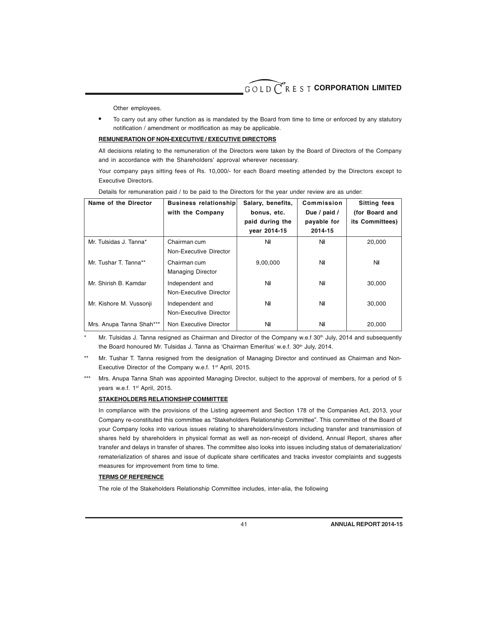Other employees.

**•** To carry out any other function as is mandated by the Board from time to time or enforced by any statutory notification / amendment or modification as may be applicable.

**COLD CREST CORPORATION LIMITED** 

#### **REMUNERATION OF NON-EXECUTIVE / EXECUTIVE DIRECTORS**

All decisions relating to the remuneration of the Directors were taken by the Board of Directors of the Company and in accordance with the Shareholders' approval wherever necessary.

Your company pays sitting fees of Rs. 10,000/- for each Board meeting attended by the Directors except to Executive Directors.

| Name of the Director     | <b>Business relationship</b><br>with the Company | Salary, benefits,<br>bonus, etc.<br>paid during the<br>vear 2014-15 | Commission<br>Due / paid /<br>payable for<br>2014-15 | <b>Sitting fees</b><br>(for Board and<br>its Committees) |
|--------------------------|--------------------------------------------------|---------------------------------------------------------------------|------------------------------------------------------|----------------------------------------------------------|
| Mr. Tulsidas J. Tanna*   | Chairman cum<br>Non-Executive Director           | Nil                                                                 | Nil                                                  | 20,000                                                   |
| Mr. Tushar T. Tanna**    | Chairman cum<br><b>Managing Director</b>         | 9,00,000                                                            | Nil                                                  | Nil                                                      |
| Mr. Shirish B. Kamdar    | Independent and<br>Non-Executive Director        | Nil                                                                 | Nil                                                  | 30.000                                                   |
| Mr. Kishore M. Vussonji  | Independent and<br>Non-Executive Director        | Nil                                                                 | Nil                                                  | 30,000                                                   |
| Mrs. Anupa Tanna Shah*** | Non Executive Director                           | Nil                                                                 | Nil                                                  | 20,000                                                   |

Details for remuneration paid / to be paid to the Directors for the year under review are as under:

Mr. Tulsidas J. Tanna resigned as Chairman and Director of the Company w.e.f 30<sup>th</sup> July, 2014 and subsequently the Board honoured Mr. Tulsidas J. Tanna as 'Chairman Emeritus' w.e.f. 30<sup>th</sup> July, 2014.

- \*\* Mr. Tushar T. Tanna resigned from the designation of Managing Director and continued as Chairman and Non-Executive Director of the Company w.e.f. 1<sup>st</sup> April, 2015.
- \*\*\* Mrs. Anupa Tanna Shah was appointed Managing Director, subject to the approval of members, for a period of 5 years w.e.f. 1<sup>st</sup> April, 2015.

#### **STAKEHOLDERS RELATIONSHIP COMMITTEE**

In compliance with the provisions of the Listing agreement and Section 178 of the Companies Act, 2013, your Company re-constituted this committee as "Stakeholders Relationship Committee". This committee of the Board of your Company looks into various issues relating to shareholders/investors including transfer and transmission of shares held by shareholders in physical format as well as non-receipt of dividend, Annual Report, shares after transfer and delays in transfer of shares. The committee also looks into issues including status of dematerialization/ rematerialization of shares and issue of duplicate share certificates and tracks investor complaints and suggests measures for improvement from time to time.

#### **TERMS OF REFERENCE**

The role of the Stakeholders Relationship Committee includes, inter-alia, the following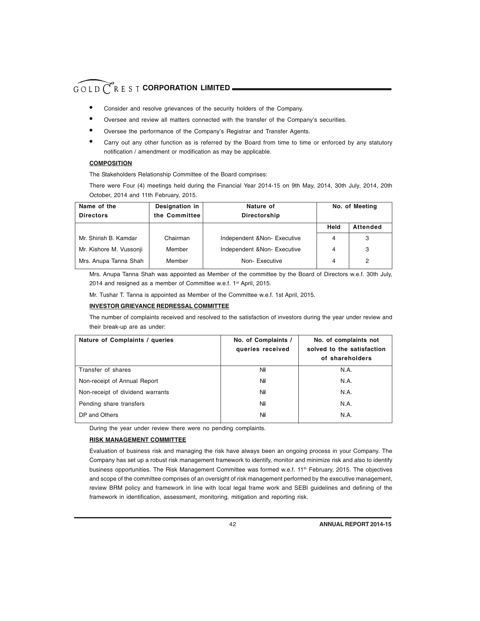- Consider and resolve grievances of the security holders of the Company.
- Oversee and review all matters connected with the transfer of the Company's securities.
- Oversee the performance of the Company's Registrar and Transfer Agents.
- Carry out any other function as is referred by the Board from time to time or enforced by any statutory notification / amendment or modification as may be applicable.

#### **COMPOSITION**

The Stakeholders Relationship Committee of the Board comprises:

There were Four (4) meetings held during the Financial Year 2014-15 on 9th May, 2014, 30th July, 2014, 20th October, 2014 and 11th February, 2015.

| Name of the<br><b>Directors</b> | Designation in<br>the Committee | Nature of<br>Directorship   |      | No. of Meeting |
|---------------------------------|---------------------------------|-----------------------------|------|----------------|
|                                 |                                 |                             | Held | Attended       |
| Mr. Shirish B. Kamdar           | Chairman                        | Independent & Non-Executive | 4    | 3              |
| Mr. Kishore M. Vussonji         | Member                          | Independent & Non-Executive | 4    | 3              |
| Mrs. Anupa Tanna Shah           | Member                          | Non-Executive               | 4    | 2              |

Mrs. Anupa Tanna Shah was appointed as Member of the committee by the Board of Directors w.e.f. 30th July, 2014 and resigned as a member of Committee w.e.f. 1<sup>st</sup> April, 2015.

Mr. Tushar T. Tanna is appointed as Member of the Committee w.e.f. 1st April, 2015.

#### **INVESTOR GRIEVANCE REDRESSAL COMMITTEE**

The number of complaints received and resolved to the satisfaction of investors during the year under review and their break-up are as under:

| Nature of Complaints / queries   | No. of Complaints /<br>queries received | No. of complaints not<br>solved to the satisfaction<br>of shareholders |
|----------------------------------|-----------------------------------------|------------------------------------------------------------------------|
| Transfer of shares               | Nil                                     | N.A.                                                                   |
| Non-receipt of Annual Report     | Nil                                     | N.A.                                                                   |
| Non-receipt of dividend warrants | Nil                                     | N.A.                                                                   |
| Pending share transfers          | Nil                                     | N.A.                                                                   |
| DP and Others                    | Nil                                     | N.A.                                                                   |

During the year under review there were no pending complaints.

#### **RISK MANAGEMENT COMMITTEE**

Evaluation of business risk and managing the risk have always been an ongoing process in your Company. The Company has set up a robust risk management framework to identify, monitor and minimize risk and also to identify business opportunities. The Risk Management Committee was formed w.e.f. 11<sup>th</sup> February, 2015. The objectives and scope of the committee comprises of an oversight of risk management performed by the executive management, review BRM policy and framework in line with local legal frame work and SEBI guidelines and defining of the framework in identification, assessment, monitoring, mitigation and reporting risk.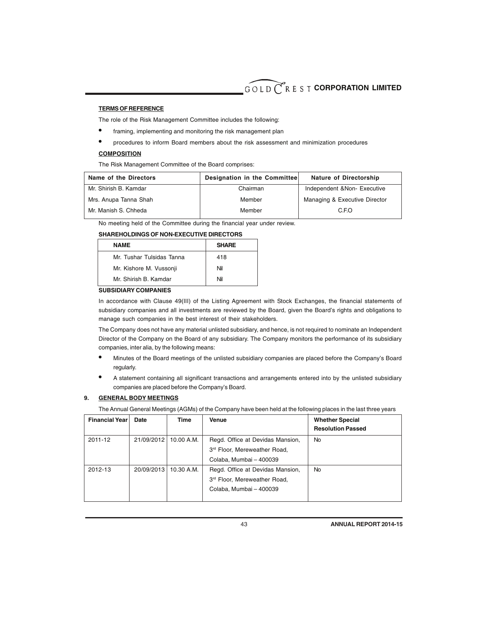#### **TERMS OF REFERENCE**

The role of the Risk Management Committee includes the following:

- framing, implementing and monitoring the risk management plan
- procedures to inform Board members about the risk assessment and minimization procedures

#### **COMPOSITION**

The Risk Management Committee of the Board comprises:

| Name of the Directors | Designation in the Committee | <b>Nature of Directorship</b> |
|-----------------------|------------------------------|-------------------------------|
| Mr. Shirish B. Kamdar | Chairman                     | Independent & Non-Executive   |
| Mrs. Anupa Tanna Shah | Member                       | Managing & Executive Director |
| Mr. Manish S. Chheda  | Member                       | C.F.O                         |

No meeting held of the Committee during the financial year under review.

#### **SHAREHOLDINGS OF NON-EXECUTIVE DIRECTORS**

| <b>NAME</b>               | <b>SHARE</b> |
|---------------------------|--------------|
| Mr. Tushar Tulsidas Tanna | 418          |
| Mr. Kishore M. Vussonji   | Nil          |
| Mr. Shirish B. Kamdar     | Nil          |

#### **SUBSIDIARY COMPANIES**

In accordance with Clause 49(III) of the Listing Agreement with Stock Exchanges, the financial statements of subsidiary companies and all investments are reviewed by the Board, given the Board's rights and obligations to manage such companies in the best interest of their stakeholders.

The Company does not have any material unlisted subsidiary, and hence, is not required to nominate an Independent Director of the Company on the Board of any subsidiary. The Company monitors the performance of its subsidiary companies, inter alia, by the following means:

- Minutes of the Board meetings of the unlisted subsidiary companies are placed before the Company's Board regularly.
- A statement containing all significant transactions and arrangements entered into by the unlisted subsidiary companies are placed before the Company's Board.

#### **9. GENERAL BODY MEETINGS**

The Annual General Meetings (AGMs) of the Company have been held at the following places in the last three years

| <b>Financial Year</b> | Date       | Time         | Venue                                                                                                                  | <b>Whether Special</b><br><b>Resolution Passed</b> |
|-----------------------|------------|--------------|------------------------------------------------------------------------------------------------------------------------|----------------------------------------------------|
| 2011-12               | 21/09/2012 | 10.00 A.M.   | Regd. Office at Devidas Mansion,<br>3rd Floor, Mereweather Road,                                                       | <b>No</b>                                          |
| 2012-13               | 20/09/2013 | $10.30$ A.M. | Colaba, Mumbai - 400039<br>Regd. Office at Devidas Mansion,<br>3rd Floor, Mereweather Road,<br>Colaba, Mumbai - 400039 | <b>No</b>                                          |
|                       |            |              |                                                                                                                        |                                                    |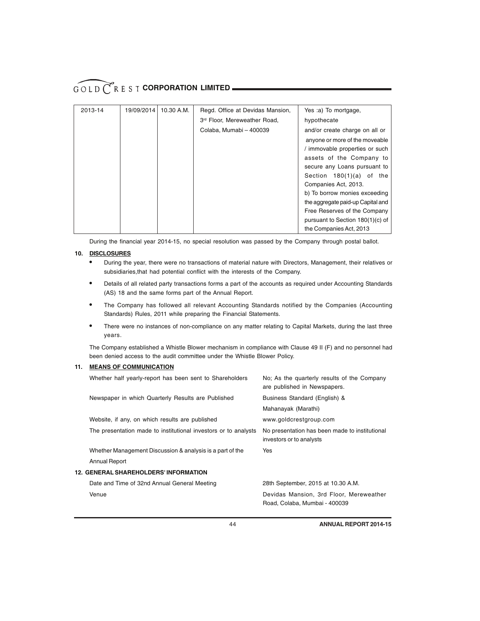| 2013-14 | 19/09/2014 | 10.30 A.M. | Regd. Office at Devidas Mansion,         | Yes :a) To mortgage,              |
|---------|------------|------------|------------------------------------------|-----------------------------------|
|         |            |            | 3 <sup>rd</sup> Floor, Mereweather Road, | hypothecate                       |
|         |            |            | Colaba, Mumabi - 400039                  | and/or create charge on all or    |
|         |            |            |                                          | anyone or more of the moveable    |
|         |            |            |                                          | / immovable properties or such    |
|         |            |            |                                          | assets of the Company to          |
|         |            |            |                                          | secure any Loans pursuant to      |
|         |            |            |                                          | Section $180(1)(a)$ of the        |
|         |            |            |                                          | Companies Act, 2013.              |
|         |            |            |                                          | b) To borrow monies exceeding     |
|         |            |            |                                          | the aggregate paid-up Capital and |
|         |            |            |                                          | Free Reserves of the Company      |
|         |            |            |                                          | pursuant to Section 180(1)(c) of  |
|         |            |            |                                          | the Companies Act, 2013           |

During the financial year 2014-15, no special resolution was passed by the Company through postal ballot.

### **10. DISCLOSURES**

- **•** During the year, there were no transactions of material nature with Directors, Management, their relatives or subsidiaries,that had potential conflict with the interests of the Company.
- **•** Details of all related party transactions forms a part of the accounts as required under Accounting Standards (AS) 18 and the same forms part of the Annual Report.
- **•** The Company has followed all relevant Accounting Standards notified by the Companies (Accounting Standards) Rules, 2011 while preparing the Financial Statements.
- **•** There were no instances of non-compliance on any matter relating to Capital Markets, during the last three years.

The Company established a Whistle Blower mechanism in compliance with Clause 49 II (F) and no personnel had been denied access to the audit committee under the Whistle Blower Policy.

#### **11. MEANS OF COMMUNICATION**

| Whether half yearly-report has been sent to Shareholders        | No; As the quarterly results of the Company<br>are published in Newspapers. |
|-----------------------------------------------------------------|-----------------------------------------------------------------------------|
| Newspaper in which Quarterly Results are Published              | Business Standard (English) &                                               |
|                                                                 | Mahanayak (Marathi)                                                         |
| Website, if any, on which results are published                 | www.goldcrestgroup.com                                                      |
| The presentation made to institutional investors or to analysts | No presentation has been made to institutional<br>investors or to analysts  |
| Whether Management Discussion & analysis is a part of the       | Yes                                                                         |
| Annual Report                                                   |                                                                             |
| <b>12. GENERAL SHAREHOLDERS' INFORMATION</b>                    |                                                                             |
| Date and Time of 32nd Annual General Meeting                    | 28th September, 2015 at 10.30 A.M.                                          |
| Venue                                                           | Devidas Mansion, 3rd Floor, Mereweather<br>Road, Colaba, Mumbai - 400039    |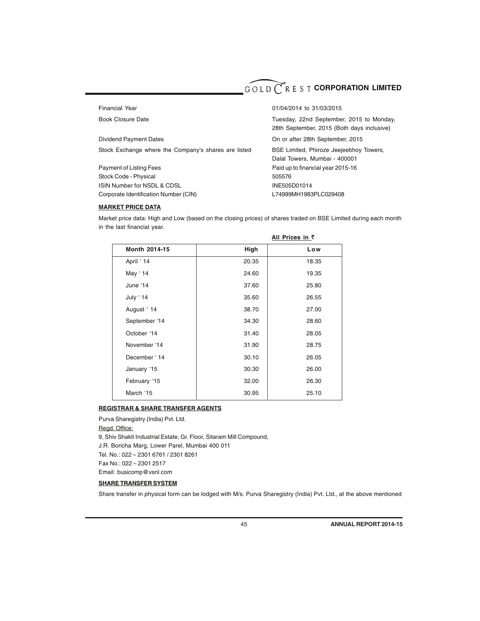Dividend Payment Dates **On or after 28th September**, 2015

Stock Exchange where the Company's shares are listed BSE Limited, Phiroze Jeejeebhoy Towers,

Stock Code - Physical 505576 ISIN Number for NSDL & CDSL INE505D01014 Corporate Identification Number (CIN) L74999MH1983PLC029408

#### **MARKET PRICE DATA**

#### Financial Year 01/04/2014 to 31/03/2015

Book Closure Date Tuesday, 22nd September, 2015 to Monday, 28th September, 2015 (Both days inclusive)

Dalal Towers, Mumbai - 400001 Payment of Listing Fees **Payment of Listing Fees** Paid up to financial year 2015-16

Market price data: High and Low (based on the closing prices) of shares traded on BSE Limited during each month in the last financial year.

|               |       | All Prices in $\bar{z}$ |
|---------------|-------|-------------------------|
| Month 2014-15 | High  | Low                     |
| April ' 14    | 20.35 | 18.35                   |
| May ' 14      | 24.60 | 19.35                   |
| June '14      | 37.60 | 25.80                   |
| July ' 14     | 35.60 | 26.55                   |
| August ' 14   | 38.70 | 27.00                   |
| September '14 | 34.30 | 28.60                   |
| October '14   | 31.40 | 28.05                   |
| November '14  | 31.90 | 28.75                   |
| December '14  | 30.10 | 26.05                   |
| January '15   | 30.30 | 26.00                   |
| February '15  | 32.00 | 26.30                   |
| March '15     | 30.95 | 25.10                   |

#### **REGISTRAR & SHARE TRANSFER AGENTS**

Purva Sharegistry (India) Pvt. Ltd. Regd. Office: 9, Shiv Shakti Industrial Estate, Gr. Floor, Sitaram Mill Compound, J.R. Boricha Marg, Lower Parel, Mumbai 400 011 Tel. No.: 022 – 2301 6761 / 2301 8261 Fax No.: 022 – 2301 2517 Email: busicomp@vsnl.com **SHARE TRANSFER SYSTEM**

Share transfer in physical form can be lodged with M/s. Purva Sharegistry (India) Pvt. Ltd., at the above mentioned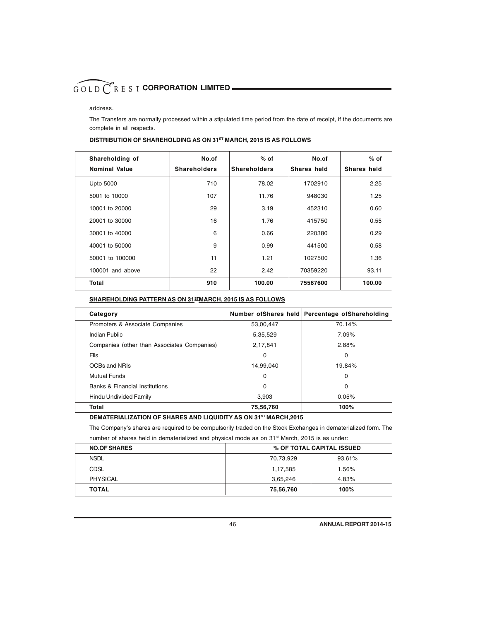#### address.

The Transfers are normally processed within a stipulated time period from the date of receipt, if the documents are complete in all respects.

| Shareholding of<br><b>Nominal Value</b> | No.of<br><b>Shareholders</b> | $%$ of<br><b>Shareholders</b> | No.of<br>Shares held | $%$ of<br>Shares held |
|-----------------------------------------|------------------------------|-------------------------------|----------------------|-----------------------|
| Upto 5000                               | 710                          | 78.02                         | 1702910              | 2.25                  |
| 5001 to 10000                           | 107                          | 11.76                         | 948030               | 1.25                  |
| 10001 to 20000                          | 29                           | 3.19                          | 452310               | 0.60                  |
| 20001 to 30000                          | 16                           | 1.76                          | 415750               | 0.55                  |
| 30001 to 40000                          | 6                            | 0.66                          | 220380               | 0.29                  |
| 40001 to 50000                          | 9                            | 0.99                          | 441500               | 0.58                  |
| 50001 to 100000                         | 11                           | 1.21                          | 1027500              | 1.36                  |
| 100001 and above                        | 22                           | 2.42                          | 70359220             | 93.11                 |
| Total                                   | 910                          | 100.00                        | 75567600             | 100.00                |

#### **DISTRIBUTION OF SHAREHOLDING AS ON 31ST MARCH, 2015 IS AS FOLLOWS**

#### **SHAREHOLDING PATTERN AS ON 31STMARCH, 2015 IS AS FOLLOWS**

| Category                                    |           | Number of Shares held Percentage of Shareholding |
|---------------------------------------------|-----------|--------------------------------------------------|
| Promoters & Associate Companies             | 53,00,447 | 70.14%                                           |
| Indian Public                               | 5,35,529  | 7.09%                                            |
| Companies (other than Associates Companies) | 2,17,841  | 2.88%                                            |
| <b>Flls</b>                                 | 0         | 0                                                |
| OCBs and NRIs                               | 14,99,040 | 19.84%                                           |
| <b>Mutual Funds</b>                         | 0         | 0                                                |
| <b>Banks &amp; Financial Institutions</b>   | 0         | 0                                                |
| Hindu Undivided Family                      | 3.903     | 0.05%                                            |
| Total                                       | 75,56,760 | 100%                                             |

#### **DEMATERIALIZATION OF SHARES AND LIQUIDITY AS ON 31ST MARCH,2015**

The Company's shares are required to be compulsorily traded on the Stock Exchanges in dematerialized form. The number of shares held in dematerialized and physical mode as on 31<sup>st</sup> March, 2015 is as under:

| <b>NO.OF SHARES</b> | % OF TOTAL CAPITAL ISSUED |        |  |
|---------------------|---------------------------|--------|--|
| <b>NSDL</b>         | 70,73,929                 | 93.61% |  |
| CDSL                | 1,17,585                  | 1.56%  |  |
| <b>PHYSICAL</b>     | 3,65,246                  | 4.83%  |  |
| <b>TOTAL</b>        | 75,56,760                 | 100%   |  |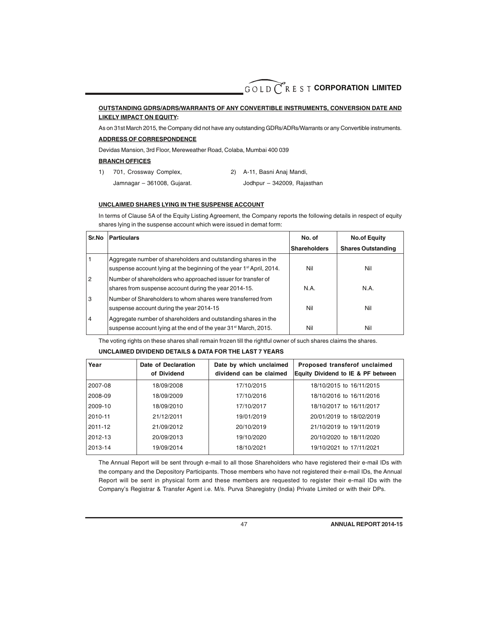#### **OUTSTANDING GDRS/ADRS/WARRANTS OF ANY CONVERTIBLE INSTRUMENTS, CONVERSION DATE AND LIKELY IMPACT ON EQUITY:**

As on 31st March 2015, the Company did not have any outstanding GDRs/ADRs/Warrants or any Convertible instruments. **ADDRESS OF CORRESPONDENCE**

#### Devidas Mansion, 3rd Floor, Mereweather Road, Colaba, Mumbai 400 039

#### **BRANCH OFFICES**

| 1) | 701, Crossway Complex,      | 2) A-11, Basni Anaj Mandi,  |
|----|-----------------------------|-----------------------------|
|    | Jamnagar - 361008, Gujarat. | Jodhpur - 342009, Rajasthan |

#### **UNCLAIMED SHARES LYING IN THE SUSPENSE ACCOUNT**

In terms of Clause 5A of the Equity Listing Agreement, the Company reports the following details in respect of equity shares lying in the suspense account which were issued in demat form:

| Sr.No          | <b>Particulars</b>                                                                                                                                 | No. of              | <b>No.of Equity</b>       |
|----------------|----------------------------------------------------------------------------------------------------------------------------------------------------|---------------------|---------------------------|
|                |                                                                                                                                                    | <b>Shareholders</b> | <b>Shares Outstanding</b> |
|                | Aggregate number of shareholders and outstanding shares in the<br>suspense account lying at the beginning of the year 1 <sup>st</sup> April, 2014. | Nil                 | Nil                       |
| <u>2</u>       | Number of shareholders who approached issuer for transfer of<br>shares from suspense account during the year 2014-15.                              | N.A.                | N.A.                      |
| ΙЗ.            | Number of Shareholders to whom shares were transferred from<br>suspense account during the year 2014-15                                            | Nil                 | Nil                       |
| $\overline{4}$ | Aggregate number of shareholders and outstanding shares in the<br>suspense account lying at the end of the year 31 <sup>st</sup> March, 2015.      | Nil                 | Nil                       |

The voting rights on these shares shall remain frozen till the rightful owner of such shares claims the shares.

#### **UNCLAIMED DIVIDEND DETAILS & DATA FOR THE LAST 7 YEARS**

| Year    | Date of Declaration<br>of Dividend | Date by which unclaimed<br>dividend can be claimed | Proposed transferof unclaimed<br>Equity Dividend to IE & PF between |
|---------|------------------------------------|----------------------------------------------------|---------------------------------------------------------------------|
| 2007-08 | 18/09/2008                         | 17/10/2015                                         | 18/10/2015 to 16/11/2015                                            |
| 2008-09 | 18/09/2009                         | 17/10/2016                                         | 18/10/2016 to 16/11/2016                                            |
| 2009-10 | 18/09/2010                         | 17/10/2017                                         | 18/10/2017 to 16/11/2017                                            |
| 2010-11 | 21/12/2011                         | 19/01/2019                                         | 20/01/2019 to 18/02/2019                                            |
| 2011-12 | 21/09/2012                         | 20/10/2019                                         | 21/10/2019 to 19/11/2019                                            |
| 2012-13 | 20/09/2013                         | 19/10/2020                                         | 20/10/2020 to 18/11/2020                                            |
| 2013-14 | 19/09/2014                         | 18/10/2021                                         | 19/10/2021 to 17/11/2021                                            |
|         |                                    |                                                    |                                                                     |

The Annual Report will be sent through e-mail to all those Shareholders who have registered their e-mail IDs with the company and the Depository Participants. Those members who have not registered their e-mail IDs, the Annual Report will be sent in physical form and these members are requested to register their e-mail IDs with the Company's Registrar & Transfer Agent i.e. M/s. Purva Sharegistry (India) Private Limited or with their DPs.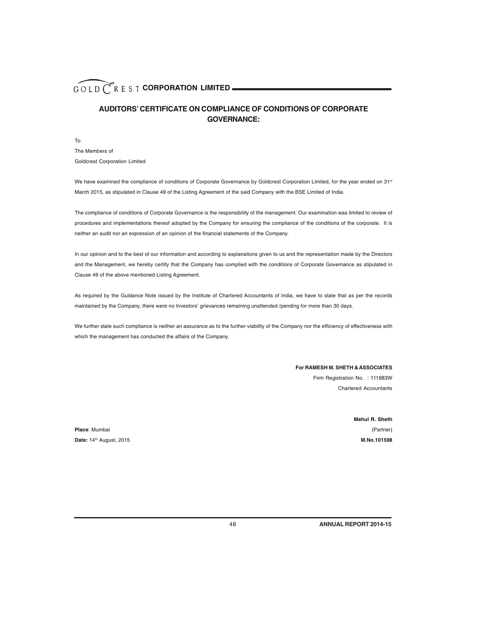### **AUDITORS' CERTIFICATE ON COMPLIANCE OF CONDITIONS OF CORPORATE GOVERNANCE:**

To

The Members of Goldcrest Corporation Limited

We have examined the compliance of conditions of Corporate Governance by Goldcrest Corporation Limited, for the year ended on 31<sup>st</sup> March 2015, as stipulated in Clause 49 of the Listing Agreement of the said Company with the BSE Limited of India.

The compliance of conditions of Corporate Governance is the responsibility of the management. Our examination was limited to review of procedures and implementations thereof adopted by the Company for ensuring the compliance of the conditions of the corporate. It is neither an audit nor an expression of an opinion of the financial statements of the Company.

In our opinion and to the best of our information and according to explanations given to us and the representation made by the Directors and the Management, we hereby certify that the Company has complied with the conditions of Corporate Governance as stipulated in Clause 49 of the above mentioned Listing Agreement.

As required by the Guidance Note issued by the Institute of Chartered Accountants of India, we have to state that as per the records maintained by the Company, there were no Investors' grievances remaining unattended /pending for more than 30 days.

We further state such compliance is neither an assurance as to the further viability of the Company nor the efficiency of effectiveness with which the management has conducted the affairs of the Company.

> **For RAMESH M. SHETH & ASSOCIATES** Firm Registration No. : 111883W Chartered Accountants

**Place**: Mumbai (Partner) **Date:** 14th August, 2015 **M.No.101598**

 **Mehul R. Sheth**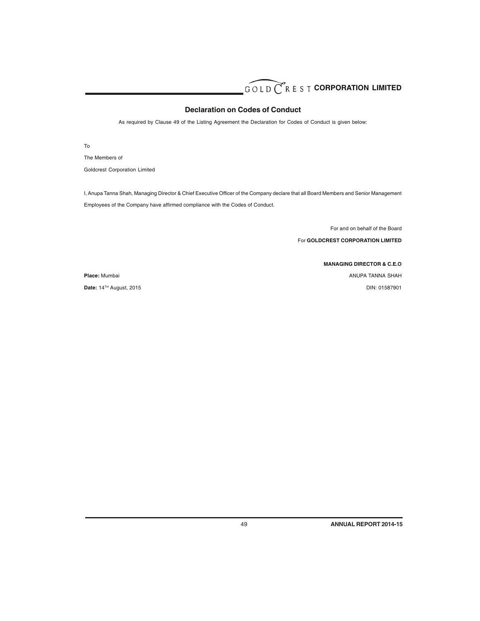

#### **Declaration on Codes of Conduct**

As required by Clause 49 of the Listing Agreement the Declaration for Codes of Conduct is given below:

To

The Members of

Goldcrest Corporation Limited

I, Anupa Tanna Shah, Managing Director & Chief Executive Officer of the Company declare that all Board Members and Senior Management Employees of the Company have affirmed compliance with the Codes of Conduct.

> For and on behalf of the Board For **GOLDCREST CORPORATION LIMITED**

**MANAGING DIRECTOR & C.E.O Place:** Mumbai ANUPA TANNA SHAH **Date:**  $14^{TH}$  August, 2015 **DIN: 01587901**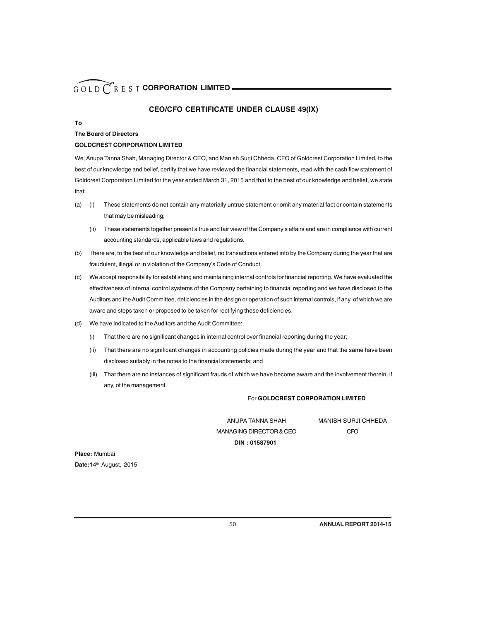### **CEO/CFO CERTIFICATE UNDER CLAUSE 49(IX)**

#### **To**

### **The Board of Directors GOLDCREST CORPORATION LIMITED**

We, Anupa Tanna Shah, Managing Director & CEO, and Manish Surji Chheda, CFO of Goldcrest Corporation Limited, to the best of our knowledge and belief, certify that we have reviewed the financial statements, read with the cash flow statement of Goldcrest Corporation Limited for the year ended March 31, 2015 and that to the best of our knowledge and belief, we state that;

- (a) (i) These statements do not contain any materially untrue statement or omit any material fact or contain statements that may be misleading;
	- (ii) These statements together present a true and fair view of the Company's affairs and are in compliance with current accounting standards, applicable laws and regulations.
- (b) There are, to the best of our knowledge and belief, no transactions entered into by the Company during the year that are fraudulent, illegal or in violation of the Company's Code of Conduct.
- (c) We accept responsibility for establishing and maintaining internal controls for financial reporting. We have evaluated the effectiveness of internal control systems of the Company pertaining to financial reporting and we have disclosed to the Auditors and the Audit Committee, deficiencies in the design or operation of such internal controls, if any, of which we are aware and steps taken or proposed to be taken for rectifying these deficiencies.
- (d) We have indicated to the Auditors and the Audit Committee:
	- (i) That there are no significant changes in internal control over financial reporting during the year;
	- (ii) That there are no significant changes in accounting policies made during the year and that the same have been disclosed suitably in the notes to the financial statements; and
	- (iii) That there are no instances of significant frauds of which we have become aware and the involvement therein, if any, of the management.

#### For **GOLDCREST CORPORATION LIMITED**

ANUPA TANNA SHAH MANISH SURJI CHHEDA MANAGING DIRECTOR & CEO CFO  **DIN : 01587901**

**Place:** Mumbai Date:14<sup>th</sup> August, 2015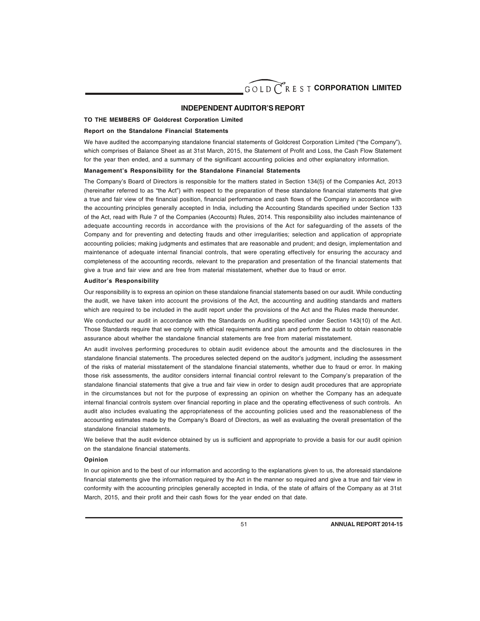#### **INDEPENDENT AUDITOR'S REPORT**

#### **TO THE MEMBERS OF Goldcrest Corporation Limited**

#### **Report on the Standalone Financial Statements**

We have audited the accompanying standalone financial statements of Goldcrest Corporation Limited ("the Company"), which comprises of Balance Sheet as at 31st March, 2015, the Statement of Profit and Loss, the Cash Flow Statement for the year then ended, and a summary of the significant accounting policies and other explanatory information.

#### **Management's Responsibility for the Standalone Financial Statements**

The Company's Board of Directors is responsible for the matters stated in Section 134(5) of the Companies Act, 2013 (hereinafter referred to as "the Act") with respect to the preparation of these standalone financial statements that give a true and fair view of the financial position, financial performance and cash flows of the Company in accordance with the accounting principles generally accepted in India, including the Accounting Standards specified under Section 133 of the Act, read with Rule 7 of the Companies (Accounts) Rules, 2014. This responsibility also includes maintenance of adequate accounting records in accordance with the provisions of the Act for safeguarding of the assets of the Company and for preventing and detecting frauds and other irregularities; selection and application of appropriate accounting policies; making judgments and estimates that are reasonable and prudent; and design, implementation and maintenance of adequate internal financial controls, that were operating effectively for ensuring the accuracy and completeness of the accounting records, relevant to the preparation and presentation of the financial statements that give a true and fair view and are free from material misstatement, whether due to fraud or error.

#### **Auditor's Responsibility**

Our responsibility is to express an opinion on these standalone financial statements based on our audit. While conducting the audit, we have taken into account the provisions of the Act, the accounting and auditing standards and matters which are required to be included in the audit report under the provisions of the Act and the Rules made thereunder.

We conducted our audit in accordance with the Standards on Auditing specified under Section 143(10) of the Act. Those Standards require that we comply with ethical requirements and plan and perform the audit to obtain reasonable assurance about whether the standalone financial statements are free from material misstatement.

An audit involves performing procedures to obtain audit evidence about the amounts and the disclosures in the standalone financial statements. The procedures selected depend on the auditor's judgment, including the assessment of the risks of material misstatement of the standalone financial statements, whether due to fraud or error. In making those risk assessments, the auditor considers internal financial control relevant to the Company's preparation of the standalone financial statements that give a true and fair view in order to design audit procedures that are appropriate in the circumstances but not for the purpose of expressing an opinion on whether the Company has an adequate internal financial controls system over financial reporting in place and the operating effectiveness of such controls. An audit also includes evaluating the appropriateness of the accounting policies used and the reasonableness of the accounting estimates made by the Company's Board of Directors, as well as evaluating the overall presentation of the standalone financial statements.

We believe that the audit evidence obtained by us is sufficient and appropriate to provide a basis for our audit opinion on the standalone financial statements.

#### **Opinion**

In our opinion and to the best of our information and according to the explanations given to us, the aforesaid standalone financial statements give the information required by the Act in the manner so required and give a true and fair view in conformity with the accounting principles generally accepted in India, of the state of affairs of the Company as at 31st March, 2015, and their profit and their cash flows for the year ended on that date.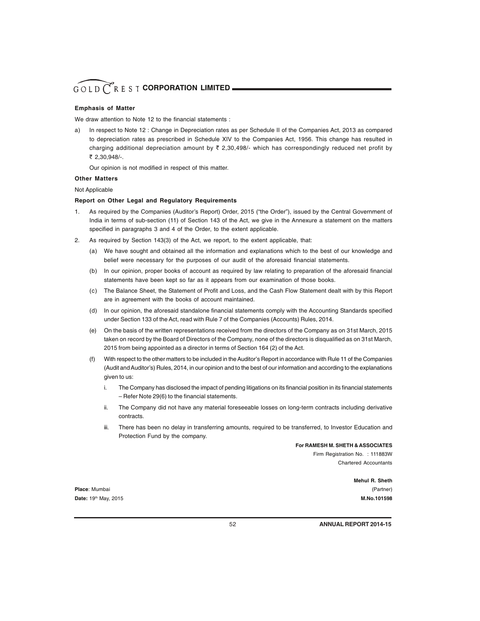#### **Emphasis of Matter**

We draw attention to Note 12 to the financial statements :

a) In respect to Note 12 : Change in Depreciation rates as per Schedule II of the Companies Act, 2013 as compared to depreciation rates as prescribed in Schedule XIV to the Companies Act, 1956. This change has resulted in charging additional depreciation amount by  $\bar{\tau}$  2,30,498/- which has correspondingly reduced net profit by ₹ 2,30,948/-.

Our opinion is not modified in respect of this matter.

#### **Other Matters**

Not Applicable

#### **Report on Other Legal and Regulatory Requirements**

- 1. As required by the Companies (Auditor's Report) Order, 2015 ("the Order"), issued by the Central Government of India in terms of sub-section (11) of Section 143 of the Act, we give in the Annexure a statement on the matters specified in paragraphs 3 and 4 of the Order, to the extent applicable.
- 2. As required by Section 143(3) of the Act, we report, to the extent applicable, that:
	- (a) We have sought and obtained all the information and explanations which to the best of our knowledge and belief were necessary for the purposes of our audit of the aforesaid financial statements.
	- (b) In our opinion, proper books of account as required by law relating to preparation of the aforesaid financial statements have been kept so far as it appears from our examination of those books.
	- (c) The Balance Sheet, the Statement of Profit and Loss, and the Cash Flow Statement dealt with by this Report are in agreement with the books of account maintained.
	- (d) In our opinion, the aforesaid standalone financial statements comply with the Accounting Standards specified under Section 133 of the Act, read with Rule 7 of the Companies (Accounts) Rules, 2014.
	- (e) On the basis of the written representations received from the directors of the Company as on 31st March, 2015 taken on record by the Board of Directors of the Company, none of the directors is disqualified as on 31st March, 2015 from being appointed as a director in terms of Section 164 (2) of the Act.
	- (f) With respect to the other matters to be included in the Auditor's Report in accordance with Rule 11 of the Companies (Audit and Auditor's) Rules, 2014, in our opinion and to the best of our information and according to the explanations given to us:
		- i. The Company has disclosed the impact of pending litigations on its financial position in its financial statements – Refer Note 29(6) to the financial statements.
		- ii. The Company did not have any material foreseeable losses on long-term contracts including derivative contracts.
		- iii. There has been no delay in transferring amounts, required to be transferred, to Investor Education and Protection Fund by the company.

#### **For RAMESH M. SHETH & ASSOCIATES**

Firm Registration No. : 111883W Chartered Accountants

**Place**: Mumbai (Partner) **Date:** 19th May, 2015 **M.No.101598**

 **Mehul R. Sheth**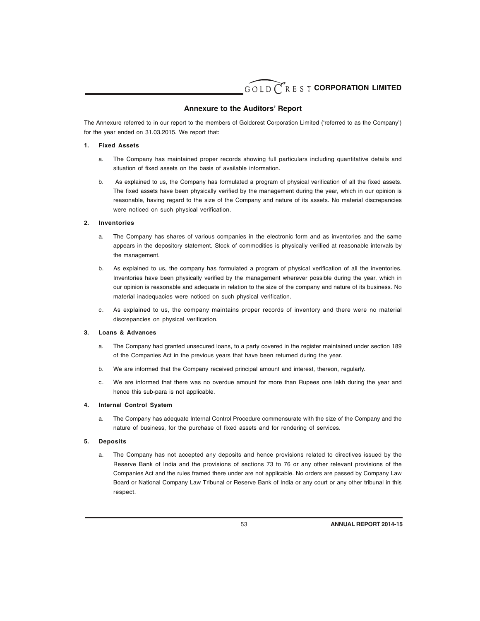

#### **Annexure to the Auditors' Report**

The Annexure referred to in our report to the members of Goldcrest Corporation Limited ('referred to as the Company') for the year ended on 31.03.2015. We report that:

#### **1. Fixed Assets**

- a. The Company has maintained proper records showing full particulars including quantitative details and situation of fixed assets on the basis of available information.
- b. As explained to us, the Company has formulated a program of physical verification of all the fixed assets. The fixed assets have been physically verified by the management during the year, which in our opinion is reasonable, having regard to the size of the Company and nature of its assets. No material discrepancies were noticed on such physical verification.

#### **2. Inventories**

- a. The Company has shares of various companies in the electronic form and as inventories and the same appears in the depository statement. Stock of commodities is physically verified at reasonable intervals by the management.
- b. As explained to us, the company has formulated a program of physical verification of all the inventories. Inventories have been physically verified by the management wherever possible during the year, which in our opinion is reasonable and adequate in relation to the size of the company and nature of its business. No material inadequacies were noticed on such physical verification.
- c. As explained to us, the company maintains proper records of inventory and there were no material discrepancies on physical verification.

#### **3. Loans & Advances**

- a. The Company had granted unsecured loans, to a party covered in the register maintained under section 189 of the Companies Act in the previous years that have been returned during the year.
- b. We are informed that the Company received principal amount and interest, thereon, regularly.
- c. We are informed that there was no overdue amount for more than Rupees one lakh during the year and hence this sub-para is not applicable.

#### **4. Internal Control System**

a. The Company has adequate Internal Control Procedure commensurate with the size of the Company and the nature of business, for the purchase of fixed assets and for rendering of services.

#### **5. Deposits**

a. The Company has not accepted any deposits and hence provisions related to directives issued by the Reserve Bank of India and the provisions of sections 73 to 76 or any other relevant provisions of the Companies Act and the rules framed there under are not applicable. No orders are passed by Company Law Board or National Company Law Tribunal or Reserve Bank of India or any court or any other tribunal in this respect.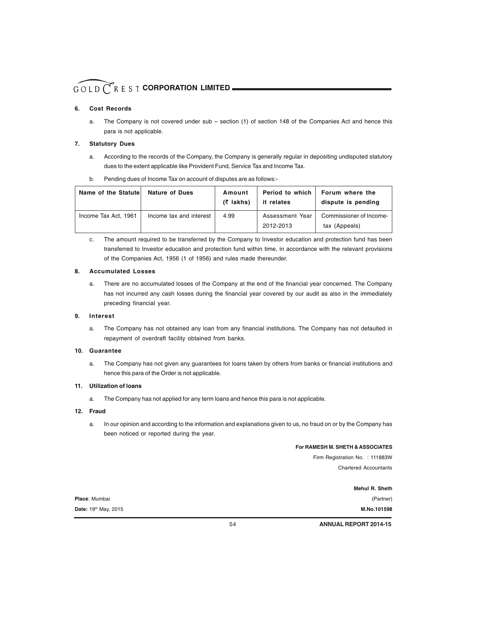#### **6. Cost Records**

a. The Company is not covered under sub – section (1) of section 148 of the Companies Act and hence this para is not applicable.

#### **7. Statutory Dues**

a. According to the records of the Company, the Company is generally regular in depositing undisputed statutory dues to the extent applicable like Provident Fund, Service Tax and Income Tax.

| Name of the Statute  | <b>Nature of Dues</b>   | Amount<br>$(5$ lakhs) | Period to which<br>it relates | Forum where the<br>dispute is pending    |
|----------------------|-------------------------|-----------------------|-------------------------------|------------------------------------------|
| Income Tax Act. 1961 | Income tax and interest | 4.99                  | Assessment Year<br>2012-2013  | Commissioner of Income-<br>tax (Appeals) |

- b. Pending dues of Income Tax on account of disputes are as follows:-
- c. The amount required to be transferred by the Company to Investor education and protection fund has been transferred to Investor education and protection fund within time, in accordance with the relevant provisions of the Companies Act, 1956 (1 of 1956) and rules made thereunder.

#### **8. Accumulated Losses**

a. There are no accumulated losses of the Company at the end of the financial year concerned. The Company has not incurred any cash losses during the financial year covered by our audit as also in the immediately preceding financial year.

#### **9. Interest**

a. The Company has not obtained any loan from any financial institutions. The Company has not defaulted in repayment of overdraft facility obtained from banks.

#### **10. Guarantee**

a. The Company has not given any guarantees for loans taken by others from banks or financial institutions and hence this para of the Order is not applicable.

#### **11. Utilization of loans**

a. The Company has not applied for any term loans and hence this para is not applicable.

#### **12. Fraud**

a. In our opinion and according to the information and explanations given to us, no fraud on or by the Company has been noticed or reported during the year.

#### **For RAMESH M. SHETH & ASSOCIATES**

Firm Registration No. : 111883W

Chartered Accountants

 **Mehul R. Sheth Place**: Mumbai (Partner) **Date:** 19th May, 2015 **M.No.101598**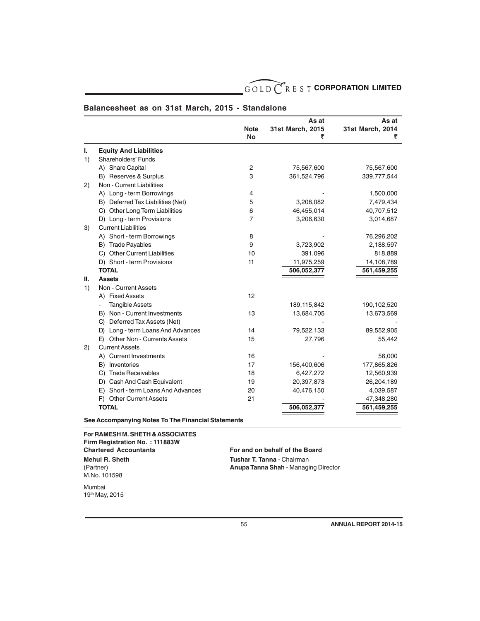### **Balancesheet as on 31st March, 2015 - Standalone**

|    |                                                    | <b>Note</b>    | As at<br>31st March, 2015 | As at<br>31st March, 2014 |
|----|----------------------------------------------------|----------------|---------------------------|---------------------------|
|    |                                                    | <b>No</b>      | ₹                         | ₹                         |
| ı. | <b>Equity And Liabilities</b>                      |                |                           |                           |
| 1) | Shareholders' Funds                                |                |                           |                           |
|    | A) Share Capital                                   | $\overline{c}$ | 75,567,600                | 75,567,600                |
|    | B) Reserves & Surplus                              | 3              | 361,524,796               | 339,777,544               |
| 2) | Non - Current Liabilities                          |                |                           |                           |
|    | A) Long - term Borrowings                          | 4              |                           | 1,500,000                 |
|    | B) Deferred Tax Liabilities (Net)                  | 5              | 3,208,082                 | 7,479,434                 |
|    | C) Other Long Term Liabilities                     | 6              | 46,455,014                | 40,707,512                |
|    | D) Long - term Provisions                          | $\overline{7}$ | 3,206,630                 | 3,014,687                 |
| 3) | <b>Current Liabilities</b>                         |                |                           |                           |
|    | A) Short - term Borrowings                         | 8              |                           | 76,296,202                |
|    | B) Trade Payables                                  | 9              | 3,723,902                 | 2,188,597                 |
|    | C) Other Current Liabilities                       | 10             | 391,096                   | 818,889                   |
|    | D) Short - term Provisions                         | 11             | 11,975,259                | 14,108,789                |
|    | <b>TOTAL</b>                                       |                | 506,052,377               | 561,459,255               |
| Н. | <b>Assets</b>                                      |                |                           |                           |
| 1) | Non - Current Assets                               |                |                           |                           |
|    | A) Fixed Assets                                    | 12             |                           |                           |
|    | <b>Tangible Assets</b>                             |                | 189,115,842               | 190,102,520               |
|    | B) Non - Current Investments                       | 13             | 13,684,705                | 13,673,569                |
|    | Deferred Tax Assets (Net)<br>C)                    |                |                           |                           |
|    | Long - term Loans And Advances<br>D)               | 14             | 79,522,133                | 89,552,905                |
|    | Other Non - Currents Assets<br>E)                  | 15             | 27,796                    | 55,442                    |
| 2) | <b>Current Assets</b>                              |                |                           |                           |
|    | A) Current Investments                             | 16             |                           | 56,000                    |
|    | B) Inventories                                     | 17             | 156,400,606               | 177,865,826               |
|    | C) Trade Receivables                               | 18             | 6,427,272                 | 12,560,939                |
|    | D) Cash And Cash Equivalent                        | 19             | 20,397,873                | 26,204,189                |
|    | E) Short - term Loans And Advances                 | 20             | 40,476,150                | 4,039,587                 |
|    | F) Other Current Assets                            | 21             |                           | 47,348,280                |
|    | <b>TOTAL</b>                                       |                | 506,052,377               | 561,459,255               |
|    | See Accompanying Notes To The Financial Statements |                |                           |                           |

# **For RAMESH M. SHETH & ASSOCIATES Firm Registration No. : 111883W**

M.No. 101598

Mumbai 19th May, 2015

### For and on behalf of the Board

**Mehul R. Sheth Tushar T. Tanna - Chairman (Partner)**<br> **Anupa Tanna Shah - Managir** Anupa Tanna Shah - Managing Director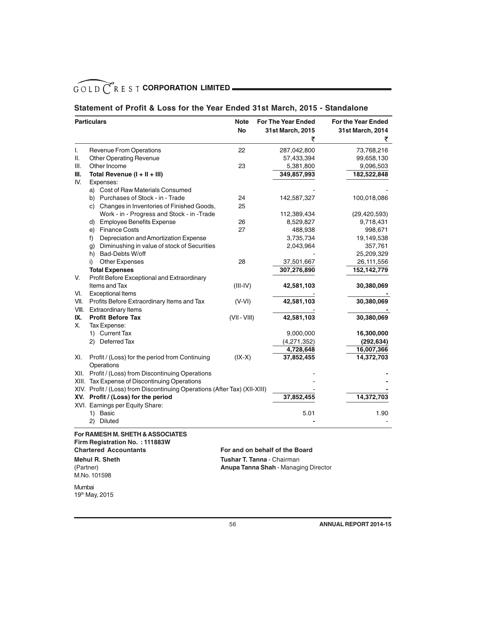### **Statement of Profit & Loss for the Year Ended 31st March, 2015 - Standalone**

| <b>Particulars</b> |                                                                           | <b>Note</b>  | <b>For The Year Ended</b> | For the Year Ended |
|--------------------|---------------------------------------------------------------------------|--------------|---------------------------|--------------------|
|                    |                                                                           | No           | 31st March, 2015          | 31st March, 2014   |
|                    |                                                                           |              | ₹                         | ₹                  |
| I.                 | <b>Revenue From Operations</b>                                            | 22           | 287,042,800               | 73,768,216         |
| Ш.                 | <b>Other Operating Revenue</b>                                            |              | 57,433,394                | 99,658,130         |
| III.               | Other Income                                                              | 23           | 5,381,800                 | 9,096,503          |
| Ш.                 | Total Revenue (I + II + III)                                              |              | 349,857,993               | 182,522,848        |
| IV.                | Expenses:                                                                 |              |                           |                    |
|                    | a) Cost of Raw Materials Consumed                                         |              |                           |                    |
|                    | b) Purchases of Stock - in - Trade                                        | 24           | 142,587,327               | 100,018,086        |
|                    | c) Changes in Inventories of Finished Goods,                              | 25           |                           |                    |
|                    | Work - in - Progress and Stock - in -Trade                                |              | 112,389,434               | (29, 420, 593)     |
|                    | d) Employee Benefits Expense                                              | 26           | 8,529,827                 | 9,718,431          |
|                    | e) Finance Costs                                                          | 27           | 488,938                   | 998,671            |
|                    | f)<br>Depreciation and Amortization Expense                               |              | 3,735,734                 | 19,149,538         |
|                    | g) Diminushing in value of stock of Securities                            |              | 2,043,964                 | 357,761            |
|                    | h) Bad-Debts W/off                                                        |              |                           | 25,209,329         |
|                    | Other Expenses<br>i).                                                     | 28           | 37,501,667                | 26,111,556         |
|                    | <b>Total Expenses</b>                                                     |              | 307,276,890               | 152,142,779        |
| V.                 | Profit Before Exceptional and Extraordinary                               |              |                           |                    |
|                    | Items and Tax                                                             | $(III-IV)$   | 42,581,103                | 30,380,069         |
| VI.                | <b>Exceptional Items</b>                                                  |              |                           |                    |
| VII.               | Profits Before Extraordinary Items and Tax                                | $(V-VI)$     | 42,581,103                | 30,380,069         |
| VIII.              | <b>Extraordinary Items</b>                                                |              |                           |                    |
| IX.                | <b>Profit Before Tax</b>                                                  | (VII - VIII) | 42,581,103                | 30,380,069         |
| Χ.                 | Tax Expense:                                                              |              |                           |                    |
|                    | 1) Current Tax                                                            |              | 9,000,000                 | 16,300,000         |
|                    | 2) Deferred Tax                                                           |              | (4,271,352)               | (292, 634)         |
|                    |                                                                           |              | 4,728,648                 | 16,007,366         |
| XI.                | Profit / (Loss) for the period from Continuing<br>Operations              | $(IX-X)$     | 37,852,455                | 14,372,703         |
|                    | XII. Profit / (Loss) from Discontinuing Operations                        |              |                           |                    |
|                    | XIII. Tax Expense of Discontinuing Operations                             |              |                           |                    |
|                    | XIV. Profit / (Loss) from Discontinuing Operations (After Tax) (XII-XIII) |              |                           |                    |
|                    | XV. Profit / (Loss) for the period                                        |              | 37,852,455                | 14,372,703         |
|                    | XVI. Earnings per Equity Share:                                           |              |                           |                    |
|                    | <b>Basic</b><br>1)                                                        |              | 5.01                      | 1.90               |
|                    | <b>Diluted</b><br>2)                                                      |              |                           |                    |
|                    |                                                                           |              |                           |                    |

## **For RAMESH M. SHETH & ASSOCIATES Firm Registration No. : 111883W**

M.No. 101598

#### For and on behalf of the Board

**Mehul R. Sheth Tushar T. Tanna - Chairman (Partner)**<br> **Anupa Tanna Shah - Managi** Anupa Tanna Shah - Managing Director

Mumbai 19th May, 2015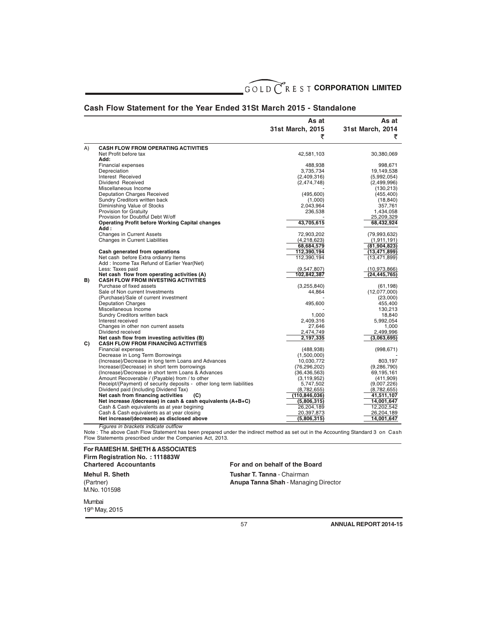|    |                                                                      | As at            | As at            |
|----|----------------------------------------------------------------------|------------------|------------------|
|    |                                                                      | 31st March, 2015 | 31st March, 2014 |
|    |                                                                      | ₹                | ₹                |
|    |                                                                      |                  |                  |
| A) | <b>CASH FLOW FROM OPERATING ACTIVITIES</b>                           |                  |                  |
|    | Net Profit before tax                                                | 42,581,103       | 30,380,069       |
|    | Add:                                                                 |                  |                  |
|    | <b>Financial expenses</b>                                            | 488.938          | 998.671          |
|    | Depreciation                                                         | 3,735,734        | 19,149,538       |
|    | Interest Received                                                    | (2,409,316)      | (5,992,054)      |
|    | Dividend Received                                                    | (2,474,748)      | (2,499,996)      |
|    | Miscellaneous Income                                                 |                  | (130, 213)       |
|    | <b>Deputation Charges Received</b>                                   | (495,600)        | (455, 400)       |
|    | Sundry Creditors written back                                        | (1,000)          | (18, 840)        |
|    | Diminishing Value of Stocks                                          | 2,043,964        | 357,761          |
|    | Provision for Gratuity                                               | 236,538          | 1,434,058        |
|    | Provision for Doubtful Debt W/off                                    |                  | 25,209,329       |
|    | <b>Operating Profit before Working Capital changes</b>               | 43,705,615       | 68,432,924       |
|    | Add:                                                                 |                  |                  |
|    | <b>Changes in Current Assets</b>                                     | 72,903,202       | (79,993,632)     |
|    | Changes in Current Liabilities                                       | (4,218,623)      | (1,911,191)      |
|    |                                                                      | 68,684,579       | (81,904,823)     |
|    | Cash generated from operations                                       | 112,390,194      | (13, 471, 899)   |
|    | Net cash before Extra ordianry Items                                 | 112,390,194      | (13, 471, 899)   |
|    | Add: Income Tax Refund of Earlier Year(Net)                          |                  |                  |
|    | Less: Taxes paid                                                     | (9,547,807)      | (10, 973, 866)   |
|    | Net cash flow from operating activities (A)                          | 102,842,387      | (24, 445, 765)   |
| B) | <b>CASH FLOW FROM INVESTING ACTIVITIES</b>                           |                  |                  |
|    | Purchase of fixed assets                                             | (3,255,840)      | (61, 198)        |
|    | Sale of Non current Investments                                      | 44,864           | (12,077,000)     |
|    | (Purchase)/Sale of current investment                                |                  | (23,000)         |
|    | <b>Deputation Charges</b>                                            | 495,600          | 455,400          |
|    | Miscellaneous Income                                                 |                  | 130,213          |
|    | Sundry Creditors written back                                        | 1,000            | 18,840           |
|    | Interest received                                                    | 2,409,316        | 5,992,054        |
|    | Changes in other non current assets                                  | 27,646           | 1,000            |
|    | Dividend received                                                    | 2,474,749        | 2,499,996        |
|    | Net cash flow from investing activities (B)                          | 2,197,335        | (3,063,695)      |
| C) | <b>CASH FLOW FROM FINANCING ACTIVITIES</b>                           |                  |                  |
|    | Financial expenses                                                   | (488, 938)       | (998,671)        |
|    | Decrease in Long Term Borrowings                                     | (1,500,000)      |                  |
|    | (Increase)/Decrease in long term Loans and Advances                  | 10,030,772       | 803,197          |
|    | Increase/(Decrease) in short term borrowings                         | (76, 296, 202)   | (9,286,790)      |
|    | (Increase)/Decrease in short term Loans & Advances                   | (36, 436, 563)   | 69,195,161       |
|    | Amount Recoverable / (Payable) from / to other                       | (3, 119, 952)    | (411,909)        |
|    | Receipt/(Payment) of security deposits - other long term liabilities | 5,747,502        | (9,007,226)      |
|    | Dividend paid (Including Dividend Tax)                               | (8,782,655)      | (8,782,655)      |
|    | Net cash from financing activities<br>(C)                            | (110, 846, 036)  | 41,511,107       |
|    | Net increase /(decrease) in cash & cash equivalents (A+B+C)          | (5,806,315)      | 14,001,647       |
|    | Cash & Cash equivalents as at year begining                          | 26,204,189       | 12,202,542       |
|    | Cash & Cash equivalents as at year closing                           | 20,397,873       | 26,204,189       |
|    | Net increase/(decrease) as disclosed above                           | (5,806,315)      | 14,001,647       |

### **Cash Flow Statement for the Year Ended 31St March 2015 - Standalone**

Figures in brackets indicate outflow Note : The above Cash Flow Statement has been prepared under the indirect method as set out in the Accounting Standard 3 on Cash Flow Statements prescribed under the Companies Act, 2013.

# **For RAMESH M. SHETH & ASSOCIATES**

**Firm Registration No. : 111883W**

#### For and on behalf of the Board

**Mehul R. Sheth Tushar T. Tanna - Chairman**<br>(Partner) **Tushar T. Tanna - Chairman** Anupa Tanna Shah - Managing Director

M.No. 101598 Mumbai 19th May, 2015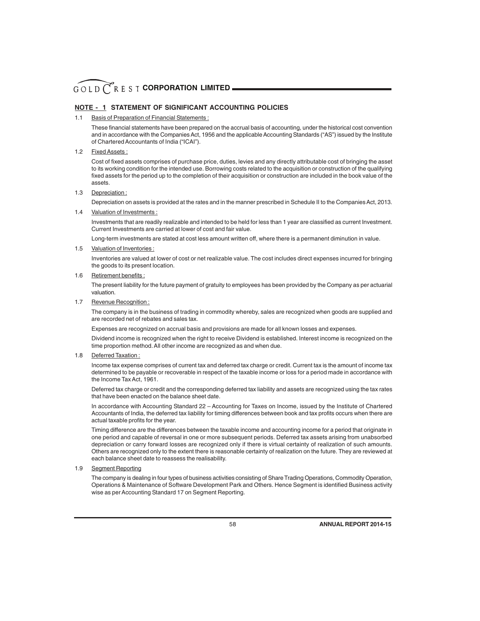#### **NOTE - 1 STATEMENT OF SIGNIFICANT ACCOUNTING POLICIES**

1.1 Basis of Preparation of Financial Statements :

These financial statements have been prepared on the accrual basis of accounting, under the historical cost convention and in accordance with the Companies Act, 1956 and the applicable Accounting Standards ("AS") issued by the Institute of Chartered Accountants of India ("ICAI").

1.2 Fixed Assets :

Cost of fixed assets comprises of purchase price, duties, levies and any directly attributable cost of bringing the asset to its working condition for the intended use. Borrowing costs related to the acquisition or construction of the qualifying fixed assets for the period up to the completion of their acquisition or construction are included in the book value of the assets.

1.3 Depreciation :

Depreciation on assets is provided at the rates and in the manner prescribed in Schedule II to the Companies Act, 2013.

1.4 Valuation of Investments :

Investments that are readily realizable and intended to be held for less than 1 year are classified as current Investment. Current Investments are carried at lower of cost and fair value.

Long-term investments are stated at cost less amount written off, where there is a permanent diminution in value.

1.5 Valuation of Inventories :

Inventories are valued at lower of cost or net realizable value. The cost includes direct expenses incurred for bringing the goods to its present location.

1.6 Retirement benefits :

The present liability for the future payment of gratuity to employees has been provided by the Company as per actuarial valuation.

1.7 Revenue Recognition:

The company is in the business of trading in commodity whereby, sales are recognized when goods are supplied and are recorded net of rebates and sales tax.

Expenses are recognized on accrual basis and provisions are made for all known losses and expenses.

Dividend income is recognized when the right to receive Dividend is established. Interest income is recognized on the time proportion method. All other income are recognized as and when due.

1.8 Deferred Taxation :

Income tax expense comprises of current tax and deferred tax charge or credit. Current tax is the amount of income tax determined to be payable or recoverable in respect of the taxable income or loss for a period made in accordance with the Income Tax Act, 1961.

Deferred tax charge or credit and the corresponding deferred tax liability and assets are recognized using the tax rates that have been enacted on the balance sheet date.

In accordance with Accounting Standard 22 – Accounting for Taxes on Income, issued by the Institute of Chartered Accountants of India, the deferred tax liability for timing differences between book and tax profits occurs when there are actual taxable profits for the year.

Timing difference are the differences between the taxable income and accounting income for a period that originate in one period and capable of reversal in one or more subsequent periods. Deferred tax assets arising from unabsorbed depreciation or carry forward losses are recognized only if there is virtual certainty of realization of such amounts. Others are recognized only to the extent there is reasonable certainty of realization on the future. They are reviewed at each balance sheet date to reassess the realisability.

#### 1.9 Segment Reporting

The company is dealing in four types of business activities consisting of Share Trading Operations, Commodity Operation, Operations & Maintenance of Software Development Park and Others. Hence Segment is identified Business activity wise as per Accounting Standard 17 on Segment Reporting.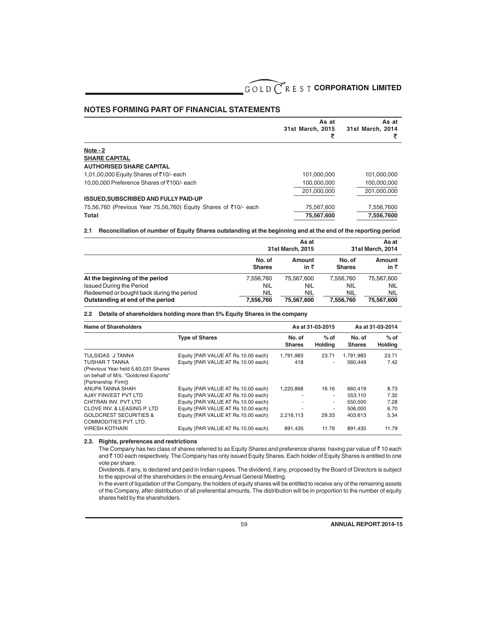### **NOTES FORMING PART OF FINANCIAL STATEMENTS**

|                                                                 | As at<br>31st March, 2015 | As at<br>31st March, 2014 |
|-----------------------------------------------------------------|---------------------------|---------------------------|
| Note - 2                                                        |                           |                           |
| <b>SHARE CAPITAL</b>                                            |                           |                           |
| <b>AUTHORISED SHARE CAPITAL</b>                                 |                           |                           |
| 1,01,00,000 Equity Shares of ₹10/- each                         | 101,000,000               | 101,000,000               |
| 10.00.000 Preference Shares of ₹100/- each                      | 100,000,000               | 100,000,000               |
|                                                                 | 201,000,000               | 201,000,000               |
| <b>ISSUED.SUBSCRIBED AND FULLY PAID-UP</b>                      |                           |                           |
| 75,56,760 (Previous Year 75,56,760) Equity Shares of ₹10/- each | 75,567,600                | 7,556,7600                |
| <b>Total</b>                                                    | 75,567,600                | 7,556,7600                |

#### **2.1 Reconciliation of number of Equity Shares outstanding at the beginning and at the end of the reporting period**

|                                           |                         | As at<br>31st March, 2015 |                         | As at<br>31st March, 2014 |
|-------------------------------------------|-------------------------|---------------------------|-------------------------|---------------------------|
|                                           | No. of<br><b>Shares</b> | Amount<br>in ₹            | No. of<br><b>Shares</b> | Amount<br>in ₹            |
| At the beginning of the period            | 7.556.760               | 75,567,600                | 7.556.760               | 75,567,600                |
| <b>Issued During the Period</b>           | <b>NIL</b>              | NIL                       | NIL                     | <b>NIL</b>                |
| Redeemed or bought back during the period | <b>NIL</b>              | <b>NIL</b>                | <b>NIL</b>              | <b>NIL</b>                |
| Outstanding at end of the period          | 7,556,760               | 75,567,600                | 7,556,760               | 75,567,600                |

**2.2 Details of shareholders holding more than 5% Equity Shares in the company**

| Name of Shareholders                                                                                  |                                     |                         | As at 31-03-2015         |                         | As at 31-03-2014         |
|-------------------------------------------------------------------------------------------------------|-------------------------------------|-------------------------|--------------------------|-------------------------|--------------------------|
|                                                                                                       | <b>Type of Shares</b>               | No. of<br><b>Shares</b> | $%$ of<br><b>Holding</b> | No. of<br><b>Shares</b> | $%$ of<br><b>Holding</b> |
| TULSIDAS J TANNA                                                                                      | Equity [PAR VALUE AT Rs.10.00 each) | 1,791,983               | 23.71                    | 1,791,983               | 23.71                    |
| <b>TUSHAR T TANNA</b><br>(Previous Year held 5,60,031 Shares<br>on behalf of M/s. "Goldcrest Exports" | Equity [PAR VALUE AT Rs.10.00 each) | 418                     | ٠                        | 560.449                 | 7.42                     |
| [Partnership Firm])                                                                                   |                                     |                         |                          |                         |                          |
| ANUPA TANNA SHAH                                                                                      | Equity [PAR VALUE AT Rs.10.00 each) | 1,220,868               | 16.16                    | 660,419                 | 8.73                     |
| AJAY FINVEST PVT LTD                                                                                  | Equity [PAR VALUE AT Rs.10.00 each) | ٠                       | ٠                        | 553.110                 | 7.32                     |
| CHITRAN INV. PVT LTD                                                                                  | Equity [PAR VALUE AT Rs.10.00 each) | ۰                       | ۰.                       | 550.500                 | 7.28                     |
| CLOVE INV. & LEASING P. LTD                                                                           | Equity [PAR VALUE AT Rs.10.00 each) | ۰                       | ٠                        | 506.000                 | 6.70                     |
| <b>GOLDCREST SECURITIES &amp;</b><br>COMMODITIES PVT. LTD.                                            | Equity [PAR VALUE AT Rs.10.00 each) | 2.216.113               | 29.33                    | 403.613                 | 5.34                     |
| <b>VIRESH KOTHARI</b>                                                                                 | Equity [PAR VALUE AT Rs.10.00 each) | 891.435                 | 11.79                    | 891.435                 | 11.79                    |

#### **2.3. Rights, preferences and restrictions**

The Company has two class of shares referred to as Equity Shares and preference shares having par value of  $\bar{\tau}$  10 each and ₹100 each respectively. The Company has only issued Equity Shares. Each holder of Equity Shares is entitled to one vote per share.

Dividends, if any, is declared and paid in Indian rupees. The dividend, if any, proposed by the Board of Directors is subject to the approval of the shareholders in the ensuing Annual General Meeting.

In the event of liquidation of the Company, the holders of equity shares will be entitled to receive any of the remaining assets of the Company, after distribution of all preferential amounts. The distribution will be in proportion to the number of equity shares held by the shareholders.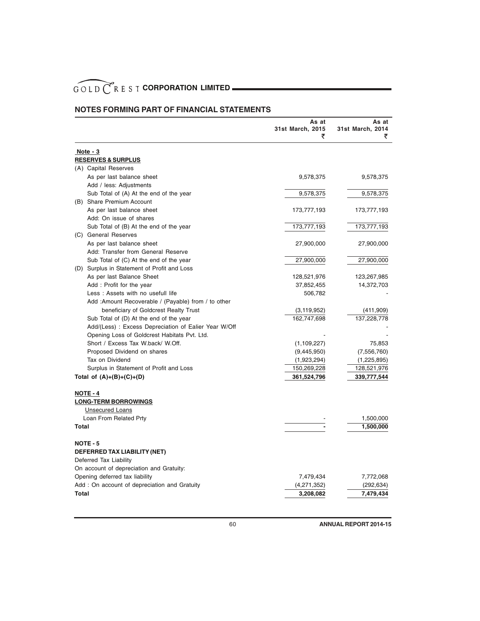## **NOTES FORMING PART OF FINANCIAL STATEMENTS**

|              |                                                      | As at<br>31st March, 2015<br>₹ | As at<br>31st March, 2014<br>₹ |
|--------------|------------------------------------------------------|--------------------------------|--------------------------------|
|              | Note $-3$                                            |                                |                                |
|              | <b>RESERVES &amp; SURPLUS</b>                        |                                |                                |
|              | (A) Capital Reserves                                 |                                |                                |
|              | As per last balance sheet                            | 9,578,375                      | 9,578,375                      |
|              | Add / less: Adjustments                              |                                |                                |
|              | Sub Total of (A) At the end of the year              | 9,578,375                      | 9,578,375                      |
|              | (B) Share Premium Account                            |                                |                                |
|              | As per last balance sheet                            | 173,777,193                    | 173,777,193                    |
|              | Add: On issue of shares                              |                                |                                |
|              | Sub Total of (B) At the end of the year              | 173,777,193                    | 173,777,193                    |
|              | (C) General Reserves                                 |                                |                                |
|              | As per last balance sheet                            | 27,900,000                     | 27,900,000                     |
|              | Add: Transfer from General Reserve                   |                                |                                |
|              | Sub Total of (C) At the end of the year              | 27,900,000                     | 27,900,000                     |
|              | (D) Surplus in Statement of Profit and Loss          |                                |                                |
|              | As per last Balance Sheet                            | 128,521,976                    | 123,267,985                    |
|              | Add: Profit for the year                             | 37,852,455                     | 14,372,703                     |
|              | Less: Assets with no usefull life                    | 506,782                        |                                |
|              | Add :Amount Recoverable / (Payable) from / to other  |                                |                                |
|              | beneficiary of Goldcrest Realty Trust                | (3, 119, 952)                  | (411,909)                      |
|              | Sub Total of (D) At the end of the year              | 162,747,698                    | 137,228,778                    |
|              | Add/(Less): Excess Depreciation of Ealier Year W/Off |                                |                                |
|              | Opening Loss of Goldcrest Habitats Pvt. Ltd.         |                                |                                |
|              | Short / Excess Tax W.back/ W.Off.                    | (1, 109, 227)                  | 75,853                         |
|              | Proposed Dividend on shares                          | (9,445,950)                    | (7,556,760)                    |
|              | Tax on Dividend                                      | (1,923,294)                    | (1,225,895)                    |
|              | Surplus in Statement of Profit and Loss              | 150,269,228                    | 128,521,976                    |
|              | Total of $(A)+(B)+(C)+(D)$                           | 361,524,796                    | 339,777,544                    |
|              | <b>NOTE - 4</b>                                      |                                |                                |
|              | <b>LONG-TERM BORROWINGS</b>                          |                                |                                |
|              | <b>Unsecured Loans</b>                               |                                |                                |
|              | Loan From Related Prty                               |                                | 1,500,000                      |
| Total        |                                                      |                                | 1,500,000                      |
|              |                                                      |                                |                                |
|              | <b>NOTE - 5</b>                                      |                                |                                |
|              | DEFERRED TAX LIABILITY (NET)                         |                                |                                |
|              | Deferred Tax Liability                               |                                |                                |
|              | On account of depreciation and Gratuity:             |                                |                                |
|              | Opening deferred tax liability                       | 7,479,434                      | 7,772,068                      |
|              | Add: On account of depreciation and Gratuity         | (4,271,352)                    | (292, 634)                     |
| <b>Total</b> |                                                      | 3,208,082                      | 7,479,434                      |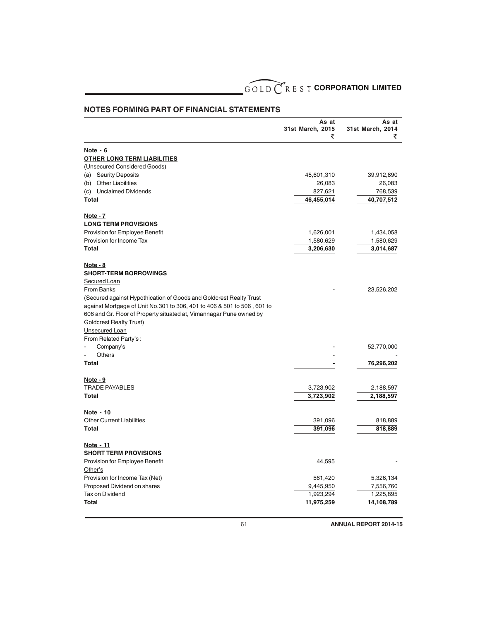### **NOTES FORMING PART OF FINANCIAL STATEMENTS**

|                                                                         | As at<br>31st March, 2015<br>₹ | As at<br>31st March, 2014<br>₹ |
|-------------------------------------------------------------------------|--------------------------------|--------------------------------|
| Note - 6                                                                |                                |                                |
| <b>OTHER LONG TERM LIABILITIES</b>                                      |                                |                                |
| (Unsecured Considered Goods)                                            |                                |                                |
| <b>Seurity Deposits</b><br>(a)                                          | 45,601,310                     | 39,912,890                     |
| <b>Other Liabilities</b><br>(b)                                         | 26,083                         | 26,083                         |
| (c) Unclaimed Dividends                                                 | 827,621                        | 768,539                        |
| <b>Total</b>                                                            | 46,455,014                     | 40,707,512                     |
| Note - 7                                                                |                                |                                |
| <b>LONG TERM PROVISIONS</b>                                             |                                |                                |
| Provision for Employee Benefit                                          | 1,626,001                      | 1,434,058                      |
| Provision for Income Tax                                                | 1,580,629                      | 1,580,629                      |
| <b>Total</b>                                                            | 3,206,630                      | 3,014,687                      |
| Note - 8                                                                |                                |                                |
| <b>SHORT-TERM BORROWINGS</b>                                            |                                |                                |
| Secured Loan                                                            |                                |                                |
| <b>From Banks</b>                                                       |                                | 23,526,202                     |
| (Secured against Hypothication of Goods and Goldcrest Realty Trust      |                                |                                |
| against Mortgage of Unit No.301 to 306, 401 to 406 & 501 to 506, 601 to |                                |                                |
| 606 and Gr. Floor of Property situated at, Vimannagar Pune owned by     |                                |                                |
| <b>Goldcrest Realty Trust)</b>                                          |                                |                                |
| Unsecured Loan                                                          |                                |                                |
| From Related Party's:                                                   |                                |                                |
| Company's                                                               |                                | 52,770,000                     |
| <b>Others</b>                                                           |                                |                                |
| <b>Total</b>                                                            |                                | 76,296,202                     |
| Note - 9                                                                |                                |                                |
| <b>TRADE PAYABLES</b>                                                   | 3,723,902                      | 2,188,597                      |
| Total                                                                   | 3,723,902                      | 2,188,597                      |
| Note - 10                                                               |                                |                                |
| <b>Other Current Liabilities</b>                                        | 391,096                        | 818,889                        |
| <b>Total</b>                                                            | 391,096                        | 818,889                        |
| Note - 11                                                               |                                |                                |
| <b>SHORT TERM PROVISIONS</b>                                            |                                |                                |
| Provision for Employee Benefit                                          | 44,595                         |                                |
| Other's                                                                 |                                |                                |
| Provision for Income Tax (Net)                                          | 561,420                        | 5,326,134                      |
| Proposed Dividend on shares                                             | 9,445,950                      | 7,556,760                      |
| Tax on Dividend                                                         | 1,923,294                      | 1,225,895                      |
| Total                                                                   | 11,975,259                     | 14,108,789                     |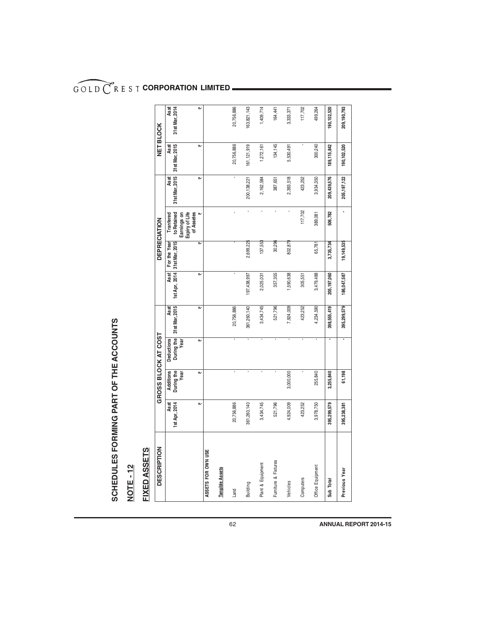| <b>DESCRIPTION</b>     |                       | GROSS BLOCK AT COST             |                          |                          |             | <b>DEPRECIATION</b>                                               |                                         |                                         |               | <b>NET BLOCK</b>       |
|------------------------|-----------------------|---------------------------------|--------------------------|--------------------------|-------------|-------------------------------------------------------------------|-----------------------------------------|-----------------------------------------|---------------|------------------------|
|                        | Asat<br>1st Apr, 2014 | During the<br>Additions<br>Year | During the<br>Deductions | As at<br>31 st Mar, 2015 |             | Asat For the Year<br>1st Apr, 2014 31st Mar, 2015<br>For the Year | to Retained<br>Earnings on<br>Tranfered | Asat<br>31st Mar, 2015   31st Mar, 2015 |               | Asat<br>31st Mar, 2014 |
|                        | ₩                     | ₩                               | ₩                        | ₩                        | ₩           | ₩                                                                 | Expiry of Life<br>of Assetes<br>₩       | ₩                                       | ₩             | ₩                      |
| ASSETS FOR OWN USE     |                       |                                 |                          |                          |             |                                                                   |                                         |                                         |               |                        |
| <b>Tangible Assets</b> |                       |                                 |                          |                          |             |                                                                   |                                         |                                         |               |                        |
| Land                   | 20,756,886            |                                 |                          | 20,756,886               |             |                                                                   |                                         |                                         | 20,756,886    | 20,756,886             |
| Building               | 361,260,140           |                                 |                          | 361,260,140              | 197,438,997 | 2,699,225                                                         |                                         | 200, 138, 221                           | 161,121,919   | 163,821,143            |
| Plant & Equipment      | 3,434,745             |                                 |                          | 3,434,745                | 2,025,031   | 137,553                                                           |                                         | 2,162,584                               | 1,272,161     | 1,409,714              |
| Furniture & Fixtures   | 521,796               |                                 |                          | 521,796                  | 357,355     | 30,296                                                            |                                         | 387,651                                 | 134,145       | 164,441                |
| Vehicles               | 4,924,009             | 3,000,000                       |                          | ,924,009                 | ,590,638    | 802,879                                                           |                                         | 2,393,518                               | 5,530,491     | 3,333,371              |
| Computers              | 423,252               |                                 |                          | 423,252                  | 305,551     |                                                                   | 117,702                                 | 423,252                                 |               | 117,702                |
| Office Equipment       | 3,978,750             | 255,840                         |                          | 4,234,590                | 3,479,488   | 65,781                                                            | 389,081                                 | 3,934,350                               | 300,240       | 499,264                |
| Sub Total              | 395,299,579           | 3,255,840                       |                          | 398,555,419              | 205,197,060 | 3,735,734                                                         | 506,782                                 | 209,439,576                             | 189, 115, 842 | 190,102,520            |
| Previous Year          | 395,238,381           | 61,198                          |                          | 395,299,579              | 186,047,587 | 19,149,535                                                        |                                         | 205,197,122                             | 190, 102, 520 | 209,190,793            |
|                        |                       |                                 |                          |                          |             |                                                                   |                                         |                                         |               |                        |

# GOLD C<sup>P</sup>R E S T **CORPORATION LIMITED**

**SCHEDULES FORMING PART OF THE ACCOUNTS**

SCHEDULES FORMING PART OF THE ACCOUNTS

**NOTE - 12**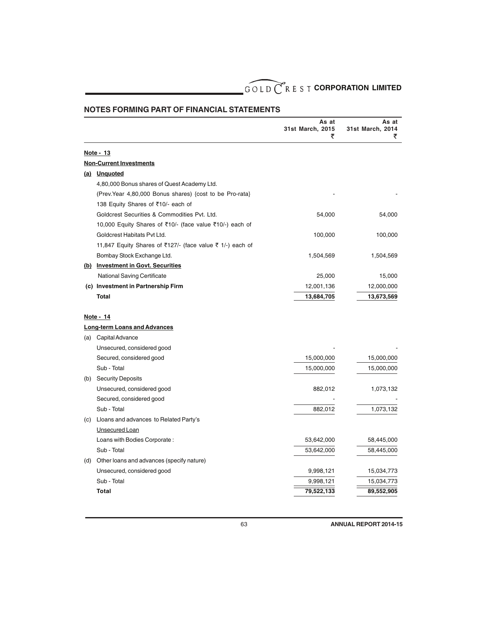## **NOTES FORMING PART OF FINANCIAL STATEMENTS**

|                                                           | As at<br>31st March, 2015<br>₹ | As at<br>31st March, 2014<br>₹ |
|-----------------------------------------------------------|--------------------------------|--------------------------------|
| Note - 13                                                 |                                |                                |
| <b>Non-Current Investments</b>                            |                                |                                |
| (a) Unquoted                                              |                                |                                |
| 4,80,000 Bonus shares of Quest Academy Ltd.               |                                |                                |
| (Prev. Year 4,80,000 Bonus shares) {cost to be Pro-rata}  |                                |                                |
| 138 Equity Shares of ₹10/- each of                        |                                |                                |
| Goldcrest Securities & Commodities Pvt. Ltd.              | 54,000                         | 54,000                         |
| 10,000 Equity Shares of ₹10/- (face value ₹10/-) each of  |                                |                                |
| Goldcrest Habitats Pvt Ltd.                               | 100,000                        | 100,000                        |
| 11,847 Equity Shares of ₹127/- (face value ₹ 1/-) each of |                                |                                |
| Bombay Stock Exchange Ltd.                                | 1,504,569                      | 1,504,569                      |
| (b) Investment in Govt. Securities                        |                                |                                |
| <b>National Saving Certificate</b>                        | 25,000                         | 15,000                         |
| (c) Investment in Partnership Firm                        | 12,001,136                     | 12,000,000                     |
| <b>Total</b>                                              | 13,684,705                     | 13,673,569                     |
| Note - 14                                                 |                                |                                |
| <b>Long-term Loans and Advances</b>                       |                                |                                |
| (a) Capital Advance                                       |                                |                                |
| Unsecured, considered good                                |                                |                                |
| Secured, considered good                                  | 15,000,000                     | 15,000,000                     |
| Sub - Total                                               | 15,000,000                     | 15,000,000                     |
| (b) Security Deposits                                     |                                |                                |
| Unsecured, considered good                                | 882,012                        | 1,073,132                      |
| Secured, considered good                                  |                                |                                |
| Sub - Total                                               | 882,012                        | 1,073,132                      |
| (c) Lloans and advances to Related Party's                |                                |                                |
| Unsecured Loan                                            |                                |                                |
| Loans with Bodies Corporate:                              | 53,642,000                     | 58,445,000                     |
| Sub - Total                                               | 53,642,000                     | 58,445,000                     |
| (d) Other loans and advances (specify nature)             |                                |                                |
| Unsecured, considered good                                | 9,998,121                      | 15,034,773                     |
| Sub - Total                                               | 9,998,121                      | 15,034,773                     |
| Total                                                     | 79,522,133                     | 89,552,905                     |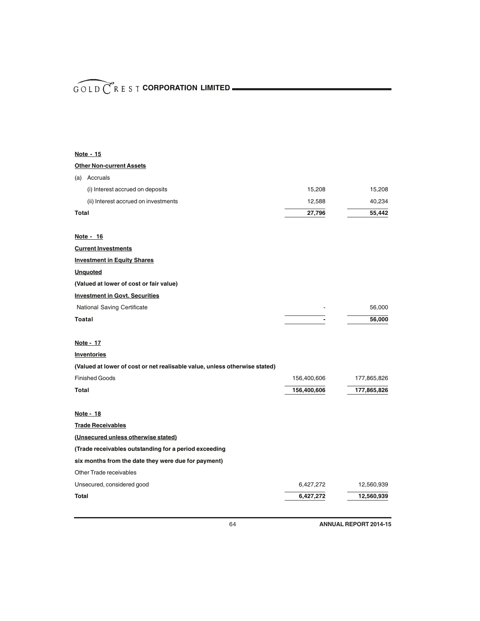### **Note - 15**

|               | <b>Other Non-current Assets</b>                                            |             |             |
|---------------|----------------------------------------------------------------------------|-------------|-------------|
|               | (a) Accruals                                                               |             |             |
|               | (i) Interest accrued on deposits                                           | 15,208      | 15,208      |
|               | (ii) Interest accrued on investments                                       | 12,588      | 40,234      |
| Total         |                                                                            | 27,796      | 55,442      |
|               | Note - 16                                                                  |             |             |
|               | <b>Current Investments</b>                                                 |             |             |
|               | <b>Investment in Equity Shares</b>                                         |             |             |
|               | <b>Unquoted</b>                                                            |             |             |
|               | (Valued at lower of cost or fair value)                                    |             |             |
|               | <b>Investment in Govt. Securities</b>                                      |             |             |
|               | National Saving Certificate                                                |             | 56,000      |
| <b>Toatal</b> |                                                                            |             | 56,000      |
|               | Note - 17                                                                  |             |             |
|               | Inventories                                                                |             |             |
|               | (Valued at lower of cost or net realisable value, unless otherwise stated) |             |             |
|               | <b>Finished Goods</b>                                                      | 156,400,606 | 177,865,826 |
| <b>Total</b>  |                                                                            | 156,400,606 | 177,865,826 |
|               | Note - 18                                                                  |             |             |
|               | <b>Trade Receivables</b>                                                   |             |             |
|               | (Unsecured unless otherwise stated)                                        |             |             |
|               | (Trade receivables outstanding for a period exceeding                      |             |             |
|               | six months from the date they were due for payment)                        |             |             |
|               | Other Trade receivables                                                    |             |             |
|               | Unsecured, considered good                                                 | 6,427,272   | 12,560,939  |
| Total         |                                                                            | 6,427,272   | 12,560,939  |
|               |                                                                            |             |             |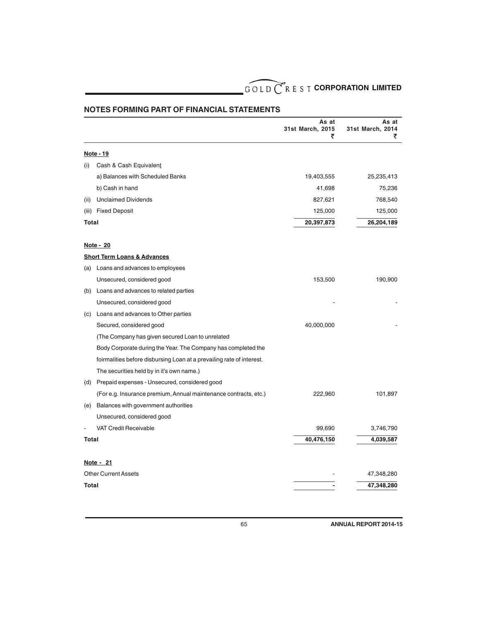### **NOTES FORMING PART OF FINANCIAL STATEMENTS**

|              |                                                                       | As at<br>31st March, 2015<br>₹ | As at<br>31st March, 2014<br>₹ |
|--------------|-----------------------------------------------------------------------|--------------------------------|--------------------------------|
|              | Note - 19                                                             |                                |                                |
| (i)          | Cash & Cash Equivalent                                                |                                |                                |
|              | a) Balances with Scheduled Banks                                      | 19,403,555                     | 25,235,413                     |
|              | b) Cash in hand                                                       | 41,698                         | 75,236                         |
| (ii)         | <b>Unclaimed Dividends</b>                                            | 827,621                        | 768,540                        |
| (iii)        | <b>Fixed Deposit</b>                                                  | 125,000                        | 125,000                        |
| Total        |                                                                       | 20,397,873                     | 26,204,189                     |
|              | <u>Note - 20</u>                                                      |                                |                                |
|              | <b>Short Term Loans &amp; Advances</b>                                |                                |                                |
|              | (a) Loans and advances to employees                                   |                                |                                |
|              | Unsecured, considered good                                            | 153,500                        | 190,900                        |
| (b)          | Loans and advances to related parties                                 |                                |                                |
|              | Unsecured, considered good                                            |                                |                                |
| (c)          | Loans and advances to Other parties                                   |                                |                                |
|              | Secured, considered good                                              | 40,000,000                     |                                |
|              | (The Company has given secured Loan to unrelated                      |                                |                                |
|              | Body Corporate during the Year. The Company has completed the         |                                |                                |
|              | foirmalities before disbursing Loan at a prevailing rate of interest. |                                |                                |
|              | The securities held by in it's own name.)                             |                                |                                |
| (d)          | Prepaid expenses - Unsecured, considered good                         |                                |                                |
|              | (For e.g. Insurance premium, Annual maintenance contracts, etc.)      | 222,960                        | 101,897                        |
| (e)          | Balances with government authorities                                  |                                |                                |
|              | Unsecured, considered good                                            |                                |                                |
|              | <b>VAT Credit Receivable</b>                                          | 99,690                         | 3,746,790                      |
| <b>Total</b> |                                                                       | 40,476,150                     | 4,039,587                      |
|              | <u>Note - 21</u>                                                      |                                |                                |
|              | <b>Other Current Assets</b>                                           |                                | 47,348,280                     |
| Total        |                                                                       |                                | 47,348,280                     |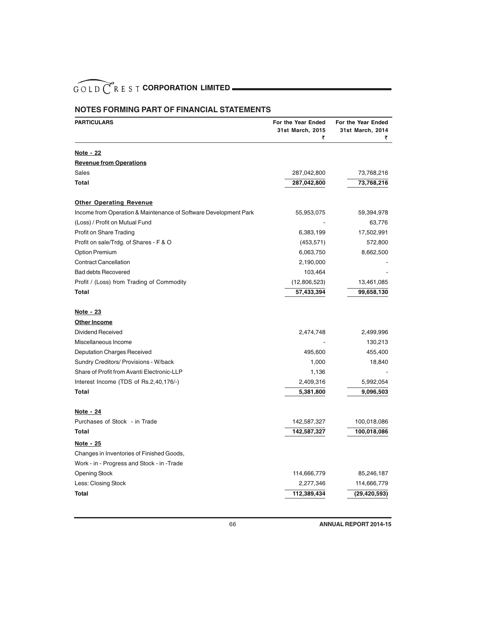## **NOTES FORMING PART OF FINANCIAL STATEMENTS**

| <b>PARTICULARS</b>                                               | For the Year Ended<br>31st March, 2015 | For the Year Ended<br>31st March, 2014 |
|------------------------------------------------------------------|----------------------------------------|----------------------------------------|
|                                                                  | ₹                                      | ₹                                      |
| <u>Note - 22</u>                                                 |                                        |                                        |
| <b>Revenue from Operations</b>                                   |                                        |                                        |
| Sales                                                            | 287,042,800                            | 73,768,216                             |
| Total                                                            | 287,042,800                            | 73,768,216                             |
| <b>Other Operating Revenue</b>                                   |                                        |                                        |
| Income from Operation & Maintenance of Software Development Park | 55,953,075                             | 59,394,978                             |
| (Loss) / Profit on Mutual Fund                                   |                                        | 63,776                                 |
| Profit on Share Trading                                          | 6,383,199                              | 17,502,991                             |
| Profit on sale/Trdg. of Shares - F & O                           | (453, 571)                             | 572,800                                |
| Option Premium                                                   | 6,063,750                              | 8,662,500                              |
| <b>Contract Cancellation</b>                                     | 2,190,000                              |                                        |
| <b>Bad debts Recovered</b>                                       | 103,464                                |                                        |
| Profit / (Loss) from Trading of Commodity                        | (12,806,523)                           | 13,461,085                             |
| Total                                                            | 57,433,394                             | 99,658,130                             |
| <u>Note - 23</u>                                                 |                                        |                                        |
| <b>Other Income</b>                                              |                                        |                                        |
| Dividend Received                                                | 2,474,748                              | 2,499,996                              |
| Miscellaneous Income                                             |                                        | 130,213                                |
| <b>Deputation Charges Received</b>                               | 495,600                                | 455,400                                |
| Sundry Creditors/ Provisions - W/back                            | 1,000                                  | 18,840                                 |
| Share of Profit from Avanti Electronic-LLP                       | 1,136                                  |                                        |
| Interest Income (TDS of Rs.2,40,176/-)                           | 2,409,316                              | 5,992,054                              |
| Total                                                            | 5,381,800                              | 9,096,503                              |
| Note - 24                                                        |                                        |                                        |
| Purchases of Stock - in Trade                                    | 142,587,327                            | 100,018,086                            |
| Total                                                            | 142,587,327                            | 100,018,086                            |
| <u>Note - 25</u>                                                 |                                        |                                        |
| Changes in Inventories of Finished Goods,                        |                                        |                                        |
| Work - in - Progress and Stock - in -Trade                       |                                        |                                        |
| <b>Opening Stock</b>                                             | 114,666,779                            | 85,246,187                             |
| Less: Closing Stock                                              | 2,277,346                              | 114,666,779                            |
| Total                                                            | 112,389,434                            | (29, 420, 593)                         |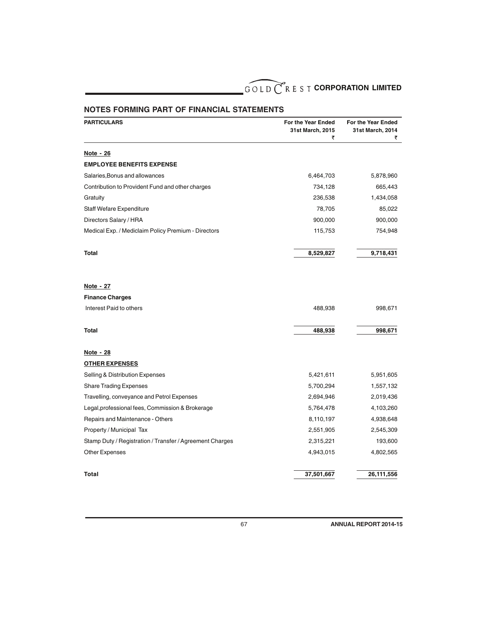### **NOTES FORMING PART OF FINANCIAL STATEMENTS**

| <b>PARTICULARS</b>                                       | For the Year Ended<br>31st March, 2015<br>₹ | For the Year Ended<br>31st March, 2014<br>₹ |
|----------------------------------------------------------|---------------------------------------------|---------------------------------------------|
| <u>Note - 26</u>                                         |                                             |                                             |
| <b>EMPLOYEE BENEFITS EXPENSE</b>                         |                                             |                                             |
| Salaries, Bonus and allowances                           | 6,464,703                                   | 5,878,960                                   |
| Contribution to Provident Fund and other charges         | 734,128                                     | 665,443                                     |
| Gratuity                                                 | 236,538                                     | 1,434,058                                   |
| Staff Wefare Expenditure                                 | 78,705                                      | 85,022                                      |
| Directors Salary / HRA                                   | 900,000                                     | 900,000                                     |
| Medical Exp. / Mediclaim Policy Premium - Directors      | 115,753                                     | 754,948                                     |
| <b>Total</b>                                             | 8,529,827                                   | 9,718,431                                   |
| <u>Note - 27</u>                                         |                                             |                                             |
| <b>Finance Charges</b>                                   |                                             |                                             |
| Interest Paid to others                                  | 488,938                                     | 998,671                                     |
| Total                                                    | 488,938                                     | 998,671                                     |
| Note - 28                                                |                                             |                                             |
| <b>OTHER EXPENSES</b>                                    |                                             |                                             |
| Selling & Distribution Expenses                          | 5,421,611                                   | 5,951,605                                   |
| <b>Share Trading Expenses</b>                            | 5,700,294                                   | 1,557,132                                   |
| Travelling, conveyance and Petrol Expenses               | 2,694,946                                   | 2,019,436                                   |
| Legal, professional fees, Commission & Brokerage         | 5,764,478                                   | 4,103,260                                   |
| Repairs and Maintenance - Others                         | 8,110,197                                   | 4,938,648                                   |
| Property / Municipal Tax                                 | 2,551,905                                   | 2,545,309                                   |
| Stamp Duty / Registration / Transfer / Agreement Charges | 2,315,221                                   | 193,600                                     |
| Other Expenses                                           | 4,943,015                                   | 4,802,565                                   |
| Total                                                    | 37,501,667                                  | 26,111,556                                  |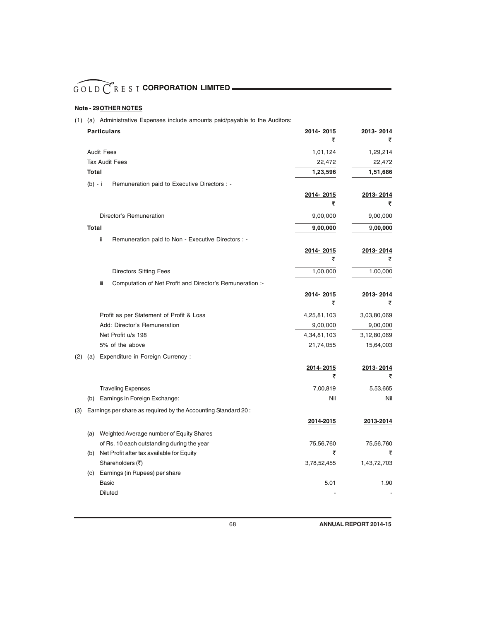### **Note - 29OTHER NOTES**

(1) (a) Administrative Expenses include amounts paid/payable to the Auditors:

|           | <b>Particulars</b>                       |                                       |                                                               | <u>2014-2015</u><br>₹ | <u>2013-2014</u><br>₹ |
|-----------|------------------------------------------|---------------------------------------|---------------------------------------------------------------|-----------------------|-----------------------|
|           |                                          | <b>Audit Fees</b>                     |                                                               | 1,01,124              | 1,29,214              |
|           |                                          |                                       | <b>Tax Audit Fees</b>                                         | 22,472                | 22,472                |
|           |                                          | <b>Total</b>                          |                                                               | 1,23,596              | 1,51,686              |
| $(b) - i$ |                                          |                                       | Remuneration paid to Executive Directors : -                  |                       |                       |
|           |                                          |                                       |                                                               | 2014-2015             | <u>2013-2014</u>      |
|           |                                          |                                       |                                                               | ₹                     | ₹                     |
|           |                                          |                                       | Director's Remuneration                                       | 9,00,000              | 9,00,000              |
|           | <b>Total</b>                             |                                       |                                                               | 9,00,000              | 9,00,000              |
|           |                                          | ii                                    | Remuneration paid to Non - Executive Directors : -            |                       |                       |
|           |                                          |                                       |                                                               | 2014-2015             | 2013-2014             |
|           |                                          |                                       |                                                               | ₹                     | ₹                     |
|           |                                          |                                       | <b>Directors Sitting Fees</b>                                 | 1,00,000              | 1.00,000              |
|           |                                          | İΪİ                                   | Computation of Net Profit and Director's Remuneration :-      |                       |                       |
|           |                                          |                                       |                                                               | 2014-2015             | 2013-2014             |
|           |                                          |                                       |                                                               | ₹                     | ₹                     |
|           | Profit as per Statement of Profit & Loss |                                       |                                                               | 4,25,81,103           | 3,03,80,069           |
|           |                                          |                                       | Add: Director's Remuneration                                  | 9,00,000              | 9,00,000              |
|           |                                          |                                       | Net Profit u/s 198                                            | 4,34,81,103           | 3,12,80,069           |
|           |                                          |                                       | 5% of the above                                               | 21,74,055             | 15,64,003             |
| (2)       |                                          | (a) Expenditure in Foreign Currency : |                                                               |                       |                       |
|           |                                          |                                       |                                                               | 2014-2015             | 2013-2014             |
|           |                                          |                                       |                                                               | ₹                     | ₹                     |
|           |                                          |                                       | <b>Traveling Expenses</b>                                     | 7,00,819              | 5,53,665              |
|           |                                          |                                       | (b) Earnings in Foreign Exchange:                             | Nil                   | Nil                   |
| (3)       |                                          |                                       | Earnings per share as required by the Accounting Standard 20: |                       |                       |
|           |                                          |                                       |                                                               | 2014-2015             | 2013-2014             |
|           |                                          |                                       | (a) Weighted Average number of Equity Shares                  |                       |                       |
|           |                                          |                                       | of Rs. 10 each outstanding during the year                    | 75,56,760             | 75,56,760             |
|           |                                          |                                       | (b) Net Profit after tax available for Equity                 | ₹                     | ₹                     |
|           |                                          |                                       | Shareholders (₹)                                              | 3,78,52,455           | 1,43,72,703           |
|           | (c)                                      |                                       | Earnings (in Rupees) per share                                |                       |                       |
|           |                                          | <b>Basic</b>                          |                                                               | 5.01                  | 1.90                  |
|           |                                          |                                       | Diluted                                                       |                       |                       |
|           |                                          |                                       |                                                               |                       |                       |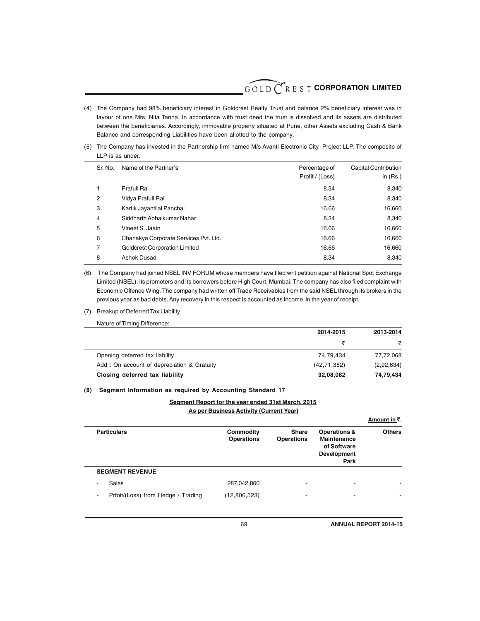- (4) The Company had 98% beneficiary interest in Goldcrest Realty Trust and balance 2% beneficiary interest was in favour of one Mrs. Nita Tanna. In accordance with trust deed the trust is dissolved and its assets are distributed between the beneficiaries. Accordingly, immovable property situated at Pune, other Assets excluding Cash & Bank Balance and corresponding Liabilities have been allotted to the company.
- (5) The Company has invested in the Partnership firm named M/s Avanti Electronic City Project LLP. The composite of LLP is as under.

| Sr. No. | Name of the Partner's                 | Percentage of<br>Profit / (Loss) | Capital Contribution<br>in $(Rs.)$ |
|---------|---------------------------------------|----------------------------------|------------------------------------|
|         | Prafull Rai                           | 8.34                             | 8,340                              |
| 2       | Vidya Prafull Rai                     | 8.34                             | 8,340                              |
| 3       | Kartik Jayantilal Panchal             | 16.66                            | 16,660                             |
| 4       | Siddharth Abhaikumar Nahar            | 8.34                             | 8,340                              |
| 5       | Vineet S. Jaain                       | 16.66                            | 16,660                             |
| 6       | Chanakya Corporate Services Pvt. Ltd. | 16.66                            | 16,660                             |
| 7       | <b>Goldcrest Corporation Limited</b>  | 16.66                            | 16.660                             |
| 8       | Ashok Dusad                           | 8.34                             | 8,340                              |

(6) The Company had joined NSEL INV FORUM whose members have filed writ petition against National Spot Exchange Limited (NSEL), its promoters and its borrowers before High Court, Mumbai. The company has also filed complaint with Economic Offence Wing. The company had written off Trade Receivables from the said NSEL through its brokers in the previous year as bad debts. Any recovery in this respect is accounted as income in the year of receipt.

(7) Breakup of Deferred Tax Liability

| Nature of Timing Difference:               |               |            |
|--------------------------------------------|---------------|------------|
|                                            | 2014-2015     | 2013-2014  |
|                                            | ₹             |            |
| Opening deferred tax liability             | 74.79.434     | 77,72,068  |
| Add: On account of depreciation & Gratuity | (42, 71, 352) | (2,92,634) |
| Closing deferred tax liability             | 32,08,082     | 74,79,434  |

#### **(8) Segment Information as required by Accounting Standard 17**

#### **Segment Report for the year ended 31st March, 2015 As per Business Activity (Current Year)**

|                                                                |                                |                                   |                                                                                 | Amount in ₹.  |
|----------------------------------------------------------------|--------------------------------|-----------------------------------|---------------------------------------------------------------------------------|---------------|
| <b>Particulars</b>                                             | Commodity<br><b>Operations</b> | <b>Share</b><br><b>Operations</b> | Operations &<br><b>Maintenance</b><br>of Software<br><b>Development</b><br>Park | <b>Others</b> |
| <b>SEGMENT REVENUE</b>                                         |                                |                                   |                                                                                 |               |
| Sales<br>٠                                                     | 287,042,800                    | ٠                                 | ٠                                                                               | ٠             |
| Prfoit/(Loss) from Hedge / Trading<br>$\overline{\phantom{a}}$ | (12,806,523)                   | $\overline{\phantom{0}}$          | ۰                                                                               |               |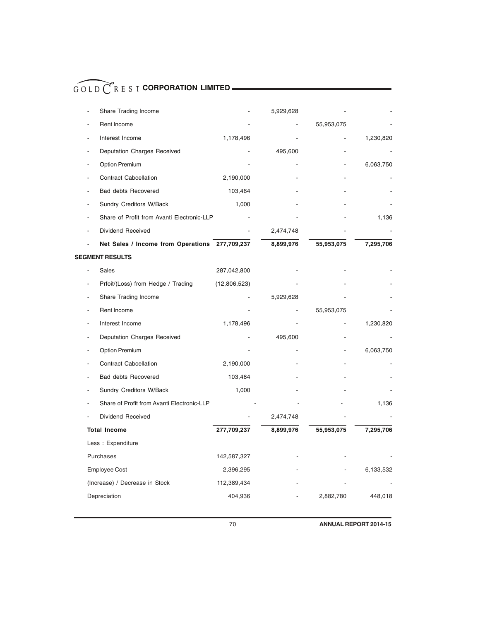| Share Trading Income                           |              | 5,929,628 |            |           |
|------------------------------------------------|--------------|-----------|------------|-----------|
| Rent Income                                    |              |           | 55,953,075 |           |
| Interest Income                                | 1,178,496    |           |            | 1,230,820 |
| Deputation Charges Received                    |              | 495,600   |            |           |
| Option Premium                                 |              |           |            | 6,063,750 |
| <b>Contract Cabcellation</b>                   | 2,190,000    |           |            |           |
| Bad debts Recovered                            | 103,464      |           |            |           |
| Sundry Creditors W/Back                        | 1,000        |           |            |           |
| Share of Profit from Avanti Electronic-LLP     |              |           |            | 1,136     |
| Dividend Received                              |              | 2,474,748 |            |           |
| Net Sales / Income from Operations 277,709,237 |              | 8,899,976 | 55,953,075 | 7,295,706 |
| <b>SEGMENT RESULTS</b>                         |              |           |            |           |
| Sales                                          | 287,042,800  |           |            |           |
| Prfoit/(Loss) from Hedge / Trading             | (12,806,523) |           |            |           |
| Share Trading Income                           |              | 5,929,628 |            |           |
| Rent Income                                    |              |           | 55,953,075 |           |
| Interest Income                                | 1,178,496    |           |            | 1,230,820 |
| Deputation Charges Received                    |              | 495,600   |            |           |
| <b>Option Premium</b>                          |              |           |            | 6,063,750 |
| <b>Contract Cabcellation</b>                   | 2,190,000    |           |            |           |
| Bad debts Recovered                            | 103,464      |           |            |           |
| Sundry Creditors W/Back                        | 1,000        |           |            |           |
| Share of Profit from Avanti Electronic-LLP     |              |           |            | 1,136     |
| Dividend Received                              |              | 2,474,748 |            |           |
| <b>Total Income</b>                            | 277,709,237  | 8,899,976 | 55,953,075 | 7,295,706 |
| Less: Expenditure                              |              |           |            |           |
| Purchases                                      | 142,587,327  |           |            |           |
| <b>Employee Cost</b>                           | 2,396,295    |           |            | 6,133,532 |
| (Increase) / Decrease in Stock                 | 112,389,434  |           |            |           |
| Depreciation                                   | 404,936      |           | 2,882,780  | 448,018   |
|                                                |              |           |            |           |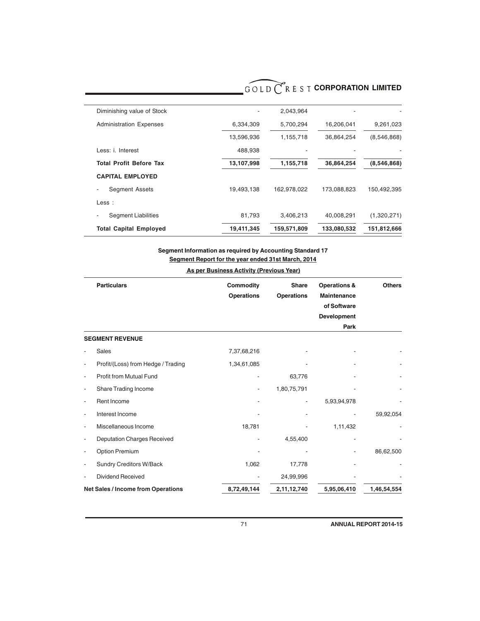|             |             | 2,043,964   |            | Diminishing value of Stock     |
|-------------|-------------|-------------|------------|--------------------------------|
| 9,261,023   | 16,206,041  | 5.700.294   | 6,334,309  | <b>Administration Expenses</b> |
| (8,546,868) | 36,864,254  | 1,155,718   | 13,596,936 |                                |
|             |             |             | 488,938    | Less: i. Interest              |
| (8,546,868) | 36,864,254  | 1,155,718   | 13,107,998 | <b>Total Profit Before Tax</b> |
|             |             |             |            | <b>CAPITAL EMPLOYED</b>        |
| 150,492,395 | 173,088,823 | 162,978,022 | 19,493,138 | <b>Segment Assets</b>          |
|             |             |             |            | Less:                          |
| (1,320,271) | 40,008,291  | 3,406,213   | 81,793     | <b>Segment Liabilities</b>     |
| 151,812,666 | 133,080,532 | 159,571,809 | 19,411,345 | <b>Total Capital Employed</b>  |

**Segment Information as required by Accounting Standard 17 Segment Report for the year ended 31st March, 2014**

#### **As per Business Activity (Previous Year)**

|                              | <b>Particulars</b>                        | Commodity<br><b>Operations</b> | <b>Share</b><br><b>Operations</b> | <b>Operations &amp;</b><br><b>Maintenance</b><br>of Software<br><b>Development</b> | <b>Others</b> |
|------------------------------|-------------------------------------------|--------------------------------|-----------------------------------|------------------------------------------------------------------------------------|---------------|
|                              | <b>SEGMENT REVENUE</b>                    |                                |                                   | Park                                                                               |               |
|                              | <b>Sales</b>                              | 7,37,68,216                    |                                   |                                                                                    |               |
| $\overline{\phantom{a}}$     | Profit/(Loss) from Hedge / Trading        | 1,34,61,085                    |                                   |                                                                                    |               |
| $\overline{a}$               | <b>Profit from Mutual Fund</b>            |                                | 63,776                            |                                                                                    |               |
| $\qquad \qquad \blacksquare$ | Share Trading Income                      |                                | 1,80,75,791                       |                                                                                    |               |
| $\overline{a}$               | Rent Income                               |                                |                                   | 5,93,94,978                                                                        |               |
| $\overline{a}$               | Interest Income                           |                                |                                   |                                                                                    | 59,92,054     |
| ٠                            | Miscellaneous Income                      | 18,781                         |                                   | 1,11,432                                                                           |               |
| $\overline{\phantom{a}}$     | Deputation Charges Received               |                                | 4,55,400                          |                                                                                    |               |
| $\overline{\phantom{a}}$     | Option Premium                            |                                |                                   |                                                                                    | 86,62,500     |
| -                            | Sundry Creditors W/Back                   | 1,062                          | 17,778                            |                                                                                    |               |
| $\overline{a}$               | <b>Dividend Received</b>                  |                                | 24,99,996                         |                                                                                    |               |
|                              | <b>Net Sales / Income from Operations</b> | 8,72,49,144                    | 2,11,12,740                       | 5,95,06,410                                                                        | 1,46,54,554   |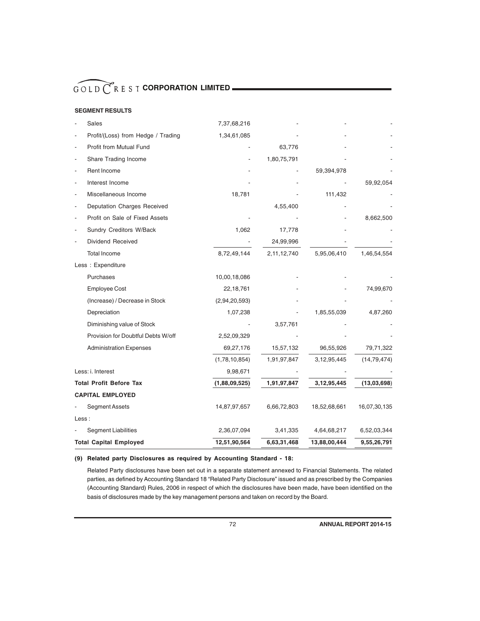#### **SEGMENT RESULTS**

|        | <b>Sales</b>                       | 7,37,68,216   |             |              |               |
|--------|------------------------------------|---------------|-------------|--------------|---------------|
|        | Profit/(Loss) from Hedge / Trading | 1,34,61,085   |             |              |               |
|        | Profit from Mutual Fund            |               | 63,776      |              |               |
|        | Share Trading Income               |               | 1,80,75,791 |              |               |
|        | Rent Income                        |               |             | 59,394,978   |               |
|        | Interest Income                    |               |             |              | 59,92,054     |
|        | Miscellaneous Income               | 18,781        |             | 111,432      |               |
|        | Deputation Charges Received        |               | 4,55,400    |              |               |
|        | Profit on Sale of Fixed Assets     |               |             |              | 8,662,500     |
|        | Sundry Creditors W/Back            | 1,062         | 17,778      |              |               |
|        | Dividend Received                  |               | 24,99,996   |              |               |
|        | <b>Total Income</b>                | 8,72,49,144   | 2,11,12,740 | 5,95,06,410  | 1,46,54,554   |
|        | Less: Expenditure                  |               |             |              |               |
|        | Purchases                          | 10,00,18,086  |             |              |               |
|        | <b>Employee Cost</b>               | 22,18,761     |             |              | 74,99,670     |
|        | (Increase) / Decrease in Stock     | (2,94,20,593) |             |              |               |
|        | Depreciation                       | 1,07,238      |             | 1,85,55,039  | 4,87,260      |
|        | Diminishing value of Stock         |               | 3,57,761    |              |               |
|        | Provision for Doubtful Debts W/off | 2,52,09,329   |             |              |               |
|        | <b>Administration Expenses</b>     | 69,27,176     | 15,57,132   | 96,55,926    | 79,71,322     |
|        |                                    | (1,78,10,854) | 1,91,97,847 | 3,12,95,445  | (14, 79, 474) |
|        | Less: i. Interest                  | 9,98,671      |             |              |               |
|        | <b>Total Profit Before Tax</b>     | (1,88,09,525) | 1,91,97,847 | 3,12,95,445  | (13,03,698)   |
|        | <b>CAPITAL EMPLOYED</b>            |               |             |              |               |
|        | <b>Segment Assets</b>              | 14,87,97,657  | 6,66,72,803 | 18,52,68,661 | 16,07,30,135  |
| Less : |                                    |               |             |              |               |
|        | <b>Segment Liabilities</b>         | 2,36,07,094   | 3,41,335    | 4,64,68,217  | 6,52,03,344   |
|        | <b>Total Capital Employed</b>      | 12,51,90,564  | 6,63,31,468 | 13,88,00,444 | 9,55,26,791   |

#### **(9) Related party Disclosures as required by Accounting Standard - 18:**

Related Party disclosures have been set out in a separate statement annexed to Financial Statements. The related parties, as defined by Accounting Standard 18 "Related Party Disclosure" issued and as prescribed by the Companies (Accounting Standard) Rules, 2006 in respect of which the disclosures have been made, have been identified on the basis of disclosures made by the key management persons and taken on record by the Board.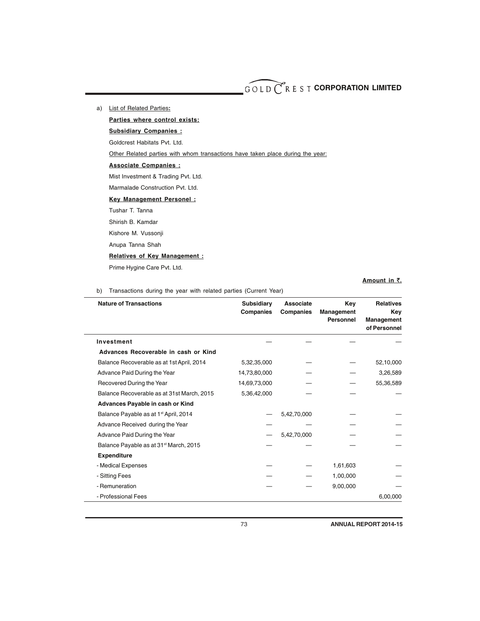- a) List of Related Parties**:**
	- **Parties where control exists: Subsidiary Companies :**

Goldcrest Habitats Pvt. Ltd.

Other Related parties with whom transactions have taken place during the year:

**Associate Companies :**

Mist Investment & Trading Pvt. Ltd.

Marmalade Construction Pvt. Ltd.

#### **Key Management Personel :**

Tushar T. Tanna

Shirish B. Kamdar

Kishore M. Vussonji

Anupa Tanna Shah

#### **Relatives of Key Management :**

Prime Hygine Care Pvt. Ltd.

#### **Amount in** `**.**

#### b) Transactions during the year with related parties (Current Year)

| <b>Nature of Transactions</b>                      | <b>Subsidiary</b><br><b>Companies</b> | Associate<br><b>Companies</b> | Key<br>Management<br>Personnel | <b>Relatives</b><br>Key<br><b>Management</b><br>of Personnel |
|----------------------------------------------------|---------------------------------------|-------------------------------|--------------------------------|--------------------------------------------------------------|
| Investment                                         |                                       |                               |                                |                                                              |
| Advances Recoverable in cash or Kind               |                                       |                               |                                |                                                              |
| Balance Recoverable as at 1st April, 2014          | 5,32,35,000                           |                               |                                | 52,10,000                                                    |
| Advance Paid During the Year                       | 14,73,80,000                          |                               |                                | 3,26,589                                                     |
| Recovered During the Year                          | 14,69,73,000                          |                               |                                | 55,36,589                                                    |
| Balance Recoverable as at 31st March, 2015         | 5,36,42,000                           |                               |                                |                                                              |
| Advances Payable in cash or Kind                   |                                       |                               |                                |                                                              |
| Balance Payable as at 1 <sup>st</sup> April, 2014  |                                       | 5,42,70,000                   |                                |                                                              |
| Advance Received during the Year                   |                                       |                               |                                |                                                              |
| Advance Paid During the Year                       |                                       | 5,42,70,000                   |                                |                                                              |
| Balance Payable as at 31 <sup>st</sup> March, 2015 |                                       |                               |                                |                                                              |
| <b>Expenditure</b>                                 |                                       |                               |                                |                                                              |
| - Medical Expenses                                 |                                       |                               | 1,61,603                       |                                                              |
| - Sitting Fees                                     |                                       |                               | 1,00,000                       |                                                              |
| - Remuneration                                     |                                       |                               | 9,00,000                       |                                                              |
| - Professional Fees                                |                                       |                               |                                | 6,00,000                                                     |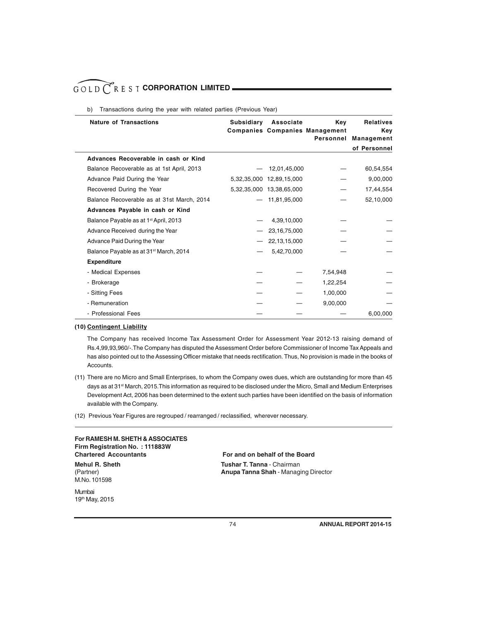b) Transactions during the year with related parties (Previous Year)

| <b>Nature of Transactions</b>                      | Subsidiary | Associate                | Kev<br><b>Companies Companies Management</b><br>Personnel | <b>Relatives</b><br>Key<br>Management<br>of Personnel |
|----------------------------------------------------|------------|--------------------------|-----------------------------------------------------------|-------------------------------------------------------|
| Advances Recoverable in cash or Kind               |            |                          |                                                           |                                                       |
| Balance Recoverable as at 1st April, 2013          |            | 12,01,45,000             |                                                           | 60,54,554                                             |
| Advance Paid During the Year                       |            | 5,32,35,000 12,89,15,000 |                                                           | 9,00,000                                              |
| Recovered During the Year                          |            | 5,32,35,000 13,38,65,000 |                                                           | 17,44,554                                             |
| Balance Recoverable as at 31st March, 2014         |            | 11,81,95,000             |                                                           | 52,10,000                                             |
| Advances Payable in cash or Kind                   |            |                          |                                                           |                                                       |
| Balance Payable as at 1 <sup>st</sup> April, 2013  |            | 4,39,10,000              |                                                           |                                                       |
| Advance Received during the Year                   |            | 23, 16, 75, 000          |                                                           |                                                       |
| Advance Paid During the Year                       |            | 22,13,15,000             |                                                           |                                                       |
| Balance Payable as at 31 <sup>st</sup> March, 2014 |            | 5,42,70,000              |                                                           |                                                       |
| <b>Expenditure</b>                                 |            |                          |                                                           |                                                       |
| - Medical Expenses                                 |            |                          | 7,54,948                                                  |                                                       |
| - Brokerage                                        |            |                          | 1,22,254                                                  |                                                       |
| - Sitting Fees                                     |            |                          | 1,00,000                                                  |                                                       |
| - Remuneration                                     |            |                          | 9,00,000                                                  |                                                       |
| - Professional Fees                                |            |                          |                                                           | 6,00,000                                              |

#### **(10) Contingent Liability**

The Company has received Income Tax Assessment Order for Assessment Year 2012-13 raising demand of Rs.4,99,93,960/-.The Company has disputed the Assessment Order before Commissioner of Income Tax Appeals and has also pointed out to the Assessing Officer mistake that needs rectification. Thus, No provision is made in the books of Accounts.

(11) There are no Micro and Small Enterprises, to whom the Company owes dues, which are outstanding for more than 45 days as at 31<sup>st</sup> March, 2015. This information as required to be disclosed under the Micro, Small and Medium Enterprises Development Act, 2006 has been determined to the extent such parties have been identified on the basis of information available with the Company.

(12) Previous Year Figures are regrouped / rearranged / reclassified, wherever necessary.

#### **For RAMESH M. SHETH & ASSOCIATES Firm Registration No. : 111883W Chartered Accountants For and on behalf of the Board Mehul R. Sheth Tushar T. Tanna - Chairman** (Partner) **Anupa Tanna Shah** - Managing Director M.No. 101598

Mumbai 19th May, 2015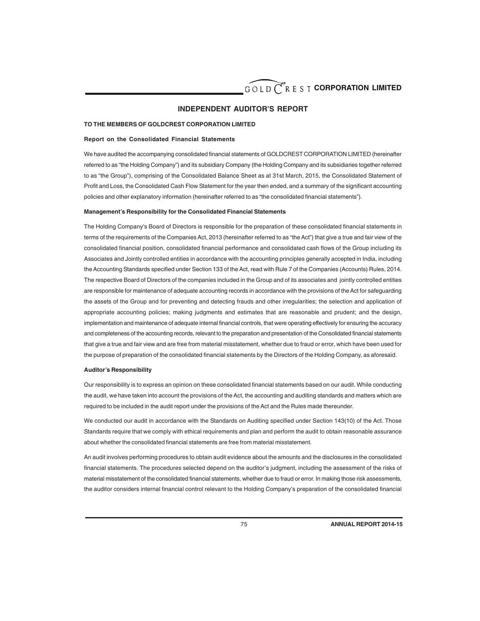

#### **INDEPENDENT AUDITOR'S REPORT**

#### **TO THE MEMBERS OF GOLDCREST CORPORATION LIMITED**

#### **Report on the Consolidated Financial Statements**

We have audited the accompanying consolidated financial statements of GOLDCREST CORPORATION LIMITED (hereinafter referred to as "the Holding Company") and its subsidiary Company (the Holding Company and its subsidiaries together referred to as "the Group"), comprising of the Consolidated Balance Sheet as at 31st March, 2015, the Consolidated Statement of Profit and Loss, the Consolidated Cash Flow Statement for the year then ended, and a summary of the significant accounting policies and other explanatory information (hereinafter referred to as "the consolidated financial statements").

#### **Management's Responsibility for the Consolidated Financial Statements**

The Holding Company's Board of Directors is responsible for the preparation of these consolidated financial statements in terms of the requirements of the Companies Act, 2013 (hereinafter referred to as "the Act") that give a true and fair view of the consolidated financial position, consolidated financial performance and consolidated cash flows of the Group including its Associates and Jointly controlled entities in accordance with the accounting principles generally accepted in India, including the Accounting Standards specified under Section 133 of the Act, read with Rule 7 of the Companies (Accounts) Rules, 2014. The respective Board of Directors of the companies included in the Group and of its associates and jointly controlled entities are responsible for maintenance of adequate accounting records in accordance with the provisions of the Act for safeguarding the assets of the Group and for preventing and detecting frauds and other irregularities; the selection and application of appropriate accounting policies; making judgments and estimates that are reasonable and prudent; and the design, implementation and maintenance of adequate internal financial controls, that were operating effectively for ensuring the accuracy and completeness of the accounting records, relevant to the preparation and presentation of the Consolidated financial statements that give a true and fair view and are free from material misstatement, whether due to fraud or error, which have been used for the purpose of preparation of the consolidated financial statements by the Directors of the Holding Company, as aforesaid.

#### **Auditor's Responsibility**

Our responsibility is to express an opinion on these consolidated financial statements based on our audit. While conducting the audit, we have taken into account the provisions of the Act, the accounting and auditing standards and matters which are required to be included in the audit report under the provisions of the Act and the Rules made thereunder.

We conducted our audit in accordance with the Standards on Auditing specified under Section 143(10) of the Act. Those Standards require that we comply with ethical requirements and plan and perform the audit to obtain reasonable assurance about whether the consolidated financial statements are free from material misstatement.

An audit involves performing procedures to obtain audit evidence about the amounts and the disclosures in the consolidated financial statements. The procedures selected depend on the auditor's judgment, including the assessment of the risks of material misstatement of the consolidated financial statements, whether due to fraud or error. In making those risk assessments, the auditor considers internal financial control relevant to the Holding Company's preparation of the consolidated financial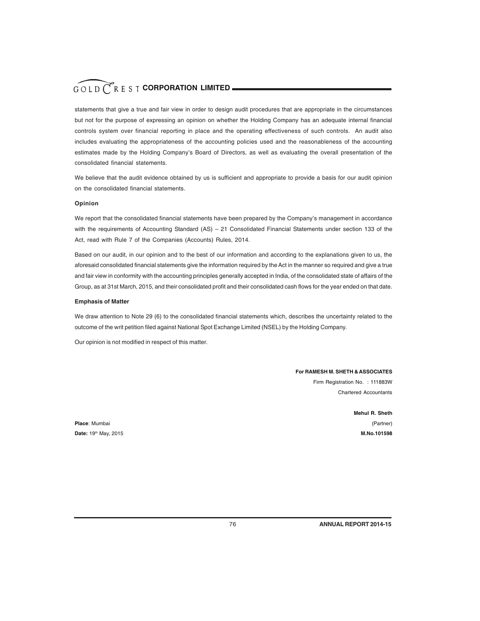statements that give a true and fair view in order to design audit procedures that are appropriate in the circumstances but not for the purpose of expressing an opinion on whether the Holding Company has an adequate internal financial controls system over financial reporting in place and the operating effectiveness of such controls. An audit also includes evaluating the appropriateness of the accounting policies used and the reasonableness of the accounting estimates made by the Holding Company's Board of Directors, as well as evaluating the overall presentation of the consolidated financial statements.

We believe that the audit evidence obtained by us is sufficient and appropriate to provide a basis for our audit opinion on the consolidated financial statements.

#### **Opinion**

We report that the consolidated financial statements have been prepared by the Company's management in accordance with the requirements of Accounting Standard (AS) - 21 Consolidated Financial Statements under section 133 of the Act, read with Rule 7 of the Companies (Accounts) Rules, 2014.

Based on our audit, in our opinion and to the best of our information and according to the explanations given to us, the aforesaid consolidated financial statements give the information required by the Act in the manner so required and give a true and fair view in conformity with the accounting principles generally accepted in India, of the consolidated state of affairs of the Group, as at 31st March, 2015, and their consolidated profit and their consolidated cash flows for the year ended on that date.

#### **Emphasis of Matter**

We draw attention to Note 29 (6) to the consolidated financial statements which, describes the uncertainty related to the outcome of the writ petition filed against National Spot Exchange Limited (NSEL) by the Holding Company.

Our opinion is not modified in respect of this matter.

## **For RAMESH M. SHETH & ASSOCIATES**

Firm Registration No. : 111883W Chartered Accountants

 **Mehul R. Sheth Place**: Mumbai (Partner)

**Date:** 19th May, 2015 **M.No.101598**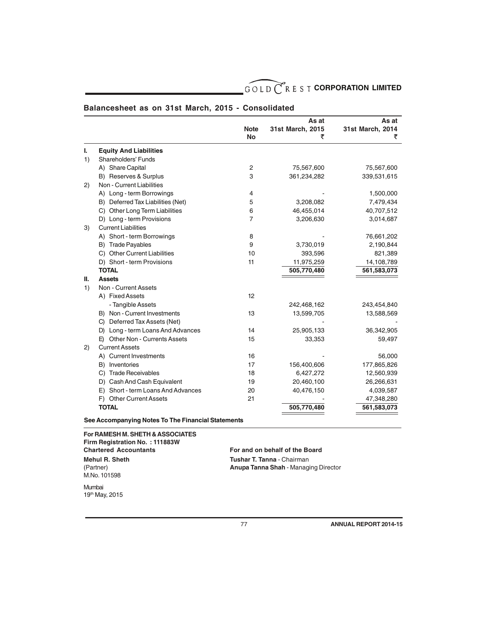#### **Balancesheet as on 31st March, 2015 - Consolidated**

|    |                                        |             | As at            | As at            |
|----|----------------------------------------|-------------|------------------|------------------|
|    |                                        | <b>Note</b> | 31st March, 2015 | 31st March, 2014 |
|    |                                        | <b>No</b>   | ₹                | ₹                |
| ı. | <b>Equity And Liabilities</b>          |             |                  |                  |
| 1) | Shareholders' Funds                    |             |                  |                  |
|    | A) Share Capital                       | 2           | 75,567,600       | 75,567,600       |
|    | B) Reserves & Surplus                  | 3           | 361,234,282      | 339,531,615      |
| 2) | Non - Current Liabilities              |             |                  |                  |
|    | A) Long - term Borrowings              | 4           |                  | 1,500,000        |
|    | B) Deferred Tax Liabilities (Net)      | 5           | 3,208,082        | 7,479,434        |
|    | C) Other Long Term Liabilities         | 6           | 46,455,014       | 40,707,512       |
|    | D) Long - term Provisions              | 7           | 3,206,630        | 3,014,687        |
| 3) | <b>Current Liabilities</b>             |             |                  |                  |
|    | A) Short - term Borrowings             | 8           |                  | 76,661,202       |
|    | B) Trade Payables                      | 9           | 3,730,019        | 2,190,844        |
|    | C) Other Current Liabilities           | 10          | 393,596          | 821,389          |
|    | D) Short - term Provisions             | 11          | 11,975,259       | 14,108,789       |
|    | <b>TOTAL</b>                           |             | 505,770,480      | 561,583,073      |
| Н. | <b>Assets</b>                          |             |                  |                  |
| 1) | Non - Current Assets                   |             |                  |                  |
|    | A) Fixed Assets                        | 12          |                  |                  |
|    | - Tangible Assets                      |             | 242,468,162      | 243,454,840      |
|    | B) Non - Current Investments           | 13          | 13,599,705       | 13,588,569       |
|    | C) Deferred Tax Assets (Net)           |             |                  |                  |
|    | D) Long - term Loans And Advances      | 14          | 25,905,133       | 36,342,905       |
|    | E) Other Non - Currents Assets         | 15          | 33,353           | 59,497           |
| 2) | <b>Current Assets</b>                  |             |                  |                  |
|    | A) Current Investments                 | 16          |                  | 56,000           |
|    | B) Inventories                         | 17          | 156,400,606      | 177,865,826      |
|    | C) Trade Receivables                   | 18          | 6,427,272        | 12,560,939       |
|    | D) Cash And Cash Equivalent            | 19          | 20,460,100       | 26,266,631       |
|    | E) Short - term Loans And Advances     | 20          | 40,476,150       | 4,039,587        |
|    | F) Other Current Assets                | 21          |                  | 47,348,280       |
|    | <b>TOTAL</b>                           |             | 505,770,480      | 561,583,073      |
|    | mponying Notos To The Eineneiel Ctatem |             |                  |                  |

**See Accompanying Notes To The Financial Statements**

## **For RAMESH M. SHETH & ASSOCIATES Firm Registration No. : 111883W**

M.No. 101598

Mumbai 19th May, 2015

#### For and on behalf of the Board

**Mehul R. Sheth Tushar T. Tanna - Chairman (Partner)**<br> **Anupa Tanna Shah - Managi** Anupa Tanna Shah - Managing Director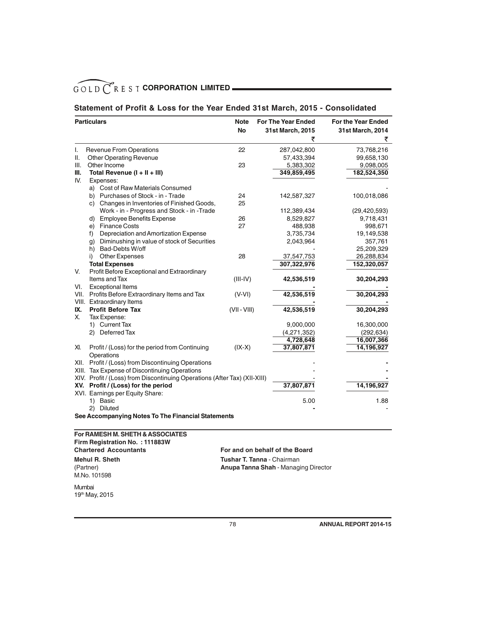#### **Statement of Profit & Loss for the Year Ended 31st March, 2015 - Consolidated**

| <b>Particulars</b> |                                                                           | <b>Note</b>    | <b>For The Year Ended</b> | For the Year Ended |
|--------------------|---------------------------------------------------------------------------|----------------|---------------------------|--------------------|
|                    |                                                                           | <b>No</b>      | 31st March, 2015          | 31st March, 2014   |
|                    |                                                                           |                | ₹                         | ₹                  |
| I.                 | <b>Revenue From Operations</b>                                            | 22             | 287,042,800               | 73,768,216         |
| ΙΙ.                | <b>Other Operating Revenue</b>                                            |                | 57,433,394                | 99,658,130         |
| III.               | Other Income                                                              | 23             | 5,383,302                 | 9,098,005          |
| Ш.                 | Total Revenue (I + II + III)                                              |                | 349,859,495               | 182,524,350        |
| IV.                | Expenses:                                                                 |                |                           |                    |
|                    | a) Cost of Raw Materials Consumed                                         |                |                           |                    |
|                    | b) Purchases of Stock - in - Trade                                        | 24             | 142,587,327               | 100,018,086        |
|                    | c) Changes in Inventories of Finished Goods,                              | 25             |                           |                    |
|                    | Work - in - Progress and Stock - in -Trade                                |                | 112,389,434               | (29, 420, 593)     |
|                    | d) Employee Benefits Expense                                              | 26             | 8,529,827                 | 9,718,431          |
|                    | e) Finance Costs                                                          | 27             | 488,938                   | 998,671            |
|                    | Depreciation and Amortization Expense<br>f)                               |                | 3,735,734                 | 19,149,538         |
|                    | g) Diminushing in value of stock of Securities                            |                | 2,043,964                 | 357,761            |
|                    | h) Bad-Debts W/off                                                        |                |                           | 25,209,329         |
|                    | i)<br>Other Expenses                                                      | 28             | 37,547,753                | 26,288,834         |
|                    | <b>Total Expenses</b>                                                     |                | 307,322,976               | 152,320,057        |
| V.                 | Profit Before Exceptional and Extraordinary                               |                |                           |                    |
|                    | Items and Tax                                                             | $(III-IV)$     | 42,536,519                | 30,204,293         |
| VI.                | <b>Exceptional Items</b>                                                  |                |                           |                    |
| VII.               | Profits Before Extraordinary Items and Tax                                | $(V-VI)$       | 42,536,519                | 30,204,293         |
|                    | VIII. Extraordinary Items                                                 |                |                           |                    |
| IX.                | <b>Profit Before Tax</b>                                                  | $(VII - VIII)$ | 42,536,519                | 30,204,293         |
| Х.                 | Tax Expense:                                                              |                |                           |                    |
|                    | 1) Current Tax                                                            |                | 9,000,000                 | 16,300,000         |
|                    | 2) Deferred Tax                                                           |                | (4,271,352)               | (292, 634)         |
|                    |                                                                           |                | 4,728,648                 | 16,007,366         |
| XI.                | Profit / (Loss) for the period from Continuing<br>Operations              | $(IX-X)$       | 37,807,871                | 14,196,927         |
|                    | XII. Profit / (Loss) from Discontinuing Operations                        |                |                           |                    |
|                    | XIII. Tax Expense of Discontinuing Operations                             |                |                           |                    |
|                    | XIV. Profit / (Loss) from Discontinuing Operations (After Tax) (XII-XIII) |                |                           |                    |
|                    | XV. Profit / (Loss) for the period                                        |                | 37,807,871                | 14,196,927         |
|                    | XVI. Earnings per Equity Share:                                           |                |                           |                    |
|                    | 1) Basic                                                                  |                | 5.00                      | 1.88               |
|                    | 2) Diluted                                                                |                |                           |                    |
|                    | See Accompanying Notes To The Financial Statements                        |                |                           |                    |

## **For RAMESH M. SHETH & ASSOCIATES Firm Registration No. : 111883W**

M.No. 101598

#### For and on behalf of the Board

**Mehul R. Sheth Tushar T. Tanna - Chairman (Partner)**<br> **Anupa Tanna Shah - Managi** Anupa Tanna Shah - Managing Director

Mumbai 19th May, 2015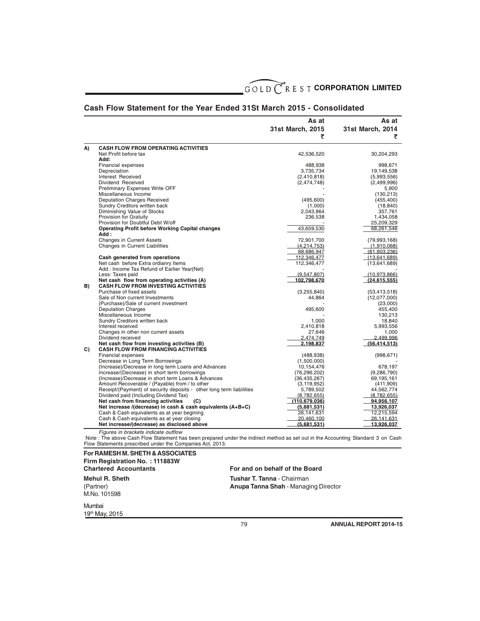#### **Cash Flow Statement for the Year Ended 31St March 2015 - Consolidated**

|    |                                                                      | As at            | As at            |
|----|----------------------------------------------------------------------|------------------|------------------|
|    |                                                                      | 31st March, 2015 | 31st March, 2014 |
|    |                                                                      | ₹                | ₹                |
|    |                                                                      |                  |                  |
| A) | <b>CASH FLOW FROM OPERATING ACTIVITIES</b>                           |                  |                  |
|    | Net Profit before tax                                                | 42,536,520       | 30,204,293       |
|    | Add:                                                                 |                  |                  |
|    | <b>Financial expenses</b>                                            | 488.938          | 998,671          |
|    | Depreciation                                                         | 3,735,734        | 19,149,538       |
|    | Interest Received                                                    | (2,410,818)      | (5,993,556)      |
|    | Dividend Received                                                    | (2,474,748)      | (2,499,996)      |
|    | Preliminary Expenses Write OFF                                       |                  | 5,900            |
|    | Miscellaneous Income                                                 |                  | (130, 213)       |
|    | Deputation Charges Received                                          | (495,600)        | (455, 400)       |
|    | Sundry Creditors written back                                        | (1,000)          | (18, 840)        |
|    | Diminishing Value of Stocks                                          | 2,043,964        | 357,761          |
|    | Provision for Gratuity                                               | 236,538          | 1,434,058        |
|    | Provision for Doubtful Debt W/off                                    |                  | 25,209,329       |
|    | <b>Operating Profit before Working Capital changes</b><br>Add :      | 43,659,530       | 68,261,546       |
|    | <b>Changes in Current Assets</b>                                     | 72,901,700       | (79,993,168)     |
|    | Changes in Current Liabilities                                       | (4.214.753)      | (1.910.068)      |
|    |                                                                      | 68,686,947       | (81,903,236)     |
|    | Cash generated from operations                                       | 112,346,477      | (13,641,689)     |
|    | Net cash before Extra ordianry Items                                 | 112,346,477      | (13,641,689)     |
|    | Add: Income Tax Refund of Earlier Year(Net)                          |                  |                  |
|    | Less: Taxes paid                                                     | (9.547.807)      | (10.973.866)     |
|    | Net cash flow from operating activities (A)                          | 102,798,670      | (24, 615, 555)   |
| B) | <b>CASH FLOW FROM INVESTING ACTIVITIES</b>                           |                  |                  |
|    | Purchase of fixed assets                                             | (3,255,840)      | (53, 413, 518)   |
|    | Sale of Non current Investments                                      | 44,864           | (12,077,000)     |
|    | (Purchase)/Sale of current investment                                |                  | (23,000)         |
|    | <b>Deputation Charges</b>                                            | 495,600          | 455,400          |
|    | Miscellaneous Income                                                 |                  | 130,213          |
|    | Sundry Creditors written back                                        | 1,000            | 18,840           |
|    | Interest received                                                    | 2,410,818        | 5,993,556        |
|    | Changes in other non current assets                                  | 27,646           | 1,000            |
|    | Dividend received                                                    | 2.474.749        | 2.499.996        |
|    | Net cash flow from investing activities (B)                          | 2,198,837        | (56, 414, 513)   |
| C) | <b>CASH FLOW FROM FINANCING ACTIVITIES</b>                           |                  |                  |
|    | Financial expenses                                                   | (488, 938)       | (998, 671)       |
|    | Decrease in Long Term Borrowings                                     | (1,500,000)      |                  |
|    | (Increase)/Decrease in long term Loans and Advances                  | 10,154,476       | 678,197          |
|    | Increase/(Decrease) in short term borrowings                         | (76, 296, 202)   | (9,286,790)      |
|    | (Increase)/Decrease in short term Loans & Advances                   | (36, 435, 267)   | 69,195,161       |
|    | Amount Recoverable / (Payable) from / to other                       | (3, 119, 952)    | (411,909)        |
|    | Receipt/(Payment) of security deposits - other long term liabilities | 5,789,502        | 44,562,774       |
|    | Dividend paid (Including Dividend Tax)                               | (8,782,655)      | (8,782,655)      |
|    | Net cash from financing activities<br>(C)                            | (110, 679, 036)  | 94,956,107       |
|    | Net increase /(decrease) in cash & cash equivalents (A+B+C)          | (5,681,531)      | 13,926,037       |
|    | Cash & Cash equivalents as at year begining                          | 26, 141, 631     | 12,215,594       |
|    | Cash & Cash equivalents as at year closing                           | 20.460.100       | 26.141.631       |
|    | Net increase/(decrease) as disclosed above                           | (5,681,531)      | 13,926,037       |
|    | Figures in brackets indicate outflow                                 |                  |                  |

Figures in brackets indicate outflow<br>Note : The above Cash Flow Statement has been prepared under the indirect method as set out in the Accounting Standard 3 on Cash<br>Flow Statements prescribed under the Companies Act, 2013

**For RAMESH M. SHETH & ASSOCIATES Firm Registration No. : 111883W Mehul R. Sheth Tushar T. Tanna - Chairman (Partner)**<br> **Anupa Tanna Shah - Managi** 

M.No. 101598

Mumbai 19th May, 2015 For and on behalf of the Board

Anupa Tanna Shah - Managing Director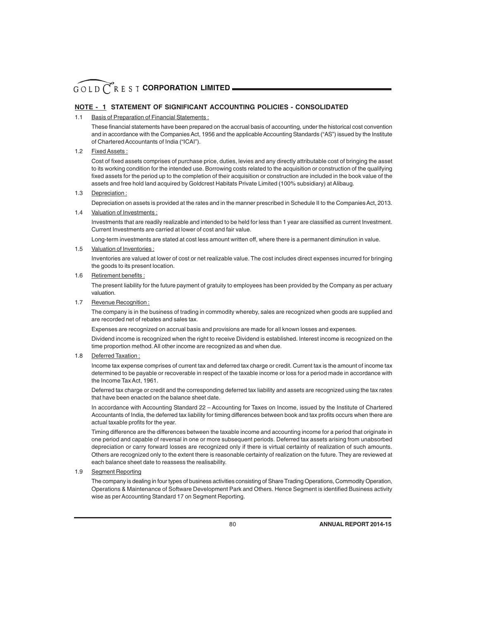#### **NOTE - 1 STATEMENT OF SIGNIFICANT ACCOUNTING POLICIES - CONSOLIDATED**

#### 1.1 Basis of Preparation of Financial Statements :

These financial statements have been prepared on the accrual basis of accounting, under the historical cost convention and in accordance with the Companies Act, 1956 and the applicable Accounting Standards ("AS") issued by the Institute of Chartered Accountants of India ("ICAI").

1.2 Fixed Assets :

Cost of fixed assets comprises of purchase price, duties, levies and any directly attributable cost of bringing the asset to its working condition for the intended use. Borrowing costs related to the acquisition or construction of the qualifying fixed assets for the period up to the completion of their acquisition or construction are included in the book value of the assets and free hold land acquired by Goldcrest Habitats Private Limited (100% subsidiary) at Alibaug.

1.3 Depreciation :

Depreciation on assets is provided at the rates and in the manner prescribed in Schedule II to the Companies Act, 2013.

1.4 Valuation of Investments :

Investments that are readily realizable and intended to be held for less than 1 year are classified as current Investment. Current Investments are carried at lower of cost and fair value.

Long-term investments are stated at cost less amount written off, where there is a permanent diminution in value.

1.5 Valuation of Inventories :

Inventories are valued at lower of cost or net realizable value. The cost includes direct expenses incurred for bringing the goods to its present location.

1.6 Retirement benefits :

The present liability for the future payment of gratuity to employees has been provided by the Company as per actuary valuation.

1.7 Revenue Recognition :

The company is in the business of trading in commodity whereby, sales are recognized when goods are supplied and are recorded net of rebates and sales tax.

Expenses are recognized on accrual basis and provisions are made for all known losses and expenses.

Dividend income is recognized when the right to receive Dividend is established. Interest income is recognized on the time proportion method. All other income are recognized as and when due.

1.8 Deferred Taxation :

Income tax expense comprises of current tax and deferred tax charge or credit. Current tax is the amount of income tax determined to be payable or recoverable in respect of the taxable income or loss for a period made in accordance with the Income Tax Act, 1961.

Deferred tax charge or credit and the corresponding deferred tax liability and assets are recognized using the tax rates that have been enacted on the balance sheet date.

In accordance with Accounting Standard 22 – Accounting for Taxes on Income, issued by the Institute of Chartered Accountants of India, the deferred tax liability for timing differences between book and tax profits occurs when there are actual taxable profits for the year.

Timing difference are the differences between the taxable income and accounting income for a period that originate in one period and capable of reversal in one or more subsequent periods. Deferred tax assets arising from unabsorbed depreciation or carry forward losses are recognized only if there is virtual certainty of realization of such amounts. Others are recognized only to the extent there is reasonable certainty of realization on the future. They are reviewed at each balance sheet date to reassess the realisability.

1.9 Segment Reporting

The company is dealing in four types of business activities consisting of Share Trading Operations, Commodity Operation, Operations & Maintenance of Software Development Park and Others. Hence Segment is identified Business activity wise as per Accounting Standard 17 on Segment Reporting.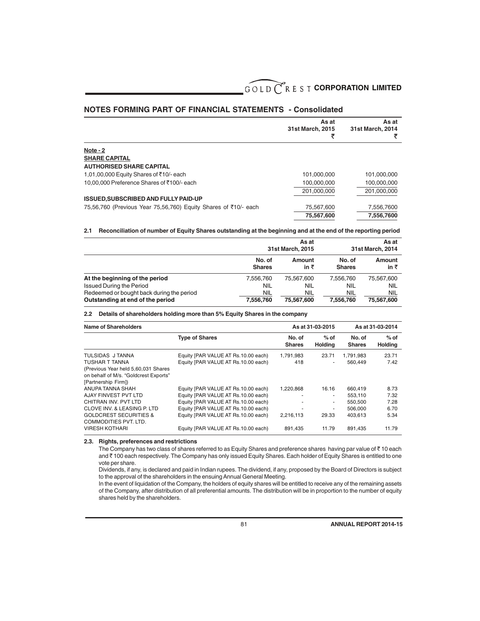#### **NOTES FORMING PART OF FINANCIAL STATEMENTS - Consolidated**

|                                                                 | As at<br>31st March, 2015 | As at<br>31st March, 2014 |
|-----------------------------------------------------------------|---------------------------|---------------------------|
| Note - 2                                                        |                           |                           |
| <b>SHARE CAPITAL</b>                                            |                           |                           |
| <b>AUTHORISED SHARE CAPITAL</b>                                 |                           |                           |
| 1,01,00,000 Equity Shares of ₹10/- each                         | 101.000.000               | 101,000,000               |
| 10.00.000 Preference Shares of ₹100/- each                      | 100.000.000               | 100.000.000               |
|                                                                 | 201.000.000               | 201.000.000               |
| <b>ISSUED.SUBSCRIBED AND FULLY PAID-UP</b>                      |                           |                           |
| 75,56,760 (Previous Year 75,56,760) Equity Shares of ₹10/- each | 75,567,600                | 7,556,7600                |
|                                                                 | 75,567,600                | 7,556,7600                |

#### **2.1 Reconciliation of number of Equity Shares outstanding at the beginning and at the end of the reporting period**

|                                           |                         | As at<br>31st March, 2015 |                         | As at<br>31st March, 2014 |
|-------------------------------------------|-------------------------|---------------------------|-------------------------|---------------------------|
|                                           | No. of<br><b>Shares</b> | Amount<br>in ₹            | No. of<br><b>Shares</b> | Amount<br>in ₹            |
| At the beginning of the period            | 7.556.760               | 75,567,600                | 7.556.760               | 75,567,600                |
| <b>Issued During the Period</b>           | <b>NIL</b>              | <b>NIL</b>                | <b>NIL</b>              | <b>NIL</b>                |
| Redeemed or bought back during the period | <b>NIL</b>              | <b>NIL</b>                | <b>NIL</b>              | <b>NIL</b>                |
| Outstanding at end of the period          | 7,556,760               | 75,567,600                | 7,556,760               | 75,567,600                |

**2.2 Details of shareholders holding more than 5% Equity Shares in the company**

| Name of Shareholders                                                                                  |                                     |                         | As at 31-03-2015         |                         | As at 31-03-2014  |
|-------------------------------------------------------------------------------------------------------|-------------------------------------|-------------------------|--------------------------|-------------------------|-------------------|
|                                                                                                       | <b>Type of Shares</b>               | No. of<br><b>Shares</b> | $%$ of<br><b>Holding</b> | No. of<br><b>Shares</b> | $%$ of<br>Holding |
| TULSIDAS J TANNA                                                                                      | Equity [PAR VALUE AT Rs.10.00 each) | 1,791,983               | 23.71                    | 1,791,983               | 23.71             |
| <b>TUSHAR T TANNA</b><br>(Previous Year held 5,60,031 Shares<br>on behalf of M/s. "Goldcrest Exports" | Equity [PAR VALUE AT Rs.10.00 each) | 418                     | ٠                        | 560.449                 | 7.42              |
| [Partnership Firm])                                                                                   |                                     |                         |                          |                         |                   |
| ANUPA TANNA SHAH                                                                                      | Equity [PAR VALUE AT Rs.10.00 each) | 1,220,868               | 16.16                    | 660,419                 | 8.73              |
| AJAY FINVEST PVT LTD                                                                                  | Equity [PAR VALUE AT Rs.10.00 each) | ٠                       | ٠                        | 553.110                 | 7.32              |
| CHITRAN INV. PVT LTD                                                                                  | Equity [PAR VALUE AT Rs.10.00 each) | ۰                       | ۰.                       | 550.500                 | 7.28              |
| CLOVE INV. & LEASING P. LTD                                                                           | Equity [PAR VALUE AT Rs.10.00 each) | ۰                       | ٠                        | 506.000                 | 6.70              |
| <b>GOLDCREST SECURITIES &amp;</b><br>COMMODITIES PVT. LTD.                                            | Equity [PAR VALUE AT Rs.10.00 each) | 2.216.113               | 29.33                    | 403.613                 | 5.34              |
| <b>VIRESH KOTHARI</b>                                                                                 | Equity [PAR VALUE AT Rs.10.00 each) | 891.435                 | 11.79                    | 891.435                 | 11.79             |

#### **2.3. Rights, preferences and restrictions**

The Company has two class of shares referred to as Equity Shares and preference shares having par value of  $\bar{\tau}$  10 each and ₹100 each respectively. The Company has only issued Equity Shares. Each holder of Equity Shares is entitled to one vote per share.

Dividends, if any, is declared and paid in Indian rupees. The dividend, if any, proposed by the Board of Directors is subject to the approval of the shareholders in the ensuing Annual General Meeting.

In the event of liquidation of the Company, the holders of equity shares will be entitled to receive any of the remaining assets of the Company, after distribution of all preferential amounts. The distribution will be in proportion to the number of equity shares held by the shareholders.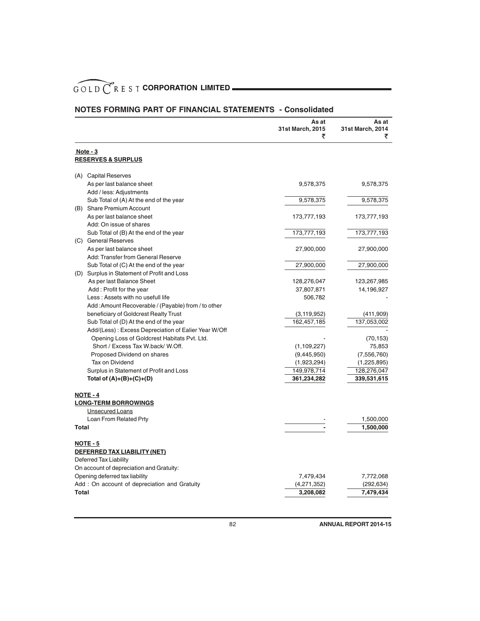## **NOTES FORMING PART OF FINANCIAL STATEMENTS - Consolidated**

|                                                      | As at<br>31st March, 2015<br>₹ | As at<br>31st March, 2014<br>₹ |
|------------------------------------------------------|--------------------------------|--------------------------------|
| Note - 3<br><b>RESERVES &amp; SURPLUS</b>            |                                |                                |
| (A) Capital Reserves                                 |                                |                                |
| As per last balance sheet                            | 9,578,375                      | 9,578,375                      |
| Add / less: Adjustments                              |                                |                                |
| Sub Total of (A) At the end of the year              | 9,578,375                      | 9,578,375                      |
| (B) Share Premium Account                            |                                |                                |
| As per last balance sheet                            | 173,777,193                    | 173,777,193                    |
| Add: On issue of shares                              |                                |                                |
| Sub Total of (B) At the end of the year              | 173,777,193                    | 173,777,193                    |
| (C) General Reserves                                 |                                |                                |
| As per last balance sheet                            | 27,900,000                     | 27,900,000                     |
| Add: Transfer from General Reserve                   |                                |                                |
| Sub Total of (C) At the end of the year              | 27,900,000                     | 27,900,000                     |
| (D) Surplus in Statement of Profit and Loss          |                                |                                |
| As per last Balance Sheet                            | 128,276,047                    | 123,267,985                    |
| Add: Profit for the year                             | 37,807,871                     | 14,196,927                     |
| Less: Assets with no usefull life                    | 506,782                        |                                |
| Add: Amount Recoverable / (Payable) from / to other  |                                |                                |
| beneficiary of Goldcrest Realty Trust                | (3, 119, 952)                  | (411,909)                      |
| Sub Total of (D) At the end of the year              | 162,457,185                    | 137,053,002                    |
| Add/(Less): Excess Depreciation of Ealier Year W/Off |                                |                                |
| Opening Loss of Goldcrest Habitats Pvt. Ltd.         |                                | (70, 153)                      |
| Short / Excess Tax W.back/ W.Off.                    | (1, 109, 227)                  | 75,853                         |
| Proposed Dividend on shares                          | (9,445,950)                    | (7,556,760)                    |
| Tax on Dividend                                      | (1,923,294)                    | (1,225,895)                    |
| Surplus in Statement of Profit and Loss              | 149,978,714                    | 128,276,047                    |
| Total of $(A)+(B)+(C)+(D)$                           | 361,234,282                    | 339,531,615                    |
| <b>NOTE - 4</b>                                      |                                |                                |
| <b>LONG-TERM BORROWINGS</b>                          |                                |                                |
| <b>Unsecured Loans</b>                               |                                |                                |
| Loan From Related Prty                               |                                | 1,500,000                      |
| Total                                                |                                | 1,500,000                      |
| <b>NOTE - 5</b>                                      |                                |                                |
| DEFERRED TAX LIABILITY (NET)                         |                                |                                |
| Deferred Tax Liability                               |                                |                                |
| On account of depreciation and Gratuity:             |                                |                                |
| Opening deferred tax liability                       | 7,479,434                      | 7,772,068                      |
| Add: On account of depreciation and Gratuity         | (4,271,352)                    | (292, 634)                     |
| <b>Total</b>                                         | 3,208,082                      | 7,479,434                      |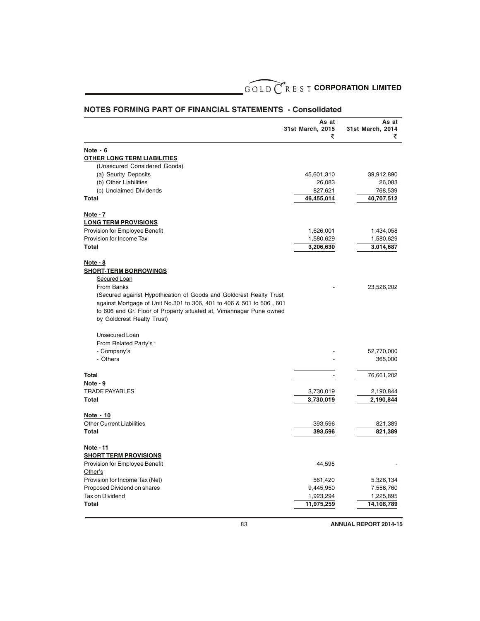### **NOTES FORMING PART OF FINANCIAL STATEMENTS - Consolidated**

|                                                                      | As at<br>31st March, 2015<br>₹ | As at<br>31st March, 2014<br>₹ |
|----------------------------------------------------------------------|--------------------------------|--------------------------------|
| Note - 6                                                             |                                |                                |
| <b>OTHER LONG TERM LIABILITIES</b>                                   |                                |                                |
| (Unsecured Considered Goods)                                         |                                |                                |
| (a) Seurity Deposits                                                 | 45,601,310                     | 39,912,890                     |
| (b) Other Liabilities                                                | 26,083                         | 26,083                         |
| (c) Unclaimed Dividends<br>Total                                     | 827,621                        | 768,539                        |
|                                                                      | 46,455,014                     | 40,707,512                     |
| Note - 7                                                             |                                |                                |
| <b>LONG TERM PROVISIONS</b>                                          |                                |                                |
| Provision for Employee Benefit                                       | 1,626,001                      | 1,434,058                      |
| Provision for Income Tax                                             | 1,580,629                      | 1,580,629                      |
| Total                                                                | 3,206,630                      | 3,014,687                      |
| Note - 8                                                             |                                |                                |
| <b>SHORT-TERM BORROWINGS</b>                                         |                                |                                |
| <b>Secured Loan</b>                                                  |                                |                                |
| <b>From Banks</b>                                                    |                                | 23,526,202                     |
| (Secured against Hypothication of Goods and Goldcrest Realty Trust   |                                |                                |
| against Mortgage of Unit No.301 to 306, 401 to 406 & 501 to 506, 601 |                                |                                |
| to 606 and Gr. Floor of Property situated at, Vimannagar Pune owned  |                                |                                |
| by Goldcrest Realty Trust)                                           |                                |                                |
| Unsecured Loan                                                       |                                |                                |
| From Related Party's:                                                |                                |                                |
| - Company's                                                          |                                | 52,770,000                     |
| - Others                                                             |                                | 365,000                        |
|                                                                      |                                |                                |
| Total                                                                |                                | 76,661,202                     |
| Note - 9                                                             |                                |                                |
| <b>TRADE PAYABLES</b>                                                | 3,730,019                      | 2,190,844                      |
| <b>Total</b>                                                         | 3,730,019                      | 2,190,844                      |
| <u>Note - 10</u>                                                     |                                |                                |
| <b>Other Current Liabilities</b>                                     | 393,596                        | 821,389                        |
| Total                                                                | 393,596                        | 821,389                        |
|                                                                      |                                |                                |
| <b>Note - 11</b>                                                     |                                |                                |
| <b>SHORT TERM PROVISIONS</b>                                         |                                |                                |
| Provision for Employee Benefit<br>Other's                            | 44,595                         |                                |
| Provision for Income Tax (Net)                                       | 561,420                        | 5,326,134                      |
| Proposed Dividend on shares                                          | 9,445,950                      | 7,556,760                      |
| Tax on Dividend                                                      | 1,923,294                      | 1,225,895                      |
| Total                                                                | 11,975,259                     | 14,108,789                     |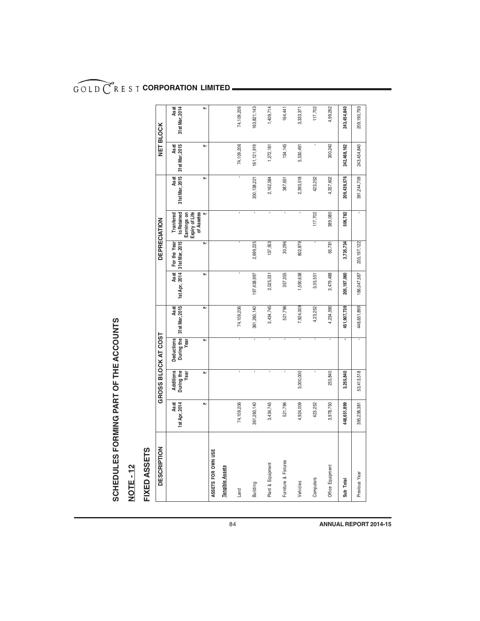| <b>DESCRIPTION</b>     |                       | GROSS BLOCK AT COST     |                                               |                        |             | DEPRECIATION                                                      |                                                           |                        |                        | <b>NET BLOCK</b>        |
|------------------------|-----------------------|-------------------------|-----------------------------------------------|------------------------|-------------|-------------------------------------------------------------------|-----------------------------------------------------------|------------------------|------------------------|-------------------------|
|                        | Asat<br>1st Apr, 2014 | Additions<br>During the | Astata<br>During the 37<br>Year<br>Deductions | Asat<br>31st Mar, 2015 |             | Asat For the Year<br>1st Apr, 2014 31st Mar, 2015<br>For the Year | Expiry of Life<br>to Retained<br>Tranfered<br>Earnings on | Asat<br>31st Mar, 2015 | Asat<br>31st Mar, 2015 | Asat<br>31 st Mar, 2014 |
|                        | ₩                     | ₩                       | ₩                                             | ₩                      | ₩           | ₩                                                                 | of Assetes<br>₩                                           | ₩                      | ₩                      | ₩                       |
| ASSETS FOR OWN USE     |                       |                         |                                               |                        |             |                                                                   |                                                           |                        |                        |                         |
| <b>Tangible Assets</b> |                       |                         |                                               |                        |             |                                                                   |                                                           |                        |                        |                         |
| Land                   | 74,109,206            |                         |                                               | 74,109,206             |             |                                                                   | ï                                                         | ł                      | 74,109,206             | 74,109,206              |
| Building               | 361,260,140           |                         |                                               | 361,260,140            | 197,438,997 | 2,699,225                                                         | ï                                                         | 200, 138, 221          | 161,121,919            | 163,821,143             |
| Plant & Equipment      | 3,434,745             |                         |                                               | 3,434,745              | 2,025,031   | 137,553                                                           | ï                                                         | 2,162,584              | 1,272,161              | 1,409,714               |
| Furniture & Fixtures   | 521,796               |                         |                                               | 521,796                | 357,355     | 30,296                                                            |                                                           | 387,651                | 134,145                | 164,441                 |
| Vehicles               | 4,924,009             | 3,000,000               |                                               | 7,924,009              | ,590,638    | 802,879                                                           |                                                           | 2,393,518              | 5,530,491              | 3,333,371               |
| Computers              | 423,252               |                         |                                               | 4,23,252               | 3,05,551    |                                                                   | 117,702                                                   | 423,252                |                        | 117,702                 |
| Office Equipment       | 3,978,750             | 255,840                 |                                               | 4,234,590              | 3,479,488   | 65,781                                                            | 389,080                                                   | 4,357,602              | 300,240                | 4,99,262                |
| Sub Total              | 448,651,899           | 3,255,840               |                                               | 451,907,739            | 205,197,060 | 3,735,734                                                         | 506,782                                                   | 209,439,576            | 242,468,162            | 243,454,840             |
| Previous Year          | 395,238,381           | 53,413,518              |                                               | 448,651,899            | 186,047,587 | 205, 197, 122                                                     |                                                           | 391,244,709            | 243,454,840            | 209,190,793             |
|                        |                       |                         |                                               |                        |             |                                                                   |                                                           |                        |                        |                         |

SCHEDULES FORMING PART OF THE ACCOUNTS **SCHEDULES FORMING PART OF THE ACCOUNTS**

**NOTE - 12**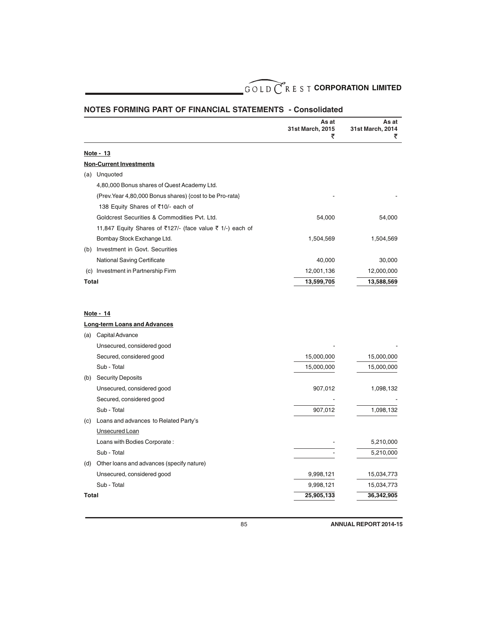### **NOTES FORMING PART OF FINANCIAL STATEMENTS - Consolidated**

|              |                                                           | As at<br>31st March, 2015<br>₹ | As at<br>31st March, 2014<br>₹ |
|--------------|-----------------------------------------------------------|--------------------------------|--------------------------------|
|              | Note - 13                                                 |                                |                                |
|              | <b>Non-Current Investments</b>                            |                                |                                |
|              | (a) Unquoted                                              |                                |                                |
|              | 4,80,000 Bonus shares of Quest Academy Ltd.               |                                |                                |
|              | (Prev. Year 4,80,000 Bonus shares) {cost to be Pro-rata}  |                                |                                |
|              | 138 Equity Shares of ₹10/- each of                        |                                |                                |
|              | Goldcrest Securities & Commodities Pvt. Ltd.              | 54,000                         | 54,000                         |
|              | 11,847 Equity Shares of ₹127/- (face value ₹ 1/-) each of |                                |                                |
|              | Bombay Stock Exchange Ltd.                                | 1,504,569                      | 1,504,569                      |
|              | (b) Investment in Govt. Securities                        |                                |                                |
|              | <b>National Saving Certificate</b>                        | 40,000                         | 30,000                         |
|              | (c) Investment in Partnership Firm                        | 12,001,136                     | 12,000,000                     |
| <b>Total</b> |                                                           | 13,599,705                     | 13,588,569                     |
|              | Note - 14                                                 |                                |                                |
|              | <b>Long-term Loans and Advances</b>                       |                                |                                |
|              | (a) Capital Advance                                       |                                |                                |
|              | Unsecured, considered good                                |                                |                                |
|              | Secured, considered good                                  | 15,000,000                     | 15,000,000                     |
|              | Sub - Total                                               | 15,000,000                     | 15,000,000                     |
|              | (b) Security Deposits                                     |                                |                                |
|              | Unsecured, considered good                                | 907,012                        | 1,098,132                      |
|              | Secured, considered good                                  |                                |                                |
|              | Sub - Total                                               | 907,012                        | 1,098,132                      |
|              | (c) Loans and advances to Related Party's                 |                                |                                |
|              | Unsecured Loan                                            |                                |                                |
|              | Loans with Bodies Corporate:                              |                                | 5,210,000                      |
|              | Sub - Total                                               |                                | 5,210,000                      |
| (d)          | Other loans and advances (specify nature)                 |                                |                                |
|              | Unsecured, considered good                                | 9,998,121                      | 15,034,773                     |
|              | Sub - Total                                               | 9,998,121                      | 15,034,773                     |
| <b>Total</b> |                                                           | 25,905,133                     | 36,342,905                     |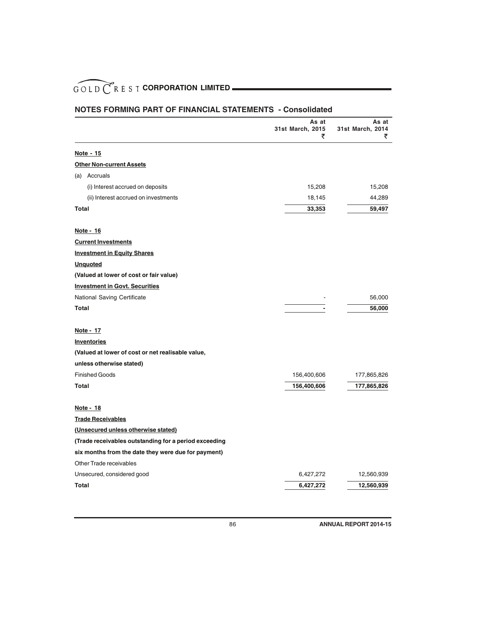# GOLD C<sup>P</sup>R E S T **CORPORATION LIMITED**

## **NOTES FORMING PART OF FINANCIAL STATEMENTS - Consolidated**

|                                                       | As at<br>31st March, 2015<br>₹ | As at<br>31st March, 2014<br>₹ |
|-------------------------------------------------------|--------------------------------|--------------------------------|
| <u>Note - 15</u>                                      |                                |                                |
| <b>Other Non-current Assets</b>                       |                                |                                |
| (a) Accruals                                          |                                |                                |
| (i) Interest accrued on deposits                      | 15,208                         | 15,208                         |
| (ii) Interest accrued on investments                  | 18,145                         | 44,289                         |
| Total                                                 | 33,353                         | 59,497                         |
| Note - 16                                             |                                |                                |
| <b>Current Investments</b>                            |                                |                                |
| <b>Investment in Equity Shares</b>                    |                                |                                |
| <b>Unquoted</b>                                       |                                |                                |
| (Valued at lower of cost or fair value)               |                                |                                |
| <b>Investment in Govt. Securities</b>                 |                                |                                |
| National Saving Certificate                           |                                | 56,000                         |
| Total                                                 |                                | 56,000                         |
| <u>Note - 17</u>                                      |                                |                                |
| <b>Inventories</b>                                    |                                |                                |
| (Valued at lower of cost or net realisable value,     |                                |                                |
| unless otherwise stated)                              |                                |                                |
| <b>Finished Goods</b>                                 | 156,400,606                    | 177,865,826                    |
| Total                                                 | 156,400,606                    | 177,865,826                    |
| Note - 18                                             |                                |                                |
| <b>Trade Receivables</b>                              |                                |                                |
| (Unsecured unless otherwise stated)                   |                                |                                |
| (Trade receivables outstanding for a period exceeding |                                |                                |
| six months from the date they were due for payment)   |                                |                                |
| Other Trade receivables                               |                                |                                |
| Unsecured, considered good                            | 6,427,272                      | 12,560,939                     |
| Total                                                 | 6,427,272                      | 12,560,939                     |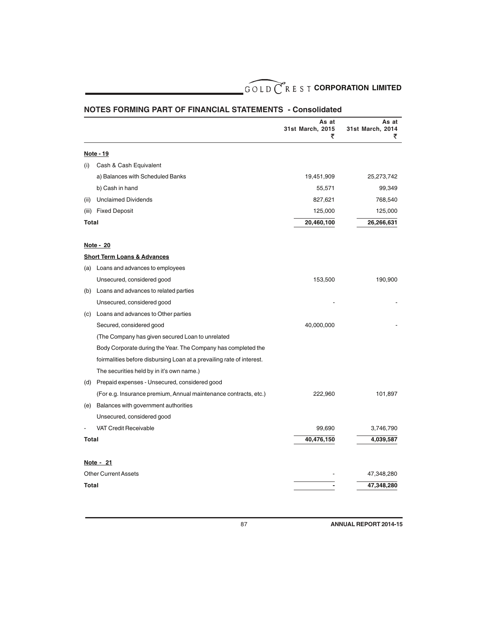|              |                                                                       | As at<br>31st March, 2015<br>₹ | As at<br>31st March, 2014<br>₹ |
|--------------|-----------------------------------------------------------------------|--------------------------------|--------------------------------|
|              | <b>Note - 19</b>                                                      |                                |                                |
| (i)          | Cash & Cash Equivalent                                                |                                |                                |
|              | a) Balances with Scheduled Banks                                      | 19,451,909                     | 25,273,742                     |
|              | b) Cash in hand                                                       | 55,571                         | 99,349                         |
| (ii)         | <b>Unclaimed Dividends</b>                                            | 827,621                        | 768,540                        |
| (iii)        | <b>Fixed Deposit</b>                                                  | 125,000                        | 125,000                        |
| Total        |                                                                       | 20,460,100                     | 26,266,631                     |
|              | Note - 20                                                             |                                |                                |
|              | <b>Short Term Loans &amp; Advances</b>                                |                                |                                |
| (a)          | Loans and advances to employees                                       |                                |                                |
|              | Unsecured, considered good                                            | 153,500                        | 190,900                        |
|              | (b) Loans and advances to related parties                             |                                |                                |
|              | Unsecured, considered good                                            |                                |                                |
|              | (c) Loans and advances to Other parties                               |                                |                                |
|              | Secured, considered good                                              | 40,000,000                     |                                |
|              | (The Company has given secured Loan to unrelated                      |                                |                                |
|              | Body Corporate during the Year. The Company has completed the         |                                |                                |
|              | foirmalities before disbursing Loan at a prevailing rate of interest. |                                |                                |
|              | The securities held by in it's own name.)                             |                                |                                |
| (d)          | Prepaid expenses - Unsecured, considered good                         |                                |                                |
|              | (For e.g. Insurance premium, Annual maintenance contracts, etc.)      | 222,960                        | 101,897                        |
| (e)          | Balances with government authorities                                  |                                |                                |
|              | Unsecured, considered good                                            |                                |                                |
|              | <b>VAT Credit Receivable</b>                                          | 99,690                         | 3,746,790                      |
| <b>Total</b> |                                                                       | 40,476,150                     | 4,039,587                      |
|              | Note - 21                                                             |                                |                                |
|              | <b>Other Current Assets</b>                                           |                                | 47,348,280                     |
| Total        |                                                                       |                                | 47,348,280                     |

### **NOTES FORMING PART OF FINANCIAL STATEMENTS - Consolidated**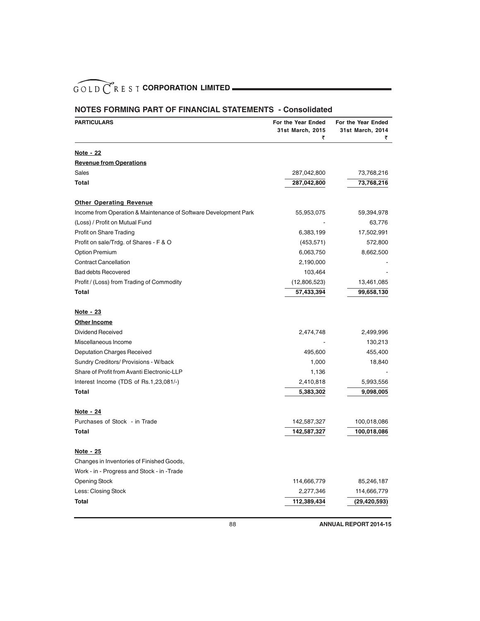### **NOTES FORMING PART OF FINANCIAL STATEMENTS - Consolidated**

| <b>PARTICULARS</b>                                               | For the Year Ended<br>31st March, 2015 | For the Year Ended<br>31st March, 2014 |
|------------------------------------------------------------------|----------------------------------------|----------------------------------------|
|                                                                  | ₹                                      | ₹                                      |
| Note - 22                                                        |                                        |                                        |
| <b>Revenue from Operations</b>                                   |                                        |                                        |
| Sales                                                            | 287,042,800                            | 73,768,216                             |
| Total                                                            | 287,042,800                            | 73,768,216                             |
| <b>Other Operating Revenue</b>                                   |                                        |                                        |
| Income from Operation & Maintenance of Software Development Park | 55,953,075                             | 59,394,978                             |
| (Loss) / Profit on Mutual Fund                                   |                                        | 63,776                                 |
| Profit on Share Trading                                          | 6,383,199                              | 17,502,991                             |
| Profit on sale/Trdg. of Shares - F & O                           | (453, 571)                             | 572,800                                |
| <b>Option Premium</b>                                            | 6,063,750                              | 8,662,500                              |
| <b>Contract Cancellation</b>                                     | 2,190,000                              |                                        |
| <b>Bad debts Recovered</b>                                       | 103,464                                |                                        |
| Profit / (Loss) from Trading of Commodity                        | (12,806,523)                           | 13,461,085                             |
| Total                                                            | 57,433,394                             | 99,658,130                             |
| <u>Note - 23</u>                                                 |                                        |                                        |
| <b>Other Income</b>                                              |                                        |                                        |
| Dividend Received                                                | 2,474,748                              | 2,499,996                              |
| Miscellaneous Income                                             |                                        | 130,213                                |
| <b>Deputation Charges Received</b>                               | 495,600                                | 455,400                                |
| Sundry Creditors/ Provisions - W/back                            | 1,000                                  | 18,840                                 |
| Share of Profit from Avanti Electronic-LLP                       | 1,136                                  |                                        |
| Interest Income (TDS of Rs.1,23,081/-)                           | 2,410,818                              | 5,993,556                              |
| Total                                                            | 5,383,302                              | 9,098,005                              |
| <u>Note - 24</u>                                                 |                                        |                                        |
| Purchases of Stock - in Trade                                    | 142,587,327                            | 100,018,086                            |
| Total                                                            | 142,587,327                            | 100,018,086                            |
| Note - 25                                                        |                                        |                                        |
| Changes in Inventories of Finished Goods,                        |                                        |                                        |
| Work - in - Progress and Stock - in -Trade                       |                                        |                                        |
| <b>Opening Stock</b>                                             | 114,666,779                            | 85,246,187                             |
| Less: Closing Stock                                              | 2,277,346                              | 114,666,779                            |
| Total                                                            | 112,389,434                            | (29, 420, 593)                         |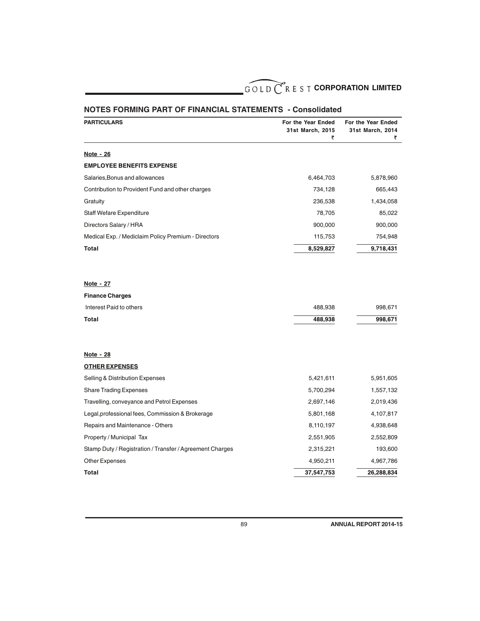| <b>PARTICULARS</b>                                       | For the Year Ended<br>31st March, 2015<br>₹ | For the Year Ended<br>31st March, 2014<br>₹ |
|----------------------------------------------------------|---------------------------------------------|---------------------------------------------|
| Note - 26                                                |                                             |                                             |
| <b>EMPLOYEE BENEFITS EXPENSE</b>                         |                                             |                                             |
| Salaries, Bonus and allowances                           | 6,464,703                                   | 5,878,960                                   |
| Contribution to Provident Fund and other charges         | 734,128                                     | 665,443                                     |
| Gratuity                                                 | 236,538                                     | 1,434,058                                   |
| Staff Wefare Expenditure                                 | 78,705                                      | 85,022                                      |
| Directors Salary / HRA                                   | 900,000                                     | 900,000                                     |
| Medical Exp. / Mediclaim Policy Premium - Directors      | 115,753                                     | 754,948                                     |
| <b>Total</b>                                             | 8,529,827                                   | 9,718,431                                   |
| <u>Note - 27</u>                                         |                                             |                                             |
| <b>Finance Charges</b>                                   |                                             |                                             |
| Interest Paid to others                                  | 488,938                                     | 998,671                                     |
| Total                                                    | 488,938                                     | 998,671                                     |
| Note - 28                                                |                                             |                                             |
| <b>OTHER EXPENSES</b>                                    |                                             |                                             |
| Selling & Distribution Expenses                          | 5,421,611                                   | 5,951,605                                   |
| <b>Share Trading Expenses</b>                            | 5,700,294                                   | 1,557,132                                   |
| Travelling, conveyance and Petrol Expenses               | 2,697,146                                   | 2,019,436                                   |
| Legal,professional fees, Commission & Brokerage          | 5,801,168                                   | 4,107,817                                   |
| Repairs and Maintenance - Others                         | 8,110,197                                   | 4,938,648                                   |
| Property / Municipal Tax                                 | 2,551,905                                   | 2,552,809                                   |
| Stamp Duty / Registration / Transfer / Agreement Charges | 2,315,221                                   | 193,600                                     |
| Other Expenses                                           | 4,950,211                                   | 4,967,786                                   |
| Total                                                    | 37,547,753                                  | 26,288,834                                  |

## **NOTES FORMING PART OF FINANCIAL STATEMENTS - Consolidated**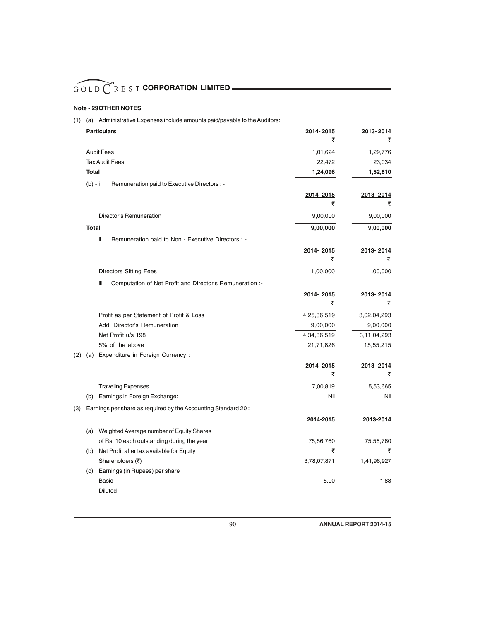### **Note - 29OTHER NOTES**

(1) (a) Administrative Expenses include amounts paid/payable to the Auditors:

|     |              | <b>Particulars</b>                                              | 2014-2015   | 2013-2014      |
|-----|--------------|-----------------------------------------------------------------|-------------|----------------|
|     |              |                                                                 | ₹           | ₹              |
|     |              | <b>Audit Fees</b>                                               | 1,01,624    | 1,29,776       |
|     |              | <b>Tax Audit Fees</b>                                           | 22,472      | 23,034         |
|     | <b>Total</b> |                                                                 | 1,24,096    | 1,52,810       |
|     | $(b) - i$    | Remuneration paid to Executive Directors : -                    |             |                |
|     |              |                                                                 | 2014-2015   | 2013-2014      |
|     |              |                                                                 | ₹           | ₹              |
|     |              | Director's Remuneration                                         | 9,00,000    | 9,00,000       |
|     | <b>Total</b> |                                                                 | 9,00,000    | 9,00,000       |
|     |              | ii.<br>Remuneration paid to Non - Executive Directors : -       |             |                |
|     |              |                                                                 | 2014-2015   | 2013-2014      |
|     |              |                                                                 | ₹           | ₹              |
|     |              | <b>Directors Sitting Fees</b>                                   | 1,00,000    | 1.00,000       |
|     |              | iΪİ<br>Computation of Net Profit and Director's Remuneration :- |             |                |
|     |              |                                                                 | 2014-2015   | 2013-2014      |
|     |              |                                                                 | ₹           | ₹              |
|     |              | Profit as per Statement of Profit & Loss                        | 4,25,36,519 | 3,02,04,293    |
|     |              | Add: Director's Remuneration                                    | 9,00,000    | 9,00,000       |
|     |              | Net Profit u/s 198                                              | 4,34,36,519 | 3, 11, 04, 293 |
|     |              | 5% of the above                                                 | 21,71,826   | 15,55,215      |
| (2) | (a)          | Expenditure in Foreign Currency:                                |             |                |
|     |              |                                                                 | 2014-2015   | 2013-2014      |
|     |              |                                                                 | ₹           | ₹              |
|     |              | <b>Traveling Expenses</b>                                       | 7,00,819    | 5,53,665       |
|     |              | (b) Earnings in Foreign Exchange:                               | Nil         | Nil            |
| (3) |              | Earnings per share as required by the Accounting Standard 20:   |             |                |
|     |              |                                                                 | 2014-2015   | 2013-2014      |
|     |              | (a) Weighted Average number of Equity Shares                    |             |                |
|     |              | of Rs. 10 each outstanding during the year                      | 75,56,760   | 75,56,760      |
|     |              | (b) Net Profit after tax available for Equity                   | ₹           | ₹              |
|     |              | Shareholders (₹)                                                | 3,78,07,871 | 1,41,96,927    |
|     | (c)          | Earnings (in Rupees) per share                                  |             |                |
|     |              | <b>Basic</b>                                                    | 5.00        | 1.88           |
|     |              | Diluted                                                         |             |                |
|     |              |                                                                 |             |                |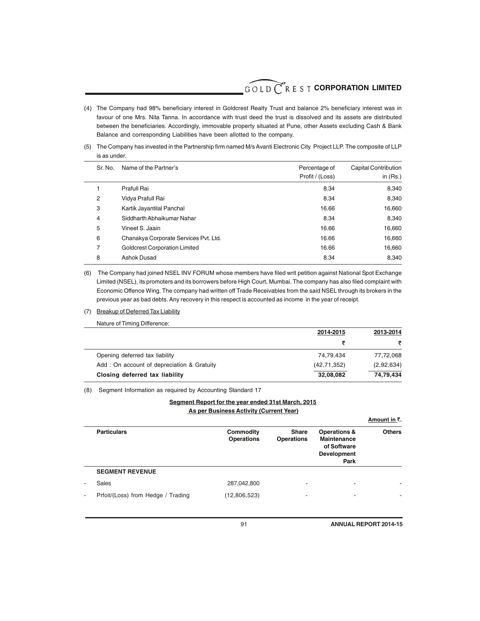- (4) The Company had 98% beneficiary interest in Goldcrest Realty Trust and balance 2% beneficiary interest was in favour of one Mrs. Nita Tanna. In accordance with trust deed the trust is dissolved and its assets are distributed between the beneficiaries. Accordingly, immovable property situated at Pune, other Assets excluding Cash & Bank Balance and corresponding Liabilities have been allotted to the company.
- (5) The Company has invested in the Partnership firm named M/s Avanti Electronic City Project LLP. The composite of LLP is as under.

| Sr. No. | Name of the Partner's                 | Percentage of<br>Profit / (Loss) | Capital Contribution<br>in $(Rs.)$ |
|---------|---------------------------------------|----------------------------------|------------------------------------|
|         | Prafull Rai                           | 8.34                             | 8,340                              |
| 2       | Vidya Prafull Rai                     | 8.34                             | 8,340                              |
| 3       | Kartik Jayantilal Panchal             | 16.66                            | 16.660                             |
| 4       | Siddharth Abhaikumar Nahar            | 8.34                             | 8,340                              |
| 5       | Vineet S. Jaain                       | 16.66                            | 16,660                             |
| 6       | Chanakya Corporate Services Pvt. Ltd. | 16.66                            | 16,660                             |
| 7       | <b>Goldcrest Corporation Limited</b>  | 16.66                            | 16,660                             |
| 8       | Ashok Dusad                           | 8.34                             | 8,340                              |

(6) The Company had joined NSEL INV FORUM whose members have filed writ petition against National Spot Exchange Limited (NSEL), its promoters and its borrowers before High Court, Mumbai. The company has also filed complaint with Economic Offence Wing. The company had written off Trade Receivables from the said NSEL through its brokers in the previous year as bad debts. Any recovery in this respect is accounted as income in the year of receipt.

(7) Breakup of Deferred Tax Liability

| Nature of Timing Difference:               |               |            |
|--------------------------------------------|---------------|------------|
|                                            | 2014-2015     | 2013-2014  |
|                                            | ₹             |            |
| Opening deferred tax liability             | 74.79.434     | 77,72,068  |
| Add: On account of depreciation & Gratuity | (42, 71, 352) | (2,92,634) |
| Closing deferred tax liability             | 32,08,082     | 74,79,434  |

(8) Segment Information as required by Accounting Standard 17

#### **Segment Report for the year ended 31st March, 2015 As per Business Activity (Current Year)**

|                          |                                    |                                |                                   |                                                                                 | Amount in ₹.  |
|--------------------------|------------------------------------|--------------------------------|-----------------------------------|---------------------------------------------------------------------------------|---------------|
|                          | <b>Particulars</b>                 | Commodity<br><b>Operations</b> | <b>Share</b><br><b>Operations</b> | Operations &<br><b>Maintenance</b><br>of Software<br><b>Development</b><br>Park | <b>Others</b> |
|                          | <b>SEGMENT REVENUE</b>             |                                |                                   |                                                                                 |               |
| ٠                        | Sales                              | 287,042,800                    | ٠                                 | ٠                                                                               | ٠             |
| $\overline{\phantom{0}}$ | Prfoit/(Loss) from Hedge / Trading | (12,806,523)                   | $\overline{\phantom{0}}$          | ٠                                                                               |               |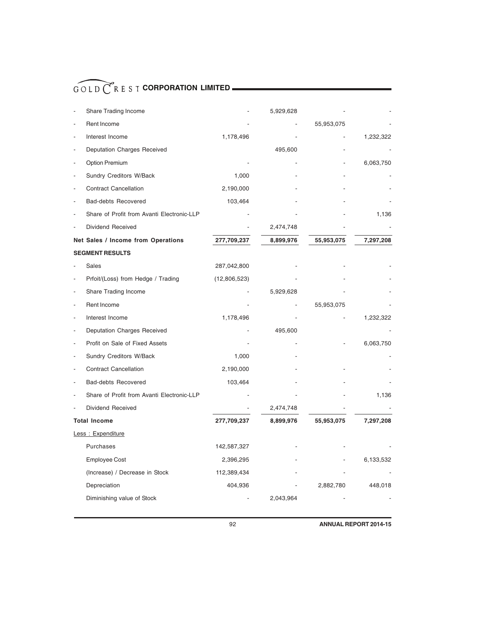|    | Share Trading Income                       |              | 5,929,628 |            |           |
|----|--------------------------------------------|--------------|-----------|------------|-----------|
|    | Rent Income                                |              |           | 55,953,075 |           |
|    | Interest Income                            | 1,178,496    |           |            | 1,232,322 |
|    | Deputation Charges Received                |              | 495,600   |            |           |
|    | Option Premium                             |              |           |            | 6,063,750 |
|    | Sundry Creditors W/Back                    | 1,000        |           |            |           |
|    | <b>Contract Cancellation</b>               | 2,190,000    |           |            |           |
|    | Bad-debts Recovered                        | 103,464      |           |            |           |
|    | Share of Profit from Avanti Electronic-LLP |              |           |            | 1,136     |
|    | Dividend Received                          |              | 2,474,748 |            |           |
|    | Net Sales / Income from Operations         | 277,709,237  | 8,899,976 | 55,953,075 | 7,297,208 |
|    | <b>SEGMENT RESULTS</b>                     |              |           |            |           |
|    | <b>Sales</b>                               | 287,042,800  |           |            |           |
|    | Prfoit/(Loss) from Hedge / Trading         | (12,806,523) |           |            |           |
| Ĭ. | Share Trading Income                       |              | 5,929,628 |            |           |
|    | Rent Income                                |              |           | 55,953,075 |           |
|    | Interest Income                            | 1,178,496    |           |            | 1,232,322 |
|    | Deputation Charges Received                |              | 495,600   |            |           |
|    | Profit on Sale of Fixed Assets             |              |           |            | 6,063,750 |
|    | Sundry Creditors W/Back                    | 1,000        |           |            |           |
|    | <b>Contract Cancellation</b>               | 2,190,000    |           |            |           |
|    | Bad-debts Recovered                        | 103,464      |           |            |           |
|    | Share of Profit from Avanti Electronic-LLP |              |           |            | 1,136     |
|    | Dividend Received                          |              | 2,474,748 |            |           |
|    | <b>Total Income</b>                        | 277,709,237  | 8,899,976 | 55,953,075 | 7,297,208 |
|    | Less: Expenditure                          |              |           |            |           |
|    | Purchases                                  | 142,587,327  |           |            |           |
|    | <b>Employee Cost</b>                       | 2,396,295    |           |            | 6,133,532 |
|    | (Increase) / Decrease in Stock             | 112,389,434  |           |            |           |
|    | Depreciation                               | 404,936      |           | 2,882,780  | 448,018   |
|    | Diminishing value of Stock                 |              | 2,043,964 |            |           |
|    |                                            |              |           |            |           |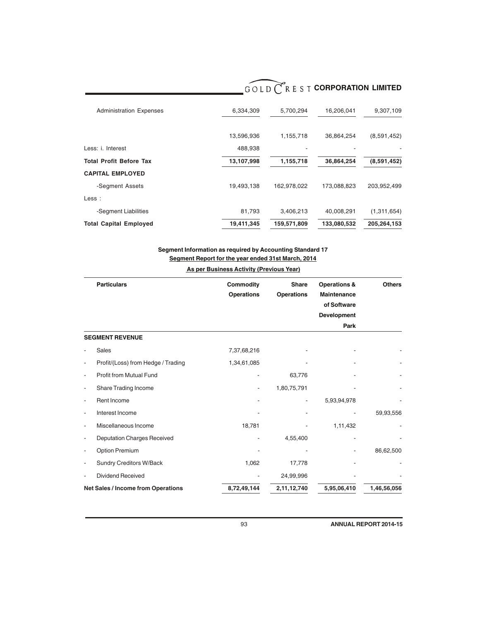| <b>Total Capital Employed</b>  | 19,411,345 | 159,571,809 | 133,080,532 | 205.264.153 |
|--------------------------------|------------|-------------|-------------|-------------|
| -Segment Liabilities           | 81,793     | 3,406,213   | 40,008,291  | (1,311,654) |
| Less :                         |            |             |             |             |
| -Segment Assets                | 19,493,138 | 162,978,022 | 173,088,823 | 203,952,499 |
| <b>CAPITAL EMPLOYED</b>        |            |             |             |             |
| <b>Total Profit Before Tax</b> | 13,107,998 | 1,155,718   | 36,864,254  | (8,591,452) |
| Less: i. Interest              | 488,938    |             |             |             |
|                                | 13,596,936 | 1,155,718   | 36,864,254  | (8,591,452) |
| <b>Administration Expenses</b> | 6,334,309  | 5,700,294   | 16,206,041  | 9,307,109   |

**Segment Information as required by Accounting Standard 17 Segment Report for the year ended 31st March, 2014**

#### **As per Business Activity (Previous Year)**

|                          | <b>Particulars</b>                        | Commodity<br><b>Operations</b> | <b>Share</b><br><b>Operations</b> | <b>Operations &amp;</b><br><b>Maintenance</b> | <b>Others</b> |
|--------------------------|-------------------------------------------|--------------------------------|-----------------------------------|-----------------------------------------------|---------------|
|                          |                                           |                                |                                   | of Software                                   |               |
|                          |                                           |                                |                                   | Development                                   |               |
|                          |                                           |                                |                                   | Park                                          |               |
|                          | <b>SEGMENT REVENUE</b>                    |                                |                                   |                                               |               |
|                          | <b>Sales</b>                              | 7,37,68,216                    |                                   |                                               |               |
| $\overline{\phantom{a}}$ | Profit/(Loss) from Hedge / Trading        | 1,34,61,085                    |                                   |                                               |               |
| $\overline{\phantom{a}}$ | Profit from Mutual Fund                   |                                | 63,776                            |                                               |               |
| $\overline{\phantom{a}}$ | Share Trading Income                      |                                | 1,80,75,791                       |                                               |               |
| ÷,                       | Rent Income                               |                                |                                   | 5,93,94,978                                   |               |
| $\overline{\phantom{a}}$ | Interest Income                           |                                |                                   |                                               | 59,93,556     |
|                          | Miscellaneous Income                      | 18,781                         |                                   | 1,11,432                                      |               |
|                          | <b>Deputation Charges Received</b>        |                                | 4,55,400                          |                                               |               |
| $\overline{\phantom{a}}$ | Option Premium                            |                                |                                   |                                               | 86,62,500     |
| $\overline{\phantom{a}}$ | Sundry Creditors W/Back                   | 1,062                          | 17,778                            |                                               |               |
|                          | Dividend Received                         |                                | 24,99,996                         |                                               |               |
|                          | <b>Net Sales / Income from Operations</b> | 8,72,49,144                    | 2,11,12,740                       | 5,95,06,410                                   | 1,46,56,056   |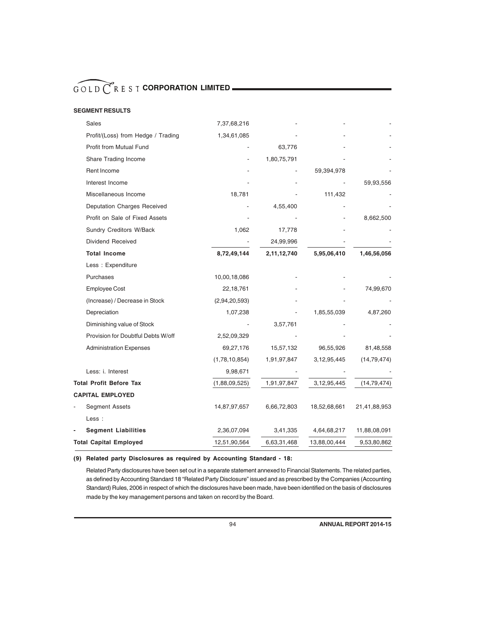| <b>SEGMENT RESULTS</b>             |               |             |                |               |
|------------------------------------|---------------|-------------|----------------|---------------|
| Sales                              | 7,37,68,216   |             |                |               |
| Profit/(Loss) from Hedge / Trading | 1,34,61,085   |             |                |               |
| <b>Profit from Mutual Fund</b>     |               | 63,776      |                |               |
| Share Trading Income               |               | 1,80,75,791 |                |               |
| Rent Income                        |               |             | 59,394,978     |               |
| Interest Income                    |               |             |                | 59,93,556     |
| Miscellaneous Income               | 18,781        |             | 111,432        |               |
| Deputation Charges Received        |               | 4,55,400    |                |               |
| Profit on Sale of Fixed Assets     |               |             |                | 8,662,500     |
| Sundry Creditors W/Back            | 1,062         | 17,778      |                |               |
| Dividend Received                  |               | 24,99,996   |                |               |
| <b>Total Income</b>                | 8,72,49,144   | 2,11,12,740 | 5,95,06,410    | 1,46,56,056   |
| Less: Expenditure                  |               |             |                |               |
| Purchases                          | 10,00,18,086  |             |                |               |
| <b>Employee Cost</b>               | 22,18,761     |             |                | 74,99,670     |
| (Increase) / Decrease in Stock     | (2,94,20,593) |             |                |               |
| Depreciation                       | 1,07,238      |             | 1,85,55,039    | 4,87,260      |
| Diminishing value of Stock         |               | 3,57,761    |                |               |
| Provision for Doubtful Debts W/off | 2,52,09,329   |             |                |               |
| <b>Administration Expenses</b>     | 69,27,176     | 15,57,132   | 96,55,926      | 81,48,558     |
|                                    | (1,78,10,854) | 1,91,97,847 | 3,12,95,445    | (14, 79, 474) |
| Less: i. Interest                  | 9,98,671      |             |                |               |
| <b>Total Profit Before Tax</b>     | (1,88,09,525) | 1,91,97,847 | 3, 12, 95, 445 | (14, 79, 474) |
| <b>CAPITAL EMPLOYED</b>            |               |             |                |               |
| Segment Assets                     | 14,87,97,657  | 6,66,72,803 | 18,52,68,661   | 21,41,88,953  |
| Less :                             |               |             |                |               |
| <b>Segment Liabilities</b>         | 2,36,07,094   | 3,41,335    | 4,64,68,217    | 11,88,08,091  |
| <b>Total Capital Employed</b>      | 12,51,90,564  | 6,63,31,468 | 13,88,00,444   | 9,53,80,862   |

#### **(9) Related party Disclosures as required by Accounting Standard - 18:**

Related Party disclosures have been set out in a separate statement annexed to Financial Statements. The related parties, as defined by Accounting Standard 18 "Related Party Disclosure" issued and as prescribed by the Companies (Accounting Standard) Rules, 2006 in respect of which the disclosures have been made, have been identified on the basis of disclosures made by the key management persons and taken on record by the Board.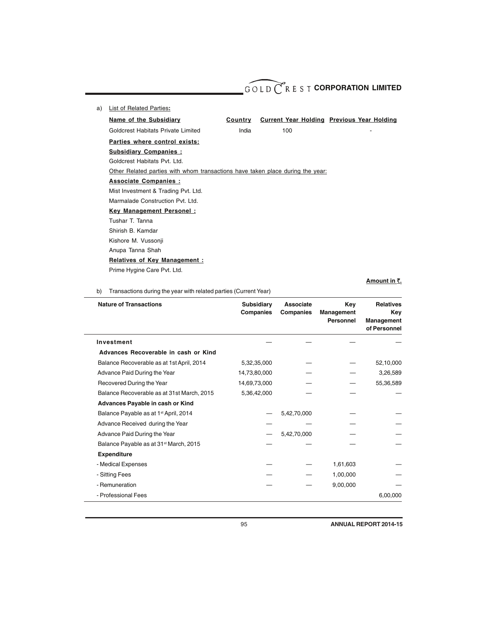| a) | List of Related Parties:                                                       |         |     |                                            |
|----|--------------------------------------------------------------------------------|---------|-----|--------------------------------------------|
|    | Name of the Subsidiary                                                         | Country |     | Current Year Holding Previous Year Holding |
|    | Goldcrest Habitats Private Limited                                             | India   | 100 |                                            |
|    | Parties where control exists:                                                  |         |     |                                            |
|    | <b>Subsidiary Companies:</b>                                                   |         |     |                                            |
|    | Goldcrest Habitats Pvt. Ltd.                                                   |         |     |                                            |
|    | Other Related parties with whom transactions have taken place during the year: |         |     |                                            |
|    | <b>Associate Companies:</b>                                                    |         |     |                                            |
|    | Mist Investment & Trading Pvt. Ltd.                                            |         |     |                                            |
|    | Marmalade Construction Pyt. Ltd.                                               |         |     |                                            |
|    | Key Management Personel:                                                       |         |     |                                            |
|    | Tushar T. Tanna                                                                |         |     |                                            |
|    | Shirish B. Kamdar                                                              |         |     |                                            |
|    | Kishore M. Vussonji                                                            |         |     |                                            |
|    | Anupa Tanna Shah                                                               |         |     |                                            |
|    | Relatives of Key Management:                                                   |         |     |                                            |
|    | Prime Hygine Care Pvt. Ltd.                                                    |         |     |                                            |

### **Amount in** `**.**

#### b) Transactions during the year with related parties (Current Year)

 $\frac{1}{1}$ 

| <b>Nature of Transactions</b>                      | Subsidiary<br>Companies | Associate<br><b>Companies</b> | Key<br>Management<br>Personnel | <b>Relatives</b><br>Key<br>Management<br>of Personnel |
|----------------------------------------------------|-------------------------|-------------------------------|--------------------------------|-------------------------------------------------------|
| Investment                                         |                         |                               |                                |                                                       |
| Advances Recoverable in cash or Kind               |                         |                               |                                |                                                       |
| Balance Recoverable as at 1st April, 2014          | 5,32,35,000             |                               |                                | 52,10,000                                             |
| Advance Paid During the Year                       | 14,73,80,000            |                               |                                | 3,26,589                                              |
| Recovered During the Year                          | 14,69,73,000            |                               |                                | 55,36,589                                             |
| Balance Recoverable as at 31st March, 2015         | 5,36,42,000             |                               |                                |                                                       |
| Advances Payable in cash or Kind                   |                         |                               |                                |                                                       |
| Balance Payable as at 1 <sup>st</sup> April, 2014  |                         | 5,42,70,000                   |                                |                                                       |
| Advance Received during the Year                   |                         |                               |                                |                                                       |
| Advance Paid During the Year                       |                         | 5,42,70,000                   |                                |                                                       |
| Balance Payable as at 31 <sup>st</sup> March, 2015 |                         |                               |                                |                                                       |
| <b>Expenditure</b>                                 |                         |                               |                                |                                                       |
| - Medical Expenses                                 |                         |                               | 1,61,603                       |                                                       |
| - Sitting Fees                                     |                         |                               | 1,00,000                       |                                                       |
| - Remuneration                                     |                         |                               | 9,00,000                       |                                                       |
| - Professional Fees                                |                         |                               |                                | 6,00,000                                              |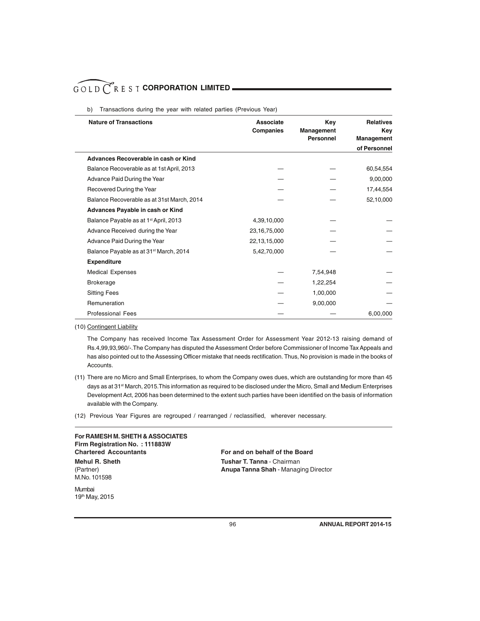#### b) Transactions during the year with related parties (Previous Year)

| <b>Nature of Transactions</b>                      | Associate<br><b>Companies</b> | Kev<br>Management<br>Personnel | <b>Relatives</b><br>Key<br>Management<br>of Personnel |
|----------------------------------------------------|-------------------------------|--------------------------------|-------------------------------------------------------|
| Advances Recoverable in cash or Kind               |                               |                                |                                                       |
| Balance Recoverable as at 1st April, 2013          |                               |                                | 60,54,554                                             |
| Advance Paid During the Year                       |                               |                                | 9,00,000                                              |
| Recovered During the Year                          |                               |                                | 17,44,554                                             |
| Balance Recoverable as at 31st March, 2014         |                               |                                | 52,10,000                                             |
| Advances Payable in cash or Kind                   |                               |                                |                                                       |
| Balance Payable as at 1 <sup>st</sup> April, 2013  | 4,39,10,000                   |                                |                                                       |
| Advance Received during the Year                   | 23,16,75,000                  |                                |                                                       |
| Advance Paid During the Year                       | 22,13,15,000                  |                                |                                                       |
| Balance Payable as at 31 <sup>st</sup> March, 2014 | 5,42,70,000                   |                                |                                                       |
| <b>Expenditure</b>                                 |                               |                                |                                                       |
| <b>Medical Expenses</b>                            |                               | 7,54,948                       |                                                       |
| Brokerage                                          |                               | 1,22,254                       |                                                       |
| <b>Sitting Fees</b>                                |                               | 1,00,000                       |                                                       |
| Remuneration                                       |                               | 9,00,000                       |                                                       |
| <b>Professional Fees</b>                           |                               |                                | 6,00,000                                              |

(10) Contingent Liability

The Company has received Income Tax Assessment Order for Assessment Year 2012-13 raising demand of Rs.4,99,93,960/-.The Company has disputed the Assessment Order before Commissioner of Income Tax Appeals and has also pointed out to the Assessing Officer mistake that needs rectification. Thus, No provision is made in the books of Accounts.

- (11) There are no Micro and Small Enterprises, to whom the Company owes dues, which are outstanding for more than 45 days as at 31<sup>st</sup> March, 2015. This information as required to be disclosed under the Micro, Small and Medium Enterprises Development Act, 2006 has been determined to the extent such parties have been identified on the basis of information available with the Company.
- (12) Previous Year Figures are regrouped / rearranged / reclassified, wherever necessary.

## **For RAMESH M. SHETH & ASSOCIATES Firm Registration No. : 111883W**

M.No. 101598

Mumbai 19th May, 2015

#### For and on behalf of the Board

**Mehul R. Sheth Tushar T. Tanna - Chairman** (Partner) **Anupa Tanna Shah** - Managing Director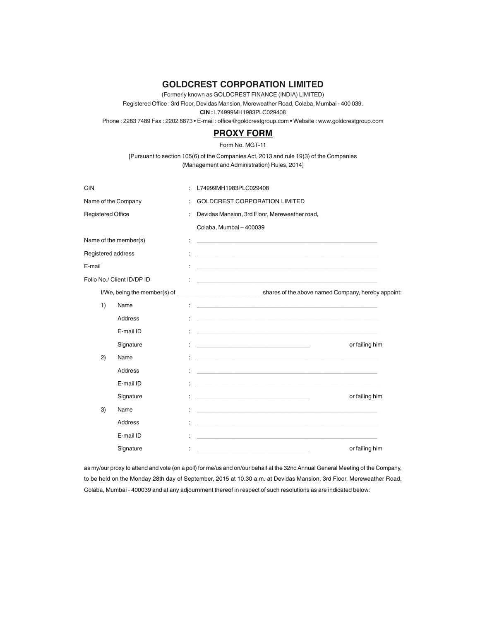#### **CORPORATION LIMITED GOLDCREST CORPORATION LIMITED**

(Formerly known as GOLDCREST FINANCE (INDIA) LIMITED)

Registered Office : 3rd Floor, Devidas Mansion, Mereweather Road, Colaba, Mumbai - 400 039.

**CIN :** L74999MH1983PLC029408

Phone : 2283 7489 Fax : 2202 8873 • E-mail : office@goldcrestgroup.com • Website : www.goldcrestgroup.com

### **PROXY FORM**

Form No. MGT-11

[Pursuant to section 105(6) of the Companies Act, 2013 and rule 19(3) of the Companies (Management and Administration) Rules, 2014]

| <b>CIN</b> |                   |                            | L74999MH1983PLC029408                                                                                                                                                                                                         |
|------------|-------------------|----------------------------|-------------------------------------------------------------------------------------------------------------------------------------------------------------------------------------------------------------------------------|
|            |                   | Name of the Company        | <b>GOLDCREST CORPORATION LIMITED</b>                                                                                                                                                                                          |
|            | Registered Office |                            | Devidas Mansion, 3rd Floor, Mereweather road,                                                                                                                                                                                 |
|            |                   |                            | Colaba, Mumbai - 400039                                                                                                                                                                                                       |
|            |                   | Name of the member(s)      | the control of the control of the control of the control of the control of the control of the control of the control of the control of the control of the control of the control of the control of the control of the control |
|            |                   | Registered address         | and the control of the control of the control of the control of the control of the control of the control of the                                                                                                              |
| E-mail     |                   |                            | and the control of the control of the control of the control of the control of the control of the control of the                                                                                                              |
|            |                   | Folio No./ Client ID/DP ID | <u> 1989 - Johann Stoff, amerikansk politiker (d. 1989)</u>                                                                                                                                                                   |
|            |                   |                            | I/We, being the member(s) of shares of the above named Company, hereby appoint:                                                                                                                                               |
|            | 1)                | Name                       | <u> 1989 - Johann Stoff, amerikansk politiker (* 1908)</u>                                                                                                                                                                    |
|            |                   | Address                    | <u> 1989 - Johann Stein, marwolaethau a bhann an t-Amhainn an t-Amhainn an t-Amhainn an t-Amhainn an t-Amhainn an</u>                                                                                                         |
|            |                   | E-mail ID                  | and the control of the control of the control of the control of the control of the control of the control of the                                                                                                              |
|            |                   | Signature                  | or failing him<br>the control of the control of the control of the control of the control of                                                                                                                                  |
|            | 2)                | Name                       | and the control of the control of the control of the control of the control of the control of the control of the                                                                                                              |
|            |                   | Address                    | <u> 1989 - Johann Stoff, amerikansk politiker (* 1908)</u>                                                                                                                                                                    |
|            |                   | E-mail ID                  | and the control of the control of the control of the control of the control of the control of the control of the                                                                                                              |
|            |                   | Signature                  | or failing him                                                                                                                                                                                                                |
|            | 3)                | Name                       | and the control of the control of the control of the control of the control of the control of the control of the                                                                                                              |
|            |                   | Address                    | and the control of the control of the control of the control of the control of the control of the control of the                                                                                                              |
|            |                   | E-mail ID                  |                                                                                                                                                                                                                               |
|            |                   | Signature                  | or failing him<br><u> 1989 - Johann John Stone, markin fan it ferstjer fan de ferstjer fan it ferstjer fan it ferstjer fan it fers</u>                                                                                        |

as my/our proxy to attend and vote (on a poll) for me/us and on/our behalf at the 32nd Annual General Meeting of the Company, to be held on the Monday 28th day of September, 2015 at 10.30 a.m. at Devidas Mansion, 3rd Floor, Mereweather Road, Colaba, Mumbai - 400039 and at any adjournment thereof in respect of such resolutions as are indicated below: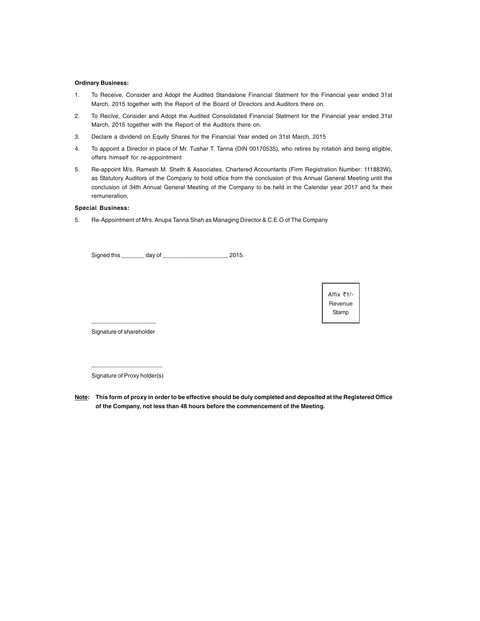#### **Ordinary Business:**

- 1. To Receive, Consider and Adopt the Audited Standalone Financial Statment for the Financial year ended 31st March, 2015 together with the Report of the Board of Directors and Auditors there on.
- 2. To Recive, Consider and Adopt the Audited Consolidated Financial Statment for the Financial year ended 31st March, 2015 together with the Report of the Auditors there on.
- 3. Declare a dividend on Equity Shares for the Financial Year ended on 31st March, 2015
- 4. To appoint a Director in place of Mr. Tushar T. Tanna (DIN 00170535), who retires by rotation and being eligible, offers himself for re-appointment
- 5. Re-appoint M/s. Ramesh M. Sheth & Associates, Chartered Accountants (Firm Registration Number: 111883W), as Statutory Auditors of the Company to hold office from the conclusion of this Annual General Meeting until the conclusion of 34th Annual General Meeting of the Company to be held in the Calendar year 2017 and fix their remuneration.

#### **Special Business:**

5. Re-Appointment of Mrs. Anupa Tanna Shah as Managing Director & C.E.O of The Company

Signed this \_\_\_\_\_\_\_ day of \_\_\_\_\_\_\_\_\_\_\_\_\_\_\_\_\_\_\_\_ 2015.

Affix  $\overline{51/-}$ Revenue Stamp

 $\frac{1}{2}$  ,  $\frac{1}{2}$  ,  $\frac{1}{2}$  ,  $\frac{1}{2}$  ,  $\frac{1}{2}$  ,  $\frac{1}{2}$  ,  $\frac{1}{2}$  ,  $\frac{1}{2}$  ,  $\frac{1}{2}$  ,  $\frac{1}{2}$ Signature of shareholder

 $\frac{1}{2}$  ,  $\frac{1}{2}$  ,  $\frac{1}{2}$  ,  $\frac{1}{2}$  ,  $\frac{1}{2}$  ,  $\frac{1}{2}$  ,  $\frac{1}{2}$  ,  $\frac{1}{2}$  ,  $\frac{1}{2}$  ,  $\frac{1}{2}$  ,  $\frac{1}{2}$  ,  $\frac{1}{2}$  ,  $\frac{1}{2}$  ,  $\frac{1}{2}$  ,  $\frac{1}{2}$  ,  $\frac{1}{2}$  ,  $\frac{1}{2}$  ,  $\frac{1}{2}$  ,  $\frac{1$ Signature of Proxy holder(s)

**Note: This form of proxy in order to be effective should be duly completed and deposited at the Registered Office of the Company, not less than 48 hours before the commencement of the Meeting.**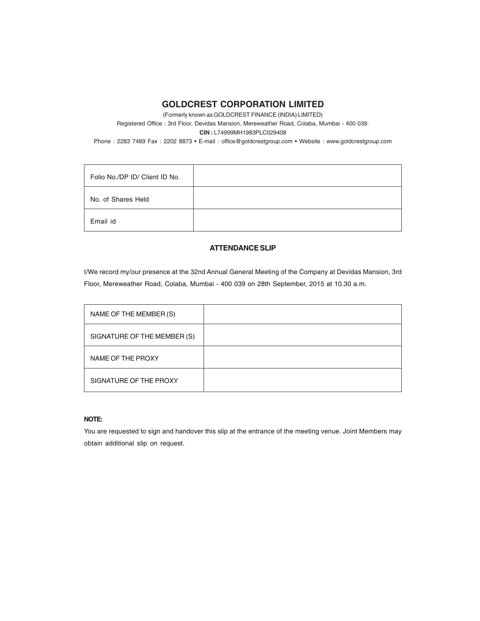(Formerly known as GOLDCREST FINANCE (INDIA) LIMITED)

Registered Office : 3rd Floor, Devidas Mansion, Mereweather Road, Colaba, Mumbai - 400 039.

**CIN :** L74999MH1983PLC029408

Phone : 2283 7489 Fax : 2202 8873 • E-mail : office@goldcrestgroup.com • Website : www.goldcrestgroup.com

| Folio No./DP ID/ Client ID No. |  |
|--------------------------------|--|
| No. of Shares Held             |  |
| Email id                       |  |

### **ATTENDANCE SLIP**

I/We record my/our presence at the 32nd Annual General Meeting of the Company at Devidas Mansion, 3rd Floor, Mereweather Road, Colaba, Mumbai - 400 039 on 28th September, 2015 at 10.30 a.m.

| NAME OF THE MEMBER (S)      |  |
|-----------------------------|--|
| SIGNATURE OF THE MEMBER (S) |  |
| NAME OF THE PROXY           |  |
| SIGNATURE OF THE PROXY      |  |

#### **NOTE:**

You are requested to sign and handover this slip at the entrance of the meeting venue. Joint Members may obtain additional slip on request.